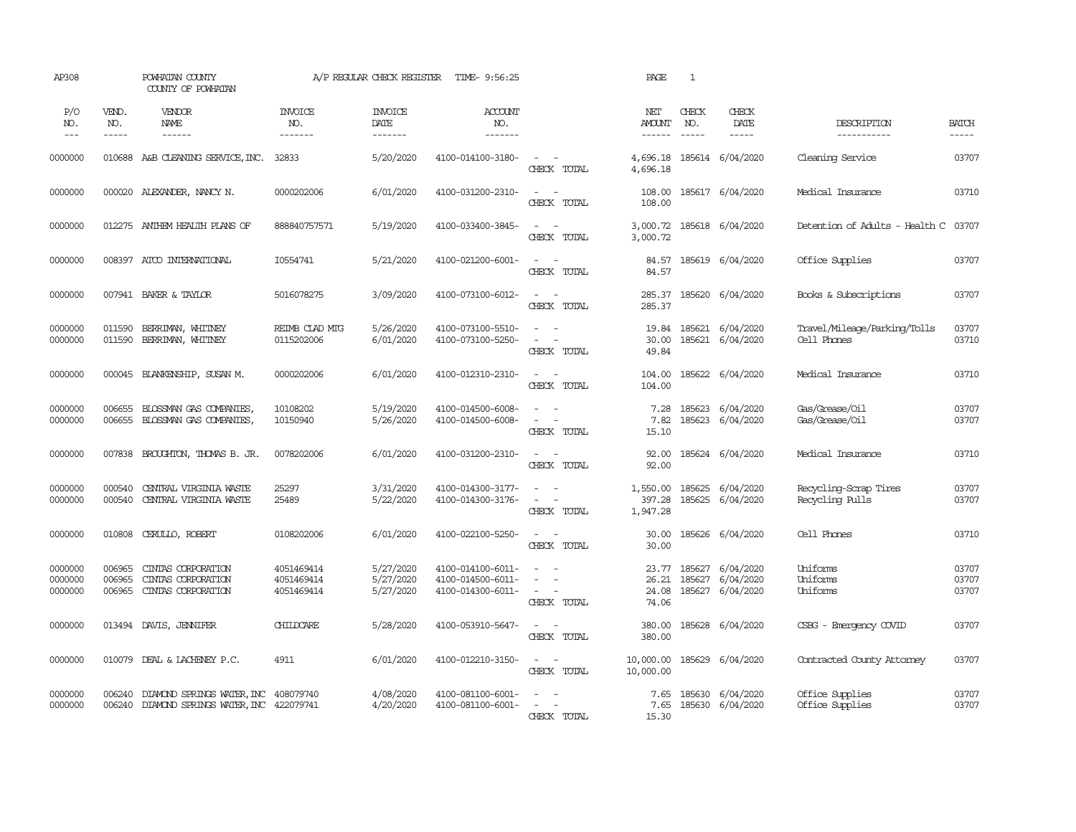| AP308                         |                             | POWHATAN COUNTY<br>COUNTY OF POWHATAN                                        |                                        | A/P REGULAR CHECK REGISTER          | TIME- 9:56:25                                               |                                                     | PAGE                             | 1                |                                            |                                             |                         |
|-------------------------------|-----------------------------|------------------------------------------------------------------------------|----------------------------------------|-------------------------------------|-------------------------------------------------------------|-----------------------------------------------------|----------------------------------|------------------|--------------------------------------------|---------------------------------------------|-------------------------|
| P/O<br>NO.<br>$---$           | VEND.<br>NO.<br>$- - - - -$ | <b>VENDOR</b><br>NAME<br>$- - - - - -$                                       | <b>INVOICE</b><br>NO.<br>-------       | <b>INVOICE</b><br>DATE<br>-------   | <b>ACCOUNT</b><br>NO.<br>-------                            |                                                     | NET<br><b>AMOUNT</b><br>------   | CHECK<br>NO.     | CHECK<br>DATE<br>$- - - - -$               | DESCRIPTION<br>-----------                  | <b>BATCH</b><br>-----   |
| 0000000                       |                             | 010688 A&B CLEANING SERVICE, INC.                                            | 32833                                  | 5/20/2020                           | 4100-014100-3180-                                           | $\sim$ $  -$<br>CHECK TOTAL                         | 4,696.18<br>4,696.18             |                  | 185614 6/04/2020                           | Cleaning Service                            | 03707                   |
| 0000000                       |                             | 000020 ALEXANDER, NANCY N.                                                   | 0000202006                             | 6/01/2020                           | 4100-031200-2310-                                           | $\sim$<br>$\sim$<br>CHECK TOTAL                     | 108.00<br>108.00                 |                  | 185617 6/04/2020                           | Medical Insurance                           | 03710                   |
| 0000000                       |                             | 012275 ANTHEM HEALTH PLANS OF                                                | 888840757571                           | 5/19/2020                           | 4100-033400-3845-                                           | $\sim$<br>$\sim$<br>CHECK TOTAL                     | 3,000.72                         |                  | 3,000.72 185618 6/04/2020                  | Detention of Adults - Health C 03707        |                         |
| 0000000                       |                             | 008397 ATCO INTERNATIONAL                                                    | I0554741                               | 5/21/2020                           | 4100-021200-6001-                                           | $\sim$<br>$\sim$<br>CHECK TOTAL                     | 84.57                            |                  | 84.57 185619 6/04/2020                     | Office Supplies                             | 03707                   |
| 0000000                       |                             | 007941 BAKER & TAYLOR                                                        | 5016078275                             | 3/09/2020                           | 4100-073100-6012-                                           | $\sim$ $-$<br>$\sim$<br>CHECK TOTAL                 | 285.37<br>285.37                 |                  | 185620 6/04/2020                           | Books & Subscriptions                       | 03707                   |
| 0000000<br>0000000            | 011590<br>011590            | BERRIMAN, WHITNEY<br>BERRIMAN, WHITNEY                                       | REIMB CLAD MIG<br>0115202006           | 5/26/2020<br>6/01/2020              | 4100-073100-5510-<br>4100-073100-5250-                      | $\sim$ $ \sim$<br>$\sim$<br>$\sim$<br>CHECK TOTAL   | 19.84<br>30.00<br>49.84          | 185621<br>185621 | 6/04/2020<br>6/04/2020                     | Travel/Mileage/Parking/Tolls<br>Cell Phones | 03707<br>03710          |
| 0000000                       |                             | 000045 BLANKENSHIP, SUSAN M.                                                 | 0000202006                             | 6/01/2020                           | 4100-012310-2310-                                           | $\sim$ $\sim$<br>CHECK TOTAL                        | 104.00<br>104.00                 |                  | 185622 6/04/2020                           | Medical Insurance                           | 03710                   |
| 0000000<br>0000000            | 006655<br>006655            | BLOSSMAN GAS COMPANIES<br>BLOSSMAN GAS COMPANIES                             | 10108202<br>10150940                   | 5/19/2020<br>5/26/2020              | 4100-014500-6008-<br>4100-014500-6008-                      | $\equiv$<br>$\sim$ $ \sim$<br>CHECK TOTAL           | 7.28<br>7.82<br>15.10            | 185623<br>185623 | 6/04/2020<br>6/04/2020                     | Gas/Grease/Oil<br>Gas/Grease/Oil            | 03707<br>03707          |
| 0000000                       | 007838                      | BROUGHTON, THOMAS B. JR.                                                     | 0078202006                             | 6/01/2020                           | 4100-031200-2310-                                           | $\sim$<br>$\sim$<br>CHECK TOTAL                     | 92.00<br>92.00                   |                  | 185624 6/04/2020                           | Medical Insurance                           | 03710                   |
| 0000000<br>0000000            | 000540<br>000540            | CENTRAL VIRGINIA WASTE<br>CENTRAL VIRGINIA WASTE                             | 25297<br>25489                         | 3/31/2020<br>5/22/2020              | 4100-014300-3177-<br>4100-014300-3176-                      | $\sim$ $\sim$<br>$\sim$<br>$\sim$<br>CHECK TOTAL    | 1,550.00<br>397.28<br>1,947.28   | 185625<br>185625 | 6/04/2020<br>6/04/2020                     | Recycling-Scrap Tires<br>Recycling Pulls    | 03707<br>03707          |
| 0000000                       | 010808                      | CERULLO, ROBERT                                                              | 0108202006                             | 6/01/2020                           | 4100-022100-5250-                                           | $\sim$<br>$\sim$ $-$<br>CHECK TOTAL                 | 30.00<br>30.00                   |                  | 185626 6/04/2020                           | Cell Phones                                 | 03710                   |
| 0000000<br>0000000<br>0000000 | 006965<br>006965<br>006965  | CINIAS CORPORATION<br>CINIAS CORPORATION<br>CINIAS CORPORATION               | 4051469414<br>4051469414<br>4051469414 | 5/27/2020<br>5/27/2020<br>5/27/2020 | 4100-014100-6011-<br>4100-014500-6011-<br>4100-014300-6011- | $\sim$<br>$\sim$<br>$\sim$ $ -$<br>CHECK TOTAL      | 23.77<br>26.21<br>24.08<br>74.06 | 185627<br>185627 | 6/04/2020<br>6/04/2020<br>185627 6/04/2020 | Uniforms<br>Uniforms<br>Uniforms            | 03707<br>03707<br>03707 |
| 0000000                       |                             | 013494 DAVIS, JENNIFER                                                       | CHILDCARE                              | 5/28/2020                           | 4100-053910-5647-                                           | $\sim$ $  -$<br>CHECK TOTAL                         | 380.00<br>380.00                 |                  | 185628 6/04/2020                           | CSBG - Emergency COVID                      | 03707                   |
| 0000000                       |                             | 010079 DEAL & LACHENEY P.C.                                                  | 4911                                   | 6/01/2020                           | 4100-012210-3150-                                           | $\sim$ $ \sim$<br>CHECK TOTAL                       | 10,000.00<br>10,000.00           |                  | 185629 6/04/2020                           | Contracted County Attorney                  | 03707                   |
| 0000000<br>0000000            | 006240<br>006240            | DIAMOND SPRINGS WATER, INC 408079740<br>DIAMOND SPRINGS WATER, INC 422079741 |                                        | 4/08/2020<br>4/20/2020              | 4100-081100-6001-<br>4100-081100-6001-                      | $\overline{\phantom{a}}$<br>$\equiv$<br>CHECK TOTAL | 7.65<br>7.65<br>15.30            | 185630           | 6/04/2020<br>185630 6/04/2020              | Office Supplies<br>Office Supplies          | 03707<br>03707          |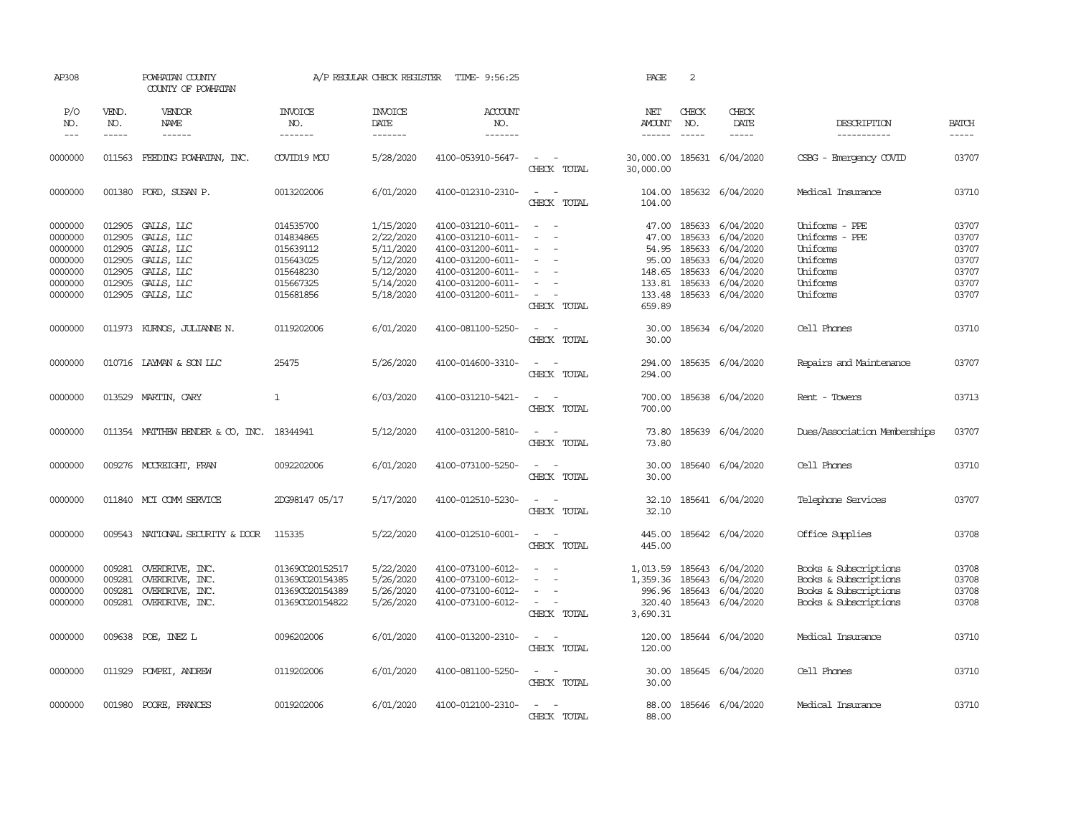| AP308                                                          |                                                | POWHATAN COUNTY<br>COUNTY OF POWHATAN                                                   |                                                                            | A/P REGULAR CHECK REGISTER                                                 | TIME- 9:56:25                                                                                                              |                                                                            | PAGE                                                 | 2                                              |                                                                                   |                                                                                                  |                                                    |
|----------------------------------------------------------------|------------------------------------------------|-----------------------------------------------------------------------------------------|----------------------------------------------------------------------------|----------------------------------------------------------------------------|----------------------------------------------------------------------------------------------------------------------------|----------------------------------------------------------------------------|------------------------------------------------------|------------------------------------------------|-----------------------------------------------------------------------------------|--------------------------------------------------------------------------------------------------|----------------------------------------------------|
| P/O<br>NO.<br>$\qquad \qquad - -$                              | VEND.<br>NO.<br>$- - - - -$                    | VENDOR<br>NAME                                                                          | <b>INVOICE</b><br>NO.<br>-------                                           | <b>INVOICE</b><br>DATE<br>-------                                          | ACCOUNT<br>NO.<br>-------                                                                                                  |                                                                            | NET<br><b>AMOUNT</b>                                 | CHECK<br>NO.                                   | CHECK<br>DATE                                                                     | DESCRIPTION<br>-----------                                                                       | <b>BATCH</b><br>$- - - - -$                        |
| 0000000                                                        |                                                | 011563 FEEDING POWHATAN, INC.                                                           | COVID19 MOU                                                                | 5/28/2020                                                                  | 4100-053910-5647-                                                                                                          | $\sim$ $ \sim$<br>CHECK TOTAL                                              | 30,000.00<br>30,000.00                               |                                                | 185631 6/04/2020                                                                  | CSBG - Emergency COVID                                                                           | 03707                                              |
| 0000000                                                        | 001380                                         | FORD, SUSAN P.                                                                          | 0013202006                                                                 | 6/01/2020                                                                  | 4100-012310-2310-                                                                                                          | $\sim$<br>$\sim$<br>CHECK TOTAL                                            | 104.00<br>104.00                                     |                                                | 185632 6/04/2020                                                                  | Medical Insurance                                                                                | 03710                                              |
| 0000000<br>0000000<br>0000000<br>0000000<br>0000000<br>0000000 | 012905<br>012905<br>012905<br>012905<br>012905 | 012905 GALLS, LLC<br>GALLS, LLC<br>GALLS, LLC<br>GALLS, LLC<br>GALLS, LLC<br>GALLS, LLC | 014535700<br>014834865<br>015639112<br>015643025<br>015648230<br>015667325 | 1/15/2020<br>2/22/2020<br>5/11/2020<br>5/12/2020<br>5/12/2020<br>5/14/2020 | 4100-031210-6011-<br>4100-031210-6011-<br>4100-031200-6011-<br>4100-031200-6011-<br>4100-031200-6011-<br>4100-031200-6011- | $\sim$ 10 $\sim$ 10 $\sim$<br>$\overline{\phantom{a}}$<br>$\sim$<br>$\sim$ | 47.00<br>47.00<br>54.95<br>95.00<br>148.65<br>133.81 | 185633<br>185633<br>185633<br>185633<br>185633 | 185633 6/04/2020<br>6/04/2020<br>6/04/2020<br>6/04/2020<br>6/04/2020<br>6/04/2020 | Uniforms - PPE<br>Uniforms - PPE<br>Uniforms<br>Uniforms<br>Uniforms<br>Uniforms                 | 03707<br>03707<br>03707<br>03707<br>03707<br>03707 |
| 0000000                                                        | 012905                                         | GALLS, LLC                                                                              | 015681856                                                                  | 5/18/2020                                                                  | 4100-031200-6011-                                                                                                          | $\sim$<br>CHECK TOTAL                                                      | 133.48<br>659.89                                     |                                                | 185633 6/04/2020                                                                  | Uniforms                                                                                         | 03707                                              |
| 0000000                                                        |                                                | 011973 KURNOS, JULIANNE N.                                                              | 0119202006                                                                 | 6/01/2020                                                                  | 4100-081100-5250-                                                                                                          | $\sim$<br>$\sim$ $-$<br>CHECK TOTAL                                        | 30.00                                                |                                                | 30.00 185634 6/04/2020                                                            | Cell Phones                                                                                      | 03710                                              |
| 0000000                                                        |                                                | 010716 LAYMAN & SON LLC                                                                 | 25475                                                                      | 5/26/2020                                                                  | 4100-014600-3310-                                                                                                          | $\sim$ $ -$<br>CHECK TOTAL                                                 | 294.00<br>294.00                                     |                                                | 185635 6/04/2020                                                                  | Repairs and Maintenance                                                                          | 03707                                              |
| 0000000                                                        |                                                | 013529 MARTIN, CARY                                                                     | $\mathbf{1}$                                                               | 6/03/2020                                                                  | 4100-031210-5421-                                                                                                          | $\sim$ $ -$<br>CHECK TOTAL                                                 | 700.00<br>700.00                                     |                                                | 185638 6/04/2020                                                                  | Rent - Towers                                                                                    | 03713                                              |
| 0000000                                                        |                                                | 011354 MATTHEW BENDER & CO, INC. 18344941                                               |                                                                            | 5/12/2020                                                                  | 4100-031200-5810-                                                                                                          | $\sim$ $ \sim$<br>CHECK TOTAL                                              | 73.80<br>73.80                                       |                                                | 185639 6/04/2020                                                                  | Dues/Association Memberships                                                                     | 03707                                              |
| 0000000                                                        |                                                | 009276 MCCREIGHT, FRAN                                                                  | 0092202006                                                                 | 6/01/2020                                                                  | 4100-073100-5250-                                                                                                          | $\sim$ $ \sim$<br>CHECK TOTAL                                              | 30.00<br>30.00                                       |                                                | 185640 6/04/2020                                                                  | Cell Phones                                                                                      | 03710                                              |
| 0000000                                                        |                                                | 011840 MCI COMM SERVICE                                                                 | 2DG98147 05/17                                                             | 5/17/2020                                                                  | 4100-012510-5230-                                                                                                          | $\sim$ $\sim$<br>CHECK TOTAL                                               | 32.10<br>32.10                                       |                                                | 185641 6/04/2020                                                                  | Telephone Services                                                                               | 03707                                              |
| 0000000                                                        |                                                | 009543 NATIONAL SECURITY & DOOR                                                         | 115335                                                                     | 5/22/2020                                                                  | 4100-012510-6001-                                                                                                          | $\sim$<br>$\sim$ $-$<br>CHECK TOTAL                                        | 445.00<br>445.00                                     |                                                | 185642 6/04/2020                                                                  | Office Supplies                                                                                  | 03708                                              |
| 0000000<br>0000000<br>0000000<br>0000000                       | 009281<br>009281<br>009281<br>009281           | OVERDRIVE, INC.<br>OVERDRIVE, INC.<br>OVERDRIVE, INC.<br>OVERDRIVE, INC.                | 01369CO20152517<br>01369CO20154385<br>01369CO20154389<br>01369CO20154822   | 5/22/2020<br>5/26/2020<br>5/26/2020<br>5/26/2020                           | 4100-073100-6012-<br>4100-073100-6012-<br>4100-073100-6012-<br>4100-073100-6012-                                           | $\sim$<br>$\equiv$<br>$\sim$<br>CHECK TOTAL                                | 1,013.59<br>1,359.36<br>996.96<br>320.40<br>3,690.31 | 185643<br>185643<br>185643                     | 6/04/2020<br>6/04/2020<br>6/04/2020<br>185643 6/04/2020                           | Books & Subscriptions<br>Books & Subscriptions<br>Books & Subscriptions<br>Books & Subscriptions | 03708<br>03708<br>03708<br>03708                   |
| 0000000                                                        |                                                | 009638 POE, INEZ L                                                                      | 0096202006                                                                 | 6/01/2020                                                                  | 4100-013200-2310-                                                                                                          | $\sim$ $ -$<br>CHECK TOTAL                                                 | 120.00<br>120.00                                     |                                                | 185644 6/04/2020                                                                  | Medical Insurance                                                                                | 03710                                              |
| 0000000                                                        |                                                | 011929 POMPEI, ANDREW                                                                   | 0119202006                                                                 | 6/01/2020                                                                  | 4100-081100-5250-                                                                                                          | $\sim$ $ \sim$<br>CHECK TOTAL                                              | 30.00<br>30.00                                       |                                                | 185645 6/04/2020                                                                  | Cell Phones                                                                                      | 03710                                              |
| 0000000                                                        |                                                | 001980 POORE, FRANCES                                                                   | 0019202006                                                                 | 6/01/2020                                                                  | 4100-012100-2310-                                                                                                          | $\sim$<br>$\sim$<br>CHECK TOTAL                                            | 88.00<br>88.00                                       |                                                | 185646 6/04/2020                                                                  | Medical Insurance                                                                                | 03710                                              |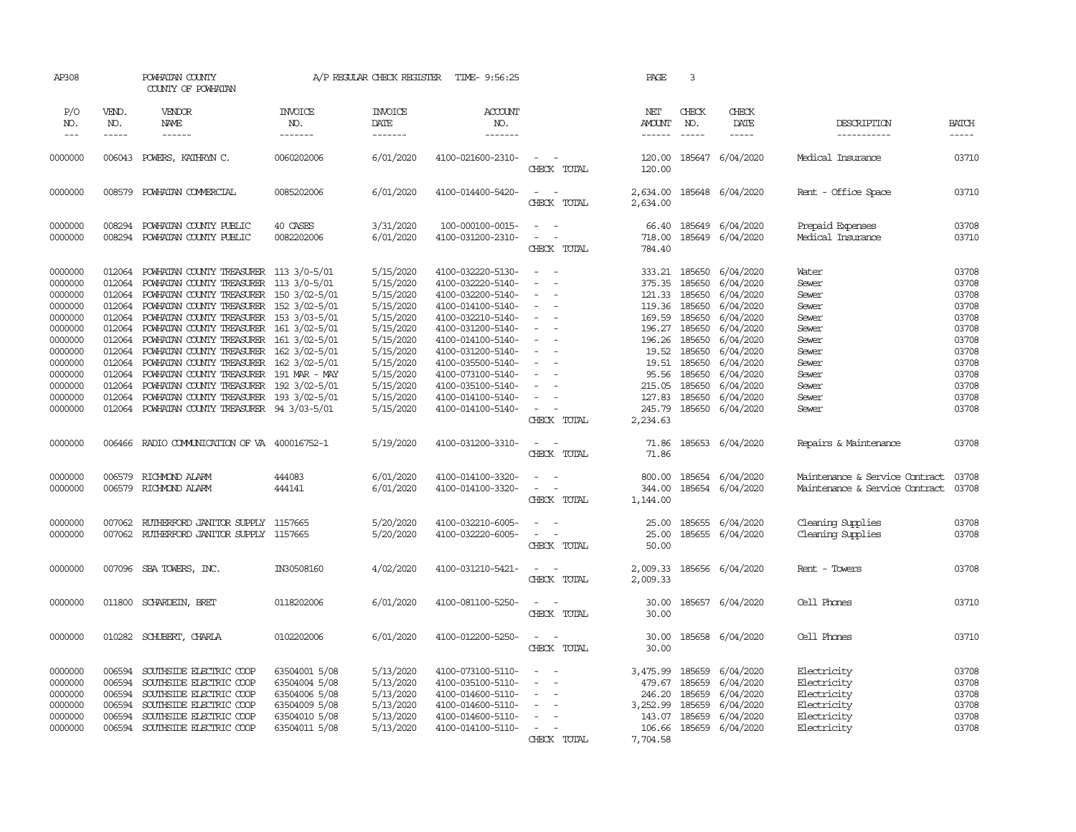| AP308               |                               | POWHATAN COUNTY<br>COUNTY OF POWHATAN         |                                  | A/P REGULAR CHECK REGISTER         | TIME- 9:56:25                            |                                             | PAGE                                  | $\overline{3}$                |                              |                                |                               |
|---------------------|-------------------------------|-----------------------------------------------|----------------------------------|------------------------------------|------------------------------------------|---------------------------------------------|---------------------------------------|-------------------------------|------------------------------|--------------------------------|-------------------------------|
| P/O<br>NO.<br>$---$ | VEND.<br>NO.<br>$\frac{1}{2}$ | VENDOR<br>NAME<br>$- - - - - -$               | <b>INVOICE</b><br>NO.<br>------- | <b>INVOICE</b><br>DATE<br>-------- | <b>ACCOUNT</b><br>NO.<br>$- - - - - - -$ |                                             | NET<br><b>AMOUNT</b><br>$- - - - - -$ | CHECK<br>NO.<br>$\frac{1}{2}$ | CHECK<br>DATE<br>$- - - - -$ | DESCRIPTION<br>-----------     | <b>BATCH</b><br>$\frac{1}{2}$ |
|                     |                               |                                               |                                  |                                    |                                          |                                             |                                       |                               |                              |                                |                               |
| 0000000             | 006043                        | POWERS, KATHRYN C.                            | 0060202006                       | 6/01/2020                          | 4100-021600-2310-                        | $\overline{\phantom{a}}$<br>CHECK TOTAL     | 120.00<br>120.00                      |                               | 185647 6/04/2020             | Medical Insurance              | 03710                         |
| 0000000             | 008579                        | POWHATAN COMMERCIAL                           | 0085202006                       | 6/01/2020                          | 4100-014400-5420-                        | $\sim$<br>$\sim$<br>CHECK TOTAL             | 2,634.00<br>2,634.00                  |                               | 185648 6/04/2020             | Rent - Office Space            | 03710                         |
| 0000000             | 008294                        | POWHATAN COUNTY PUBLIC                        | 40 CASES                         | 3/31/2020                          | 100-000100-0015-                         | $\equiv$                                    | 66.40                                 |                               | 185649 6/04/2020             | Prepaid Expenses               | 03708                         |
| 0000000             |                               | 008294 POWHATAN COUNTY PUBLIC                 | 0082202006                       | 6/01/2020                          | 4100-031200-2310-                        | $\equiv$<br>$\sim$<br>CHECK TOTAL           | 718.00<br>784.40                      |                               | 185649 6/04/2020             | Medical Insurance              | 03710                         |
| 0000000             | 012064                        | POWHATAN COUNTY TREASURER 113 3/0-5/01        |                                  | 5/15/2020                          | 4100-032220-5130-                        | $\overline{\phantom{a}}$                    | 333.21                                | 185650                        | 6/04/2020                    | Water                          | 03708                         |
| 0000000             | 012064                        | POWHATAN COUNTY TREASURER 113 3/0-5/01        |                                  | 5/15/2020                          | 4100-032220-5140-                        | $\sim$<br>$\sim$                            |                                       | 375.35 185650                 | 6/04/2020                    | Sewer                          | 03708                         |
| 0000000             | 012064                        | POWHATAN COUNTY TREASURER 150 3/02-5/01       |                                  | 5/15/2020                          | 4100-032200-5140-                        | $\sim$                                      |                                       | 121.33 185650                 | 6/04/2020                    | Sewer                          | 03708                         |
| 0000000             | 012064                        | POWHATAN COUNTY TREASURER 152 3/02-5/01       |                                  | 5/15/2020                          | 4100-014100-5140-                        | $\equiv$                                    | 119.36 185650                         |                               | 6/04/2020                    | Sewer                          | 03708                         |
| 0000000             | 012064                        | POWHATAN COUNTY TREASURER 153 3/03-5/01       |                                  | 5/15/2020                          | 4100-032210-5140-                        | $\equiv$                                    |                                       | 169.59 185650                 | 6/04/2020                    | Sewer                          | 03708                         |
| 0000000             | 012064                        | POWHATAN COUNTY TREASURER 161 3/02-5/01       |                                  | 5/15/2020                          | 4100-031200-5140-                        | $\blacksquare$                              |                                       | 196.27 185650                 | 6/04/2020                    | Sewer                          | 03708                         |
| 0000000             | 012064                        | POWHATAN COUNTY TREASURER 161 3/02-5/01       |                                  | 5/15/2020                          | 4100-014100-5140-                        | $\equiv$                                    | 196.26                                | 185650                        | 6/04/2020                    | Sewer                          | 03708                         |
| 0000000             | 012064                        | POWHATAN COUNTY TREASURER 162 3/02-5/01       |                                  | 5/15/2020                          | 4100-031200-5140-                        |                                             |                                       | 19.52 185650                  | 6/04/2020                    | Sewer                          | 03708                         |
| 0000000             | 012064                        | POWHATAN COUNTY TREASURER 162 3/02-5/01       |                                  | 5/15/2020                          | 4100-035500-5140-                        | $\equiv$                                    | 19.51                                 | 185650                        | 6/04/2020                    | Sewer                          | 03708                         |
| 0000000             | 012064                        | POWHATAN COUNTY TREASURER 191 MAR - MAY       |                                  | 5/15/2020                          | 4100-073100-5140-                        |                                             | 95.56                                 | 185650                        | 6/04/2020                    | Sewer                          | 03708                         |
| 0000000             | 012064                        | POWHATAN COUNTY TREASURER 192 3/02-5/01       |                                  | 5/15/2020                          | 4100-035100-5140-                        | $\sim$                                      | 215.05                                | 185650                        | 6/04/2020                    | Sewer                          | 03708                         |
| 0000000             | 012064                        | POWHATAN COUNTY TREASURER 193 3/02-5/01       |                                  | 5/15/2020                          | 4100-014100-5140-                        |                                             | 127.83                                | 185650                        | 6/04/2020                    | Sewer                          | 03708                         |
| 0000000             |                               | 012064 POWHATAN COUNTY TREASURER 94 3/03-5/01 |                                  | 5/15/2020                          | 4100-014100-5140-                        | $\overline{\phantom{a}}$<br>CHECK TOTAL     | 245.79<br>2,234.63                    |                               | 185650 6/04/2020             | Sewer                          | 03708                         |
|                     |                               |                                               |                                  |                                    |                                          |                                             |                                       |                               |                              |                                |                               |
| 0000000             | 006466                        | RADIO COMMUNICATION OF VA 400016752-1         |                                  | 5/19/2020                          | 4100-031200-3310-                        | $\sim$<br>$\sim$<br>CHECK TOTAL             | 71.86<br>71.86                        |                               | 185653 6/04/2020             | Repairs & Maintenance          | 03708                         |
| 0000000             | 006579                        | RICHMOND ALARM                                | 444083                           | 6/01/2020                          | 4100-014100-3320-                        | $\equiv$                                    | 800.00                                | 185654                        | 6/04/2020                    | Maintenance & Service Contract | 03708                         |
| 0000000             | 006579                        | RICHMOND ALARM                                | 444141                           | 6/01/2020                          | 4100-014100-3320-                        | $\overline{\phantom{a}}$                    | 344.00                                |                               | 185654 6/04/2020             | Maintenance & Service Contract | 03708                         |
|                     |                               |                                               |                                  |                                    |                                          | CHECK TOTAL                                 | 1,144.00                              |                               |                              |                                |                               |
| 0000000             | 007062                        | RUIHERFORD JANITOR SUPPLY 1157665             |                                  | 5/20/2020                          | 4100-032210-6005-                        | $\equiv$                                    | 25.00                                 | 185655                        | 6/04/2020                    | Cleaning Supplies              | 03708                         |
| 0000000             | 007062                        | RUIHERFORD JANITOR SUPPLY 1157665             |                                  | 5/20/2020                          | 4100-032220-6005-                        | $\omega_{\rm{max}}$ and $\omega_{\rm{max}}$ | 25.00                                 | 185655                        | 6/04/2020                    | Cleaning Supplies              | 03708                         |
|                     |                               |                                               |                                  |                                    |                                          | CHECK TOTAL                                 | 50.00                                 |                               |                              |                                |                               |
| 0000000             |                               | 007096 SBA TOWERS, INC.                       | IN30508160                       | 4/02/2020                          | 4100-031210-5421-                        | $\sim$ $ \sim$                              | 2,009.33                              |                               | 185656 6/04/2020             | Rent - Towers                  | 03708                         |
|                     |                               |                                               |                                  |                                    |                                          | CHECK TOTAL                                 | 2,009.33                              |                               |                              |                                |                               |
| 0000000             | 011800                        | SCHARDEIN, BRET                               | 0118202006                       | 6/01/2020                          | 4100-081100-5250-                        | $\sim$<br>$\sim$                            | 30.00                                 |                               | 185657 6/04/2020             | Cell Phones                    | 03710                         |
|                     |                               |                                               |                                  |                                    |                                          | CHECK TOTAL                                 | 30.00                                 |                               |                              |                                |                               |
| 0000000             |                               | 010282 SCHUBERT, CHARLA                       | 0102202006                       | 6/01/2020                          | 4100-012200-5250-                        | $\sim$                                      | 30.00                                 |                               | 185658 6/04/2020             | Cell Phones                    | 03710                         |
|                     |                               |                                               |                                  |                                    |                                          | CHECK TOTAL                                 | 30.00                                 |                               |                              |                                |                               |
| 0000000             | 006594                        | SOUTHSIDE ELECTRIC COOP                       | 63504001 5/08                    | 5/13/2020                          | 4100-073100-5110-                        | $\sim$                                      | 3,475.99                              | 185659                        | 6/04/2020                    | Electricity                    | 03708                         |
| 0000000             | 006594                        | SOUTHSIDE ELECTRIC COOP                       | 63504004 5/08                    | 5/13/2020                          | 4100-035100-5110-                        | $\overline{\phantom{a}}$                    | 479.67                                | 185659                        | 6/04/2020                    | Electricity                    | 03708                         |
| 0000000             | 006594                        | SOUTHSIDE ELECTRIC COOP                       | 63504006 5/08                    | 5/13/2020                          | 4100-014600-5110-                        |                                             | 246.20                                | 185659                        | 6/04/2020                    | Electricity                    | 03708                         |
| 0000000             | 006594                        | SOUTHSIDE ELECTRIC COOP                       | 63504009 5/08                    | 5/13/2020                          | 4100-014600-5110-                        | $\sim$                                      | 3,252.99                              | 185659                        | 6/04/2020                    | Electricity                    | 03708                         |
| 0000000             | 006594                        | SOUTHSIDE ELECTRIC COOP                       | 63504010 5/08                    | 5/13/2020                          | 4100-014600-5110-                        |                                             | 143.07                                | 185659                        | 6/04/2020                    | Electricity                    | 03708                         |
| 0000000             | 006594                        | SOUTHSIDE ELECTRIC COOP                       | 63504011 5/08                    | 5/13/2020                          | 4100-014100-5110-                        | $\sim$                                      | 106.66                                |                               | 185659 6/04/2020             | Electricity                    | 03708                         |
|                     |                               |                                               |                                  |                                    |                                          | CHECK TOTAL                                 | 7,704.58                              |                               |                              |                                |                               |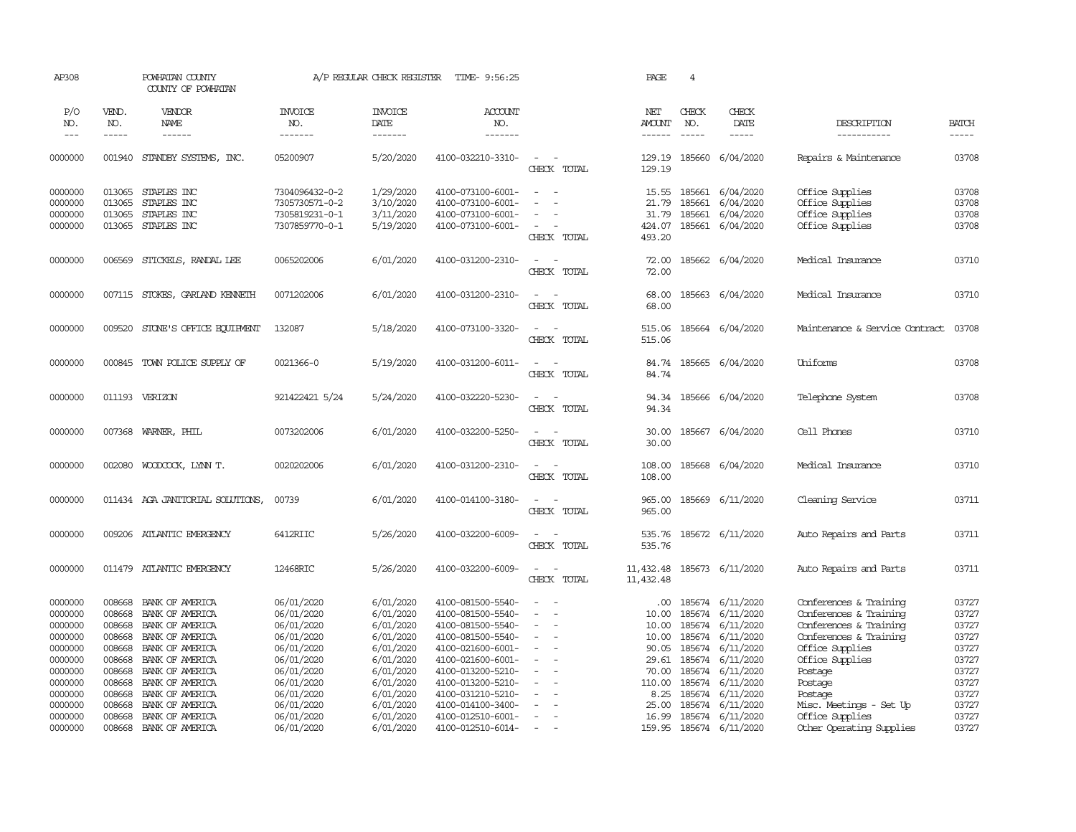| AP308              |                  | POWHATAN COUNTY<br>COUNTY OF POWHATAN |                                  | A/P REGULAR CHECK REGISTER | TIME- 9:56:25                          |                                                   | PAGE                   | $\overline{4}$   |                                      |                                    |                |
|--------------------|------------------|---------------------------------------|----------------------------------|----------------------------|----------------------------------------|---------------------------------------------------|------------------------|------------------|--------------------------------------|------------------------------------|----------------|
| P/O<br>NO.         | VEND.<br>NO.     | VENDOR<br>NAME                        | <b>INVOICE</b><br>NO.            | <b>INVOICE</b><br>DATE     | ACCOUNT<br>NO.                         |                                                   | NET<br><b>AMOUNT</b>   | CHECK<br>NO.     | CHECK<br>DATE                        | DESCRIPTION                        | <b>BATCH</b>   |
| $---$              | $- - - - -$      | ------                                | -------                          | -------                    | -------                                |                                                   | $- - - - - -$          |                  | -----                                | -----------                        | -----          |
| 0000000            |                  | 001940 STANDBY SYSTEMS, INC.          | 05200907                         | 5/20/2020                  | 4100-032210-3310-                      | $\sim$<br>$\sim$<br>CHECK TOTAL                   | 129.19<br>129.19       |                  | 185660 6/04/2020                     | Repairs & Maintenance              | 03708          |
| 0000000<br>0000000 | 013065<br>013065 | STAPLES INC<br>STAPLES INC            | 7304096432-0-2<br>7305730571-0-2 | 1/29/2020<br>3/10/2020     | 4100-073100-6001-<br>4100-073100-6001- | $\sim$<br>$\sim$<br>$\sim$<br>÷.                  | 15.55<br>21.79         | 185661<br>185661 | 6/04/2020<br>6/04/2020               | Office Supplies<br>Office Supplies | 03708<br>03708 |
| 0000000            | 013065           | STAPLES INC                           | 7305819231-0-1                   | 3/11/2020                  | 4100-073100-6001-                      |                                                   | 31.79                  | 185661           | 6/04/2020                            | Office Supplies                    | 03708          |
| 0000000            | 013065           | STAPLES INC                           | 7307859770-0-1                   | 5/19/2020                  | 4100-073100-6001-                      | $\sim$<br>CHECK TOTAL                             | 424.07<br>493.20       |                  | 185661 6/04/2020                     | Office Supplies                    | 03708          |
| 0000000            | 006569           | STICKELS, RANDAL LEE                  | 0065202006                       | 6/01/2020                  | 4100-031200-2310-                      | $\sim$<br>$\sim$<br>CHECK TOTAL                   | 72.00<br>72.00         |                  | 185662 6/04/2020                     | Medical Insurance                  | 03710          |
| 0000000            | 007115           | STOKES, GARLAND KENNETH               | 0071202006                       | 6/01/2020                  | 4100-031200-2310-                      | $\sim$<br>$\sim$<br>CHECK TOTAL                   | 68.00<br>68.00         |                  | 185663 6/04/2020                     | Medical Insurance                  | 03710          |
| 0000000            | 009520           | STONE'S OFFICE EQUIPMENT              | 132087                           | 5/18/2020                  | 4100-073100-3320-                      | $\sim$<br>CHECK TOTAL                             | 515.06<br>515.06       |                  | 185664 6/04/2020                     | Maintenance & Service Contract     | 03708          |
| 0000000            |                  | 000845 TOWN POLICE SUPPLY OF          | 0021366-0                        | 5/19/2020                  | 4100-031200-6011-                      | $\sim$<br>$\sim$<br>CHECK TOTAL                   | 84.74<br>84.74         |                  | 185665 6/04/2020                     | Uniforms                           | 03708          |
| 0000000            |                  | 011193 VERIZON                        | 921422421 5/24                   | 5/24/2020                  | 4100-032220-5230-                      | $\sim$<br>$\sim$<br>CHECK TOTAL                   | 94.34<br>94.34         |                  | 185666 6/04/2020                     | Telephone System                   | 03708          |
| 0000000            | 007368           | WARNER, PHIL                          | 0073202006                       | 6/01/2020                  | 4100-032200-5250-                      | $\overline{\phantom{a}}$<br>$\sim$<br>CHECK TOTAL | 30.00<br>30.00         |                  | 185667 6/04/2020                     | Cell Phones                        | 03710          |
| 0000000            | 002080           | WOODCOCK, LYNN T.                     | 0020202006                       | 6/01/2020                  | 4100-031200-2310-                      | $\sim$<br>CHECK TOTAL                             | 108.00<br>108.00       |                  | 185668 6/04/2020                     | Medical Insurance                  | 03710          |
| 0000000            |                  | 011434 AGA JANITORIAL SOLUTIONS,      | 00739                            | 6/01/2020                  | 4100-014100-3180-                      | $\sim$<br>CHECK TOTAL                             | 965.00<br>965.00       |                  | 185669 6/11/2020                     | Cleaning Service                   | 03711          |
| 0000000            |                  | 009206 ATLANTIC EMERGENCY             | 6412RIIC                         | 5/26/2020                  | 4100-032200-6009-                      | $\sim$<br>CHECK TOTAL                             | 535.76<br>535.76       |                  | 185672 6/11/2020                     | Auto Repairs and Parts             | 03711          |
| 0000000            |                  | 011479 ATLANTIC EMERGENCY             | 12468RIC                         | 5/26/2020                  | 4100-032200-6009-                      | $\sim$<br>$\sim$<br>CHECK TOTAL                   | 11,432.48<br>11,432.48 |                  | 185673 6/11/2020                     | Auto Repairs and Parts             | 03711          |
| 0000000            | 008668           | BANK OF AMERICA                       | 06/01/2020                       | 6/01/2020                  | 4100-081500-5540-                      | $\equiv$                                          | $.00 \cdot$            |                  | 185674 6/11/2020                     | Conferences & Training             | 03727          |
| 0000000            | 008668           | BANK OF AMERICA                       | 06/01/2020                       | 6/01/2020                  | 4100-081500-5540-                      | $\equiv$<br>$\overline{\phantom{a}}$              | 10.00                  | 185674           | 6/11/2020                            | Conferences & Training             | 03727          |
| 0000000            | 008668           | BANK OF AMERICA                       | 06/01/2020                       | 6/01/2020                  | 4100-081500-5540-                      | $\blacksquare$                                    | 10.00                  | 185674           | 6/11/2020                            | Conferences & Training             | 03727          |
| 0000000            | 008668           | BANK OF AMERICA                       | 06/01/2020                       | 6/01/2020                  | 4100-081500-5540-                      |                                                   | 10.00                  | 185674           | 6/11/2020                            | Conferences & Training             | 03727          |
| 0000000            | 008668           | BANK OF AMERICA                       | 06/01/2020                       | 6/01/2020                  | 4100-021600-6001-                      | $\blacksquare$                                    | 90.05                  |                  | 185674 6/11/2020                     | Office Supplies                    | 03727          |
| 0000000            | 008668           | BANK OF AMERICA                       | 06/01/2020                       | 6/01/2020                  | 4100-021600-6001-                      | $\sim$                                            | 29.61                  | 185674           | 6/11/2020                            | Office Supplies                    | 03727          |
| 0000000            | 008668           | BANK OF AMERICA                       | 06/01/2020                       | 6/01/2020                  | 4100-013200-5210-                      |                                                   | 70.00                  |                  | 185674 6/11/2020                     | Postage                            | 03727          |
| 0000000<br>0000000 | 008668<br>008668 | BANK OF AMERICA<br>BANK OF AMERICA    | 06/01/2020<br>06/01/2020         | 6/01/2020<br>6/01/2020     | 4100-013200-5210-<br>4100-031210-5210- | $\sim$                                            | 110.00<br>8.25         |                  | 185674 6/11/2020<br>185674 6/11/2020 | Postage<br>Postage                 | 03727<br>03727 |
| 0000000            | 008668           | BANK OF AMERICA                       | 06/01/2020                       | 6/01/2020                  | 4100-014100-3400-                      | $\sim$                                            | 25.00                  | 185674           | 6/11/2020                            | Misc. Meetings - Set Up            | 03727          |
| 0000000            | 008668           | BANK OF AMERICA                       | 06/01/2020                       | 6/01/2020                  | 4100-012510-6001-                      |                                                   | 16.99                  | 185674           | 6/11/2020                            | Office Supplies                    | 03727          |
| 0000000            | 008668           | BANK OF AMERICA                       | 06/01/2020                       | 6/01/2020                  | 4100-012510-6014-                      | $\overline{\phantom{a}}$                          |                        |                  | 159.95 185674 6/11/2020              | Other Operating Supplies           | 03727          |
|                    |                  |                                       |                                  |                            |                                        |                                                   |                        |                  |                                      |                                    |                |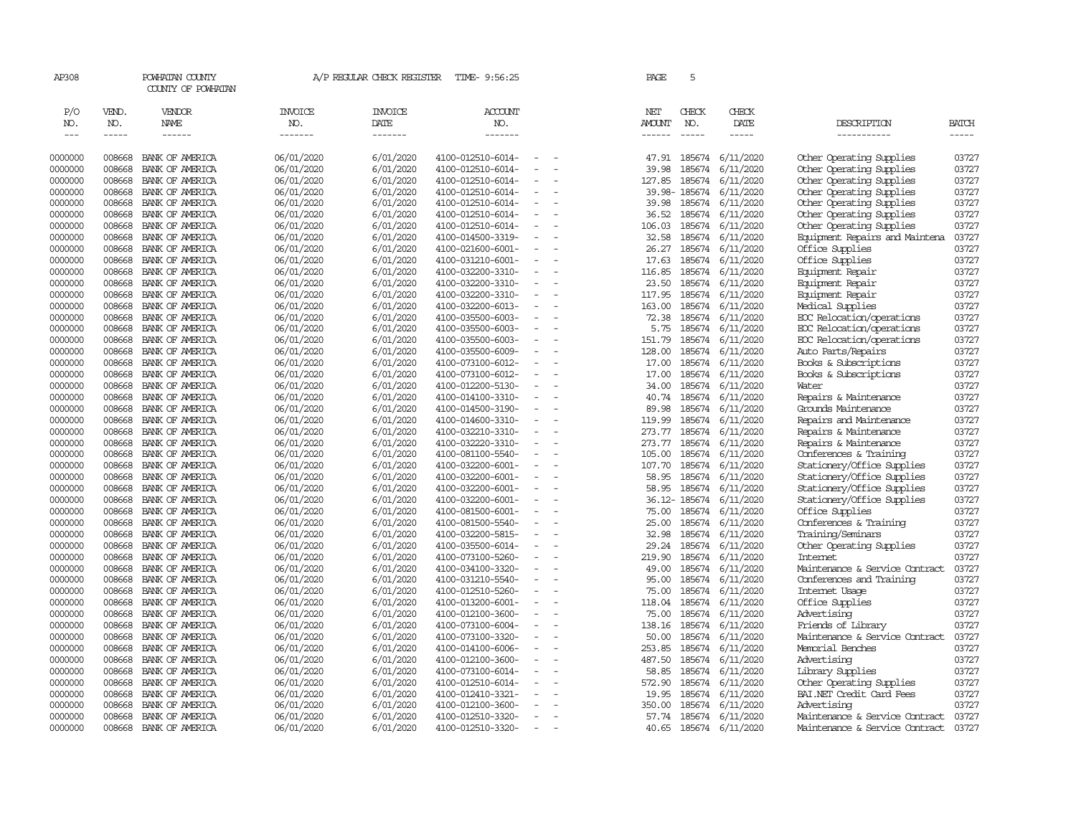| AP308                       |                             | POWHATAN COUNTY<br>COUNTY OF POWHATAN         |                                  | A/P REGULAR CHECK REGISTER        | TIME- 9:56:25                          |                          | PAGE                           | 5                             |                        |                                                |                |
|-----------------------------|-----------------------------|-----------------------------------------------|----------------------------------|-----------------------------------|----------------------------------------|--------------------------|--------------------------------|-------------------------------|------------------------|------------------------------------------------|----------------|
| P/O<br>NO.<br>$\frac{1}{2}$ | VEND.<br>NO.<br>$- - - - -$ | <b>VENDOR</b><br><b>NAME</b><br>$- - - - - -$ | <b>INVOICE</b><br>NO.<br>------- | <b>INVOICE</b><br>DATE<br>------- | ACCOUNT<br>NO.<br>$- - - - - - -$      |                          | NET<br><b>AMOUNT</b><br>------ | CHECK<br>NO.<br>$\frac{1}{2}$ | CHECK<br>DATE<br>----- | DESCRIPTION<br>-----------                     | BATCH<br>----- |
| 0000000                     | 008668                      | BANK OF AMERICA                               | 06/01/2020                       | 6/01/2020                         | 4100-012510-6014-                      |                          | 47.91                          | 185674                        | 6/11/2020              | Other Operating Supplies                       | 03727          |
| 0000000                     | 008668                      | BANK OF AMERICA                               | 06/01/2020                       | 6/01/2020                         | 4100-012510-6014-                      | $\overline{\phantom{a}}$ | 39.98                          | 185674                        | 6/11/2020              | Other Operating Supplies                       | 03727          |
| 0000000                     | 008668                      | BANK OF AMERICA                               | 06/01/2020                       | 6/01/2020                         | 4100-012510-6014-                      |                          | 127.85                         | 185674                        | 6/11/2020              | Other Operating Supplies                       | 03727          |
| 0000000                     | 008668                      | BANK OF AMERICA                               | 06/01/2020                       | 6/01/2020                         | 4100-012510-6014-                      | $\equiv$                 |                                | 39.98-185674                  | 6/11/2020              | Other Operating Supplies                       | 03727          |
| 0000000                     | 008668                      | BANK OF AMERICA                               | 06/01/2020                       | 6/01/2020                         | 4100-012510-6014-                      |                          | 39.98                          | 185674                        | 6/11/2020              | Other Operating Supplies                       | 03727          |
| 0000000                     | 008668                      | BANK OF AMERICA                               | 06/01/2020                       | 6/01/2020                         | 4100-012510-6014-                      | $\equiv$                 | 36.52                          | 185674                        | 6/11/2020              | Other Operating Supplies                       | 03727          |
| 0000000                     | 008668                      | BANK OF AMERICA                               | 06/01/2020                       | 6/01/2020                         | 4100-012510-6014-                      |                          | 106.03                         | 185674                        | 6/11/2020              | Other Operating Supplies                       | 03727          |
| 0000000                     | 008668                      | BANK OF AMERICA                               | 06/01/2020                       | 6/01/2020                         | 4100-014500-3319-                      |                          | 32.58                          | 185674                        | 6/11/2020              | Equipment Repairs and Maintena                 | 03727          |
| 0000000                     | 008668                      | BANK OF AMERICA                               | 06/01/2020                       | 6/01/2020                         | 4100-021600-6001-                      |                          | 26.27                          | 185674                        | 6/11/2020              | Office Supplies                                | 03727          |
| 0000000                     | 008668                      | BANK OF AMERICA                               | 06/01/2020                       | 6/01/2020                         | 4100-031210-6001-                      | $\equiv$                 | 17.63                          | 185674                        | 6/11/2020              | Office Supplies                                | 03727          |
| 0000000                     | 008668                      | BANK OF AMERICA                               | 06/01/2020                       | 6/01/2020                         | 4100-032200-3310-                      |                          | 116.85                         | 185674                        | 6/11/2020              | Equipment Repair                               | 03727          |
| 0000000                     | 008668                      | BANK OF AMERICA                               | 06/01/2020                       | 6/01/2020                         | 4100-032200-3310-                      |                          | 23.50                          | 185674                        | 6/11/2020              | Equipment Repair                               | 03727          |
| 0000000                     | 008668                      | BANK OF AMERICA                               | 06/01/2020                       | 6/01/2020                         | 4100-032200-3310-                      | $\equiv$                 | 117.95                         |                               | 185674 6/11/2020       | Equipment Repair                               | 03727          |
| 0000000                     | 008668                      | BANK OF AMERICA                               | 06/01/2020                       | 6/01/2020                         | 4100-032200-6013-                      |                          | 163.00                         | 185674                        | 6/11/2020              | Medical Supplies                               | 03727          |
| 0000000                     | 008668                      | BANK OF AMERICA                               | 06/01/2020                       | 6/01/2020                         | 4100-035500-6003-                      | $\equiv$                 | 72.38                          | 185674                        | 6/11/2020              | ECC Relocation/operations                      | 03727          |
| 0000000                     | 008668                      | BANK OF AMERICA                               | 06/01/2020                       | 6/01/2020                         | 4100-035500-6003-                      | $\sim$                   | 5.75                           | 185674                        | 6/11/2020              | ECC Relocation/operations                      | 03727          |
| 0000000                     | 008668                      | BANK OF AMERICA                               | 06/01/2020                       | 6/01/2020                         | 4100-035500-6003-                      |                          | 151.79                         | 185674                        | 6/11/2020              | ECC Relocation/operations                      | 03727          |
| 0000000<br>0000000          | 008668<br>008668            | BANK OF AMERICA<br>BANK OF AMERICA            | 06/01/2020                       | 6/01/2020<br>6/01/2020            | 4100-035500-6009-<br>4100-073100-6012- |                          | 128.00<br>17.00                | 185674<br>185674              | 6/11/2020<br>6/11/2020 | Auto Parts/Repairs                             | 03727<br>03727 |
| 0000000                     | 008668                      | BANK OF AMERICA                               | 06/01/2020<br>06/01/2020         | 6/01/2020                         | 4100-073100-6012-                      | $\equiv$                 | 17.00                          | 185674                        | 6/11/2020              | Books & Subscriptions<br>Books & Subscriptions | 03727          |
| 0000000                     | 008668                      | BANK OF AMERICA                               | 06/01/2020                       | 6/01/2020                         | 4100-012200-5130-                      | $\overline{\phantom{a}}$ | 34.00                          | 185674                        | 6/11/2020              | Water                                          | 03727          |
| 0000000                     | 008668                      | BANK OF AMERICA                               | 06/01/2020                       | 6/01/2020                         | 4100-014100-3310-                      | $\sim$                   | 40.74                          | 185674                        | 6/11/2020              | Repairs & Maintenance                          | 03727          |
| 0000000                     | 008668                      | BANK OF AMERICA                               | 06/01/2020                       | 6/01/2020                         | 4100-014500-3190-                      |                          | 89.98                          | 185674                        | 6/11/2020              | Grounds Maintenance                            | 03727          |
| 0000000                     | 008668                      | BANK OF AMERICA                               | 06/01/2020                       | 6/01/2020                         | 4100-014600-3310-                      | $\sim$                   | 119.99                         | 185674                        | 6/11/2020              | Repairs and Maintenance                        | 03727          |
| 0000000                     | 008668                      | BANK OF AMERICA                               | 06/01/2020                       | 6/01/2020                         | 4100-032210-3310-                      | $\overline{\phantom{a}}$ | 273.77                         | 185674                        | 6/11/2020              | Repairs & Maintenance                          | 03727          |
| 0000000                     | 008668                      | BANK OF AMERICA                               | 06/01/2020                       | 6/01/2020                         | 4100-032220-3310-                      |                          | 273.77                         | 185674                        | 6/11/2020              | Repairs & Maintenance                          | 03727          |
| 0000000                     | 008668                      | BANK OF AMERICA                               | 06/01/2020                       | 6/01/2020                         | 4100-081100-5540-                      |                          | 105.00                         | 185674                        | 6/11/2020              | Conferences & Training                         | 03727          |
| 0000000                     | 008668                      | BANK OF AMERICA                               | 06/01/2020                       | 6/01/2020                         | 4100-032200-6001-                      |                          | 107.70                         | 185674                        | 6/11/2020              | Stationery/Office Supplies                     | 03727          |
| 0000000                     | 008668                      | BANK OF AMERICA                               | 06/01/2020                       | 6/01/2020                         | 4100-032200-6001-                      | $\overline{\phantom{a}}$ | 58.95                          | 185674                        | 6/11/2020              | Stationery/Office Supplies                     | 03727          |
| 0000000                     | 008668                      | BANK OF AMERICA                               | 06/01/2020                       | 6/01/2020                         | 4100-032200-6001-                      |                          | 58.95                          | 185674                        | 6/11/2020              | Stationery/Office Supplies                     | 03727          |
| 0000000                     | 008668                      | BANK OF AMERICA                               | 06/01/2020                       | 6/01/2020                         | 4100-032200-6001-                      | $\equiv$                 |                                | 36.12-185674                  | 6/11/2020              | Stationery/Office Supplies                     | 03727          |
| 0000000                     | 008668                      | BANK OF AMERICA                               | 06/01/2020                       | 6/01/2020                         | 4100-081500-6001-                      | $\blacksquare$           | 75.00                          | 185674                        | 6/11/2020              | Office Supplies                                | 03727          |
| 0000000                     | 008668                      | BANK OF AMERICA                               | 06/01/2020                       | 6/01/2020                         | 4100-081500-5540-                      |                          | 25.00                          | 185674                        | 6/11/2020              | Conferences & Training                         | 03727          |
| 0000000                     | 008668                      | BANK OF AMERICA                               | 06/01/2020                       | 6/01/2020                         | 4100-032200-5815-                      |                          | 32.98                          | 185674                        | 6/11/2020              | Training/Seminars                              | 03727          |
| 0000000                     | 008668                      | BANK OF AMERICA                               | 06/01/2020                       | 6/01/2020                         | 4100-035500-6014-                      |                          | 29.24                          | 185674                        | 6/11/2020              | Other Operating Supplies                       | 03727          |
| 0000000                     | 008668                      | BANK OF AMERICA                               | 06/01/2020                       | 6/01/2020                         | 4100-073100-5260-                      | $\equiv$                 | 219.90                         | 185674                        | 6/11/2020              | <b>Internet</b>                                | 03727          |
| 0000000                     | 008668                      | BANK OF AMERICA                               | 06/01/2020                       | 6/01/2020                         | 4100-034100-3320-                      |                          | 49.00                          | 185674                        | 6/11/2020              | Maintenance & Service Contract                 | 03727          |
| 0000000                     | 008668                      | BANK OF AMERICA                               | 06/01/2020                       | 6/01/2020                         | 4100-031210-5540-                      | $\sim$                   | 95.00                          | 185674                        | 6/11/2020              | Conferences and Training                       | 03727          |
| 0000000                     | 008668                      | BANK OF AMERICA                               | 06/01/2020                       | 6/01/2020                         | 4100-012510-5260-                      | $\sim$                   | 75.00                          | 185674                        | 6/11/2020              | Internet Usage                                 | 03727          |
| 0000000                     | 008668                      | BANK OF AMERICA                               | 06/01/2020                       | 6/01/2020                         | 4100-013200-6001-                      |                          | 118.04                         | 185674                        | 6/11/2020              | Office Supplies                                | 03727          |
| 0000000                     | 008668                      | BANK OF AMERICA                               | 06/01/2020                       | 6/01/2020                         | 4100-012100-3600-                      |                          | 75.00                          | 185674                        | 6/11/2020              | Advertising                                    | 03727          |
| 0000000                     | 008668                      | BANK OF AMERICA                               | 06/01/2020                       | 6/01/2020                         | 4100-073100-6004-                      |                          | 138.16                         | 185674                        | 6/11/2020              | Friends of Library                             | 03727          |
| 0000000                     | 008668                      | BANK OF AMERICA                               | 06/01/2020                       | 6/01/2020                         | 4100-073100-3320-                      | $\sim$                   | 50.00                          | 185674                        | 6/11/2020              | Maintenance & Service Contract                 | 03727          |
| 0000000                     | 008668                      | BANK OF AMERICA                               | 06/01/2020                       | 6/01/2020                         | 4100-014100-6006-                      |                          | 253.85                         | 185674                        | 6/11/2020              | Memorial Benches                               | 03727          |
| 0000000                     | 008668                      | BANK OF AMERICA                               | 06/01/2020                       | 6/01/2020                         | 4100-012100-3600-                      | $\equiv$                 | 487.50                         | 185674                        | 6/11/2020              | Advertising                                    | 03727          |
| 0000000                     | 008668                      | BANK OF AMERICA                               | 06/01/2020                       | 6/01/2020                         | 4100-073100-6014-                      |                          | 58.85                          | 185674                        | 6/11/2020              | Library Supplies                               | 03727          |
| 0000000                     | 008668                      | BANK OF AMERICA                               | 06/01/2020                       | 6/01/2020                         | 4100-012510-6014-                      |                          | 572.90                         | 185674                        | 6/11/2020              | Other Operating Supplies                       | 03727          |
| 0000000                     | 008668                      | BANK OF AMERICA                               | 06/01/2020                       | 6/01/2020                         | 4100-012410-3321-                      |                          | 19.95                          | 185674                        | 6/11/2020              | BAI.NET Credit Card Fees                       | 03727          |
| 0000000                     | 008668                      | BANK OF AMERICA                               | 06/01/2020                       | 6/01/2020                         | 4100-012100-3600-                      |                          | 350.00                         | 185674                        | 6/11/2020              | Advertising                                    | 03727          |
| 0000000                     | 008668                      | BANK OF AMERICA                               | 06/01/2020                       | 6/01/2020                         | 4100-012510-3320-                      | $\equiv$                 | 57.74                          | 185674                        | 6/11/2020              | Maintenance & Service Contract                 | 03727          |
| 0000000                     | 008668                      | BANK OF AMERICA                               | 06/01/2020                       | 6/01/2020                         | 4100-012510-3320-                      |                          | 40.65                          |                               | 185674 6/11/2020       | Maintenance & Service Contract                 | 03727          |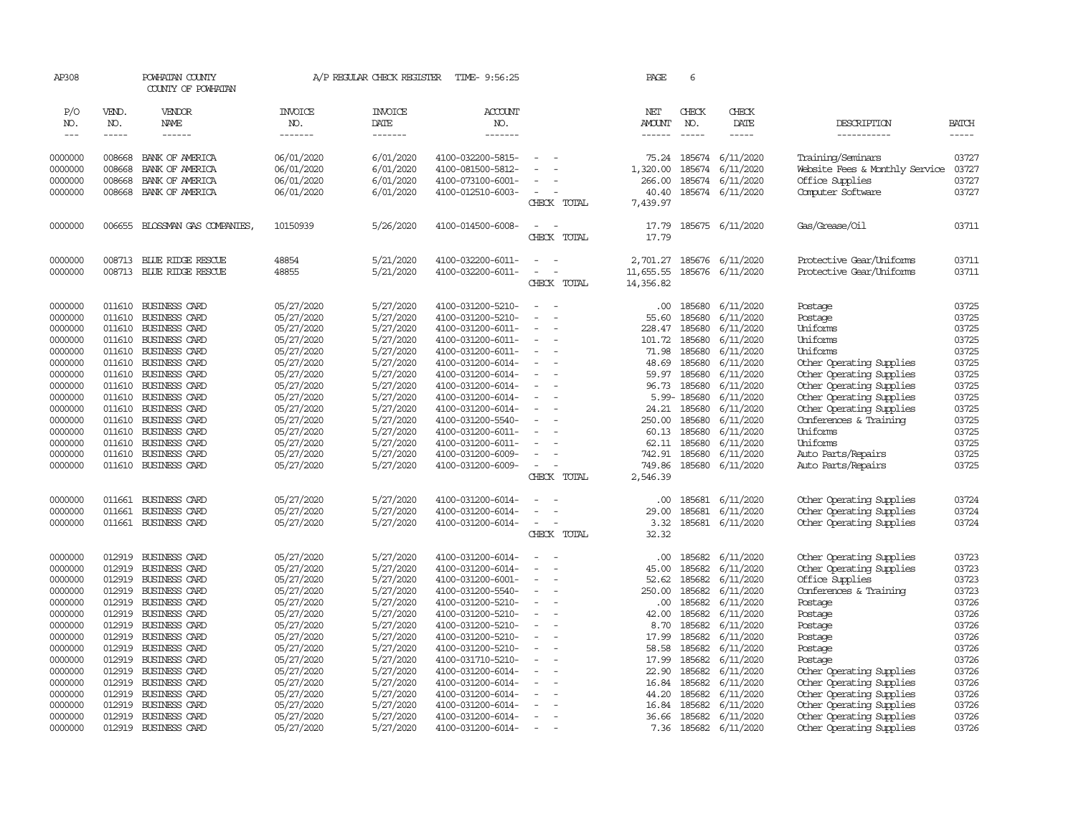| AP308              |                  | POWHATAN COUNTY<br>COUNTY OF POWHATAN |                          | A/P REGULAR CHECK REGISTER | TIME- 9:56:25                          |                                      | PAGE               | 6                |                        |                                                      |                |
|--------------------|------------------|---------------------------------------|--------------------------|----------------------------|----------------------------------------|--------------------------------------|--------------------|------------------|------------------------|------------------------------------------------------|----------------|
| P/O<br>NO.         | VEND.<br>NO.     | VENDOR<br><b>NAME</b>                 | <b>INVOICE</b><br>NO.    | <b>INVOICE</b><br>DATE     | <b>ACCOUNT</b><br>NO.                  |                                      | NET<br>AMOUNT      | CHECK<br>NO.     | CHECK<br>DATE          | DESCRIPTION                                          | <b>BATCH</b>   |
| $\frac{1}{2}$      | -----            | ------                                | -------                  | -------                    | -------                                |                                      | $- - - - - -$      | $- - - - -$      | -----                  | -----------                                          | -----          |
|                    |                  |                                       |                          |                            |                                        |                                      |                    |                  |                        |                                                      |                |
| 0000000            | 008668           | BANK OF AMERICA                       | 06/01/2020               | 6/01/2020                  | 4100-032200-5815-                      |                                      | 75.24              | 185674           | 6/11/2020              | Training/Seminars                                    | 03727          |
| 0000000<br>0000000 | 008668<br>008668 | BANK OF AMERICA<br>BANK OF AMERICA    | 06/01/2020<br>06/01/2020 | 6/01/2020<br>6/01/2020     | 4100-081500-5812-<br>4100-073100-6001- |                                      | 1,320.00<br>266.00 | 185674<br>185674 | 6/11/2020<br>6/11/2020 | Website Fees & Monthly Service<br>Office Supplies    | 03727<br>03727 |
| 0000000            | 008668           | BANK OF AMERICA                       | 06/01/2020               | 6/01/2020                  | 4100-012510-6003-                      | $\sim$                               | 40.40              |                  | 185674 6/11/2020       | Computer Software                                    | 03727          |
|                    |                  |                                       |                          |                            |                                        | CHECK TOTAL                          | 7,439.97           |                  |                        |                                                      |                |
| 0000000            | 006655           | BLOSSMAN GAS COMPANIES,               | 10150939                 | 5/26/2020                  | 4100-014500-6008-                      | $\sim$<br>CHECK TOTAL                | 17.79<br>17.79     |                  | 185675 6/11/2020       | Gas/Grease/Oil                                       | 03711          |
| 0000000            |                  | 008713 BLUE RIDGE RESCUE              | 48854                    | 5/21/2020                  | 4100-032200-6011-                      |                                      | 2,701.27           | 185676           | 6/11/2020              | Protective Gear/Uniforms                             | 03711          |
| 0000000            | 008713           | BLUE RIDGE RESCUE                     | 48855                    | 5/21/2020                  | 4100-032200-6011-                      |                                      | 11,655.55          |                  | 185676 6/11/2020       | Protective Gear/Uniforms                             | 03711          |
|                    |                  |                                       |                          |                            |                                        | CHECK TOTAL                          | 14,356.82          |                  |                        |                                                      |                |
| 0000000            | 011610           | BUSINESS CARD                         | 05/27/2020               | 5/27/2020                  | 4100-031200-5210-                      |                                      | $.00 \cdot$        | 185680           | 6/11/2020              | Postage                                              | 03725          |
| 0000000            | 011610           | BUSINESS CARD                         | 05/27/2020               | 5/27/2020                  | 4100-031200-5210-                      | $\equiv$<br>$\overline{\phantom{a}}$ | 55.60              | 185680           | 6/11/2020              | Postage                                              | 03725          |
| 0000000<br>0000000 | 011610<br>011610 | BUSINESS CARD<br>BUSINESS CARD        | 05/27/2020<br>05/27/2020 | 5/27/2020<br>5/27/2020     | 4100-031200-6011-<br>4100-031200-6011- | $\sim$                               | 228.47<br>101.72   | 185680<br>185680 | 6/11/2020<br>6/11/2020 | Uniforms<br>Uniforms                                 | 03725<br>03725 |
| 0000000            | 011610           | BUSINESS CARD                         | 05/27/2020               | 5/27/2020                  | 4100-031200-6011-                      |                                      | 71.98              | 185680           | 6/11/2020              | Uniforms                                             | 03725          |
| 0000000            | 011610           | BUSINESS CARD                         | 05/27/2020               | 5/27/2020                  | 4100-031200-6014-                      | $\sim$<br>÷.                         | 48.69              | 185680           | 6/11/2020              | Other Operating Supplies                             | 03725          |
| 0000000            | 011610           | BUSINESS CARD                         | 05/27/2020               | 5/27/2020                  | 4100-031200-6014-                      |                                      | 59.97              | 185680           | 6/11/2020              | Other Operating Supplies                             | 03725          |
| 0000000            | 011610           | BUSINESS CARD                         | 05/27/2020               | 5/27/2020                  | 4100-031200-6014-                      |                                      | 96.73              | 185680           | 6/11/2020              | Other Operating Supplies                             | 03725          |
| 0000000            | 011610           | BUSINESS CARD                         | 05/27/2020               | 5/27/2020                  | 4100-031200-6014-                      |                                      |                    | 5.99-185680      | 6/11/2020              | Other Operating Supplies                             | 03725          |
| 0000000            | 011610           | BUSINESS CARD                         | 05/27/2020               | 5/27/2020                  | 4100-031200-6014-                      |                                      | 24.21              | 185680           | 6/11/2020              | Other Operating Supplies                             | 03725          |
| 0000000<br>0000000 | 011610<br>011610 | BUSINESS CARD<br>BUSINESS CARD        | 05/27/2020<br>05/27/2020 | 5/27/2020<br>5/27/2020     | 4100-031200-5540-<br>4100-031200-6011- |                                      | 250.00<br>60.13    | 185680<br>185680 | 6/11/2020<br>6/11/2020 | Conferences & Training<br>Uniforms                   | 03725<br>03725 |
| 0000000            | 011610           | <b>BUSINESS CARD</b>                  | 05/27/2020               | 5/27/2020                  | 4100-031200-6011-                      | $\sim$                               | 62.11              | 185680           | 6/11/2020              | Uniforms                                             | 03725          |
| 0000000            | 011610           | BUSINESS CARD                         | 05/27/2020               | 5/27/2020                  | 4100-031200-6009-                      |                                      | 742.91             | 185680           | 6/11/2020              | Auto Parts/Repairs                                   | 03725          |
| 0000000            | 011610           | BUSINESS CARD                         | 05/27/2020               | 5/27/2020                  | 4100-031200-6009-                      | $\equiv$<br>$\overline{\phantom{a}}$ | 749.86             | 185680           | 6/11/2020              | Auto Parts/Repairs                                   | 03725          |
|                    |                  |                                       |                          |                            |                                        | CHECK TOTAL                          | 2,546.39           |                  |                        |                                                      |                |
| 0000000            | 011661           | BUSINESS CARD                         | 05/27/2020               | 5/27/2020                  | 4100-031200-6014-                      |                                      | .00                | 185681           | 6/11/2020              | Other Operating Supplies                             | 03724          |
| 0000000            | 011661           | <b>BUSINESS CARD</b>                  | 05/27/2020               | 5/27/2020                  | 4100-031200-6014-                      |                                      | 29.00              | 185681           | 6/11/2020              | Other Operating Supplies                             | 03724          |
| 0000000            |                  | 011661 BUSINESS CARD                  | 05/27/2020               | 5/27/2020                  | 4100-031200-6014-                      | $\sim$                               | 3.32               | 185681           | 6/11/2020              | Other Operating Supplies                             | 03724          |
|                    |                  |                                       |                          |                            |                                        | CHECK TOTAL                          | 32.32              |                  |                        |                                                      |                |
| 0000000            | 012919           | BUSINESS CARD                         | 05/27/2020               | 5/27/2020                  | 4100-031200-6014-                      |                                      | .00.               | 185682           | 6/11/2020              | Other Operating Supplies                             | 03723          |
| 0000000            | 012919           | BUSINESS CARD                         | 05/27/2020               | 5/27/2020                  | 4100-031200-6014-                      | $\equiv$<br>$\overline{\phantom{a}}$ | 45.00              | 185682           | 6/11/2020              | Other Operating Supplies                             | 03723          |
| 0000000<br>0000000 | 012919<br>012919 | BUSINESS CARD<br>BUSINESS CARD        | 05/27/2020<br>05/27/2020 | 5/27/2020<br>5/27/2020     | 4100-031200-6001-<br>4100-031200-5540- |                                      | 52.62<br>250.00    | 185682<br>185682 | 6/11/2020<br>6/11/2020 | Office Supplies<br>Conferences & Training            | 03723<br>03723 |
| 0000000            | 012919           | BUSINESS CARD                         | 05/27/2020               | 5/27/2020                  | 4100-031200-5210-                      |                                      | .00.               | 185682           | 6/11/2020              | Postage                                              | 03726          |
| 0000000            | 012919           | BUSINESS CARD                         | 05/27/2020               | 5/27/2020                  | 4100-031200-5210-                      |                                      | 42.00              | 185682           | 6/11/2020              | Postage                                              | 03726          |
| 0000000            | 012919           | BUSINESS CARD                         | 05/27/2020               | 5/27/2020                  | 4100-031200-5210-                      |                                      | 8.70               | 185682           | 6/11/2020              | Postage                                              | 03726          |
| 0000000            | 012919           | BUSINESS CARD                         | 05/27/2020               | 5/27/2020                  | 4100-031200-5210-                      |                                      | 17.99              | 185682           | 6/11/2020              | Postage                                              | 03726          |
| 0000000            | 012919           | BUSINESS CARD                         | 05/27/2020               | 5/27/2020                  | 4100-031200-5210-                      | $\sim$                               | 58.58              | 185682           | 6/11/2020              | Postage                                              | 03726          |
| 0000000            | 012919<br>012919 | BUSINESS CARD                         | 05/27/2020               | 5/27/2020                  | 4100-031710-5210-                      |                                      | 17.99              | 185682           | 6/11/2020              | Postage                                              | 03726<br>03726 |
| 0000000<br>0000000 | 012919           | BUSINESS CARD<br>BUSINESS CARD        | 05/27/2020<br>05/27/2020 | 5/27/2020<br>5/27/2020     | 4100-031200-6014-<br>4100-031200-6014- |                                      | 22.90<br>16.84     | 185682<br>185682 | 6/11/2020<br>6/11/2020 | Other Operating Supplies<br>Other Operating Supplies | 03726          |
| 0000000            | 012919           | BUSINESS CARD                         | 05/27/2020               | 5/27/2020                  | 4100-031200-6014-                      |                                      | 44.20              | 185682           | 6/11/2020              | Other Operating Supplies                             | 03726          |
| 0000000            | 012919           | BUSINESS CARD                         | 05/27/2020               | 5/27/2020                  | 4100-031200-6014-                      |                                      | 16.84              | 185682           | 6/11/2020              | Other Operating Supplies                             | 03726          |
| 0000000            | 012919           | BUSINESS CARD                         | 05/27/2020               | 5/27/2020                  | 4100-031200-6014-                      |                                      | 36.66              | 185682           | 6/11/2020              | Other Operating Supplies                             | 03726          |
| 0000000            |                  | 012919 BUSINESS CARD                  | 05/27/2020               | 5/27/2020                  | 4100-031200-6014-                      |                                      | 7.36               |                  | 185682 6/11/2020       | Other Operating Supplies                             | 03726          |
|                    |                  |                                       |                          |                            |                                        |                                      |                    |                  |                        |                                                      |                |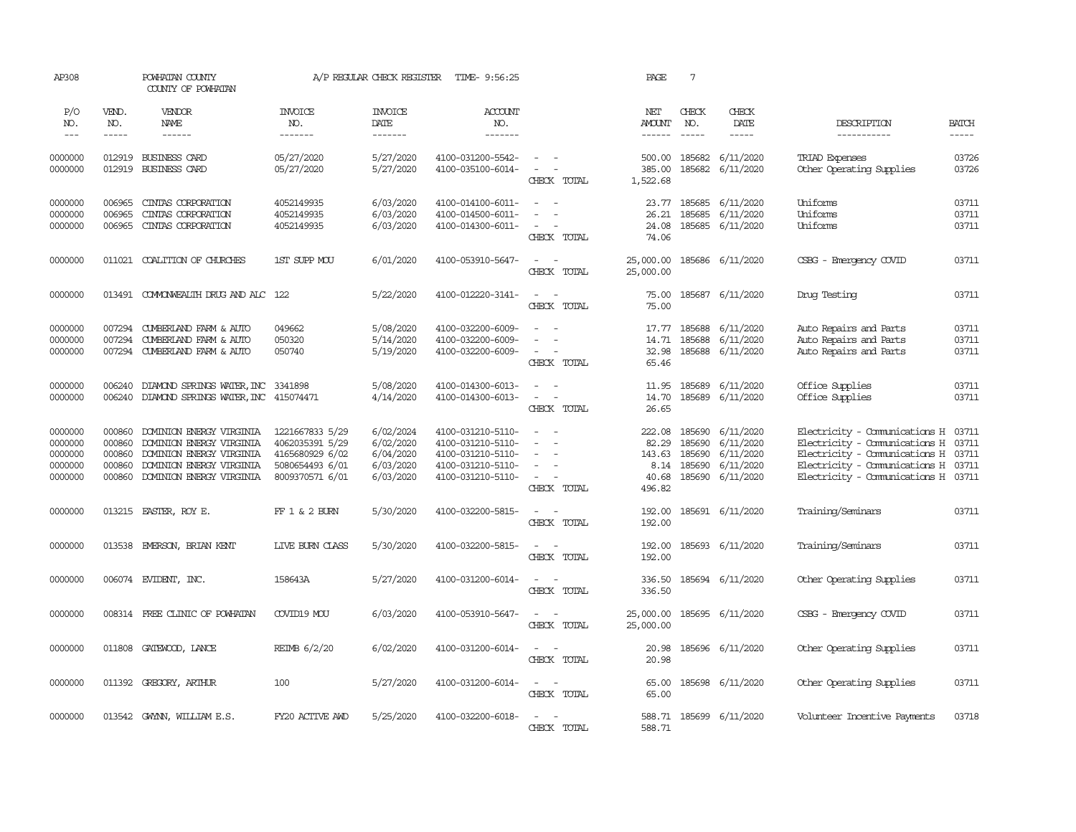| AP308                                               |                                                | POWHATAN COUNTY<br>COUNTY OF POWHATAN                                                                                                    |                                                                                             | A/P REGULAR CHECK REGISTER                                    | TIME- 9:56:25                                                                                         |                                                                                                                             | PAGE                                                 | $7\phantom{.0}$                      |                                                                      |                                                                                                                                                                         |                                  |
|-----------------------------------------------------|------------------------------------------------|------------------------------------------------------------------------------------------------------------------------------------------|---------------------------------------------------------------------------------------------|---------------------------------------------------------------|-------------------------------------------------------------------------------------------------------|-----------------------------------------------------------------------------------------------------------------------------|------------------------------------------------------|--------------------------------------|----------------------------------------------------------------------|-------------------------------------------------------------------------------------------------------------------------------------------------------------------------|----------------------------------|
| P/O<br>NO.                                          | VEND.<br>NO.                                   | VENDOR<br>NAME                                                                                                                           | <b>INVOICE</b><br>NO.                                                                       | <b>INVOICE</b><br>DATE                                        | ACCOUNT<br>NO.                                                                                        |                                                                                                                             | NET<br><b>AMOUNT</b>                                 | CHECK<br>NO.                         | CHECK<br>DATE                                                        | DESCRIPTION                                                                                                                                                             | <b>BATCH</b>                     |
| $---$                                               | -----                                          | $- - - - - -$                                                                                                                            | -------                                                                                     | -------                                                       | -------                                                                                               |                                                                                                                             | $- - - - - -$                                        | $\frac{1}{2}$                        | $- - - - -$                                                          | -----------                                                                                                                                                             | $- - - - -$                      |
| 0000000<br>0000000                                  | 012919<br>012919                               | BUSINESS CARD<br>BUSINESS CARD                                                                                                           | 05/27/2020<br>05/27/2020                                                                    | 5/27/2020<br>5/27/2020                                        | 4100-031200-5542-<br>4100-035100-6014-                                                                | $\equiv$<br>$\overline{\phantom{a}}$<br>$\overline{\phantom{a}}$<br>CHECK TOTAL                                             | 500.00<br>385.00<br>1,522.68                         | 185682<br>185682                     | 6/11/2020<br>6/11/2020                                               | TRIAD Expenses<br>Other Operating Supplies                                                                                                                              | 03726<br>03726                   |
| 0000000<br>0000000                                  | 006965<br>006965                               | CINIAS CORPORATION<br>CINIAS CORPORATION                                                                                                 | 4052149935<br>4052149935                                                                    | 6/03/2020<br>6/03/2020                                        | 4100-014100-6011-<br>4100-014500-6011-                                                                | $\overline{\phantom{a}}$<br>$\sim$                                                                                          | 23.77<br>26.21                                       | 185685<br>185685                     | 6/11/2020<br>6/11/2020                                               | Uniforms<br>Uniforms                                                                                                                                                    | 03711<br>03711                   |
| 0000000                                             | 006965                                         | CINIAS CORPORATION                                                                                                                       | 4052149935                                                                                  | 6/03/2020                                                     | 4100-014300-6011-                                                                                     | $\equiv$<br>CHECK TOTAL                                                                                                     | 24.08<br>74.06                                       |                                      | 185685 6/11/2020                                                     | Uniforms                                                                                                                                                                | 03711                            |
| 0000000                                             |                                                | 011021 COALITION OF CHURCHES                                                                                                             | 1ST SUPP MOU                                                                                | 6/01/2020                                                     | 4100-053910-5647-                                                                                     | $\sim$<br>$\sim$<br>CHECK TOTAL                                                                                             | 25,000.00<br>25,000.00                               |                                      | 185686 6/11/2020                                                     | CSBG - Emergency COVID                                                                                                                                                  | 03711                            |
| 0000000                                             |                                                | 013491 COMONWEALTH DRUG AND ALC 122                                                                                                      |                                                                                             | 5/22/2020                                                     | 4100-012220-3141-                                                                                     | $\sim$<br>$\sim$<br>CHECK TOTAL                                                                                             | 75.00<br>75.00                                       |                                      | 185687 6/11/2020                                                     | Drug Testing                                                                                                                                                            | 03711                            |
| 0000000<br>0000000<br>0000000                       | 007294<br>007294<br>007294                     | CUMBERLAND FARM & AUTO<br>CUMBERLAND FARM & AUTO<br>CUMBERLAND FARM & AUTO                                                               | 049662<br>050320<br>050740                                                                  | 5/08/2020<br>5/14/2020<br>5/19/2020                           | 4100-032200-6009-<br>4100-032200-6009-<br>4100-032200-6009-                                           | $\equiv$<br>$\equiv$<br>$\overline{\phantom{a}}$<br>$\overline{a}$<br>CHECK TOTAL                                           | 17.77<br>14.71<br>32.98<br>65.46                     | 185688<br>185688                     | 6/11/2020<br>6/11/2020<br>185688 6/11/2020                           | Auto Repairs and Parts<br>Auto Repairs and Parts<br>Auto Repairs and Parts                                                                                              | 03711<br>03711<br>03711          |
| 0000000<br>0000000                                  | 006240<br>006240                               | DIAMOND SPRINGS WATER, INC 3341898<br>DIAMOND SPRINGS WATER, INC 415074471                                                               |                                                                                             | 5/08/2020<br>4/14/2020                                        | 4100-014300-6013-<br>4100-014300-6013-                                                                | $\equiv$<br>$\sim$<br>$\sim$<br>CHECK TOTAL                                                                                 | 11.95<br>14.70<br>26.65                              | 185689                               | 6/11/2020<br>185689 6/11/2020                                        | Office Supplies<br>Office Supplies                                                                                                                                      | 03711<br>03711                   |
| 0000000<br>0000000<br>0000000<br>0000000<br>0000000 | 000860<br>000860<br>000860<br>000860<br>000860 | DOMINION ENERGY VIRGINIA<br>DOMINION ENERGY VIRGINIA<br>DOMINION ENERGY VIRGINIA<br>DOMINION ENERGY VIRGINIA<br>DOMINION ENERGY VIRGINIA | 1221667833 5/29<br>4062035391 5/29<br>4165680929 6/02<br>5080654493 6/01<br>8009370571 6/01 | 6/02/2024<br>6/02/2020<br>6/04/2020<br>6/03/2020<br>6/03/2020 | 4100-031210-5110-<br>4100-031210-5110-<br>4100-031210-5110-<br>4100-031210-5110-<br>4100-031210-5110- | $\overline{\phantom{a}}$<br>$\sim$<br>$\sim$<br>$\sim$<br>$\overline{\phantom{a}}$<br>CHECK TOTAL                           | 222.08<br>82.29<br>143.63<br>8.14<br>40.68<br>496.82 | 185690<br>185690<br>185690<br>185690 | 6/11/2020<br>6/11/2020<br>6/11/2020<br>6/11/2020<br>185690 6/11/2020 | Electricity - Comunications H<br>Electricity - Comunications H<br>Electricity - Comunications H<br>Electricity - Comunications H<br>Electricity - Comunications H 03711 | 03711<br>03711<br>03711<br>03711 |
| 0000000                                             |                                                | 013215 EASTER, ROY E.                                                                                                                    | $FF 1 & 2$ BURN                                                                             | 5/30/2020                                                     | 4100-032200-5815-                                                                                     | $\sim$ $\sim$<br>CHECK TOTAL                                                                                                | 192.00<br>192.00                                     |                                      | 185691 6/11/2020                                                     | Training/Seminars                                                                                                                                                       | 03711                            |
| 0000000                                             | 013538                                         | EMERSON, BRIAN KENT                                                                                                                      | LIVE BURN CLASS                                                                             | 5/30/2020                                                     | 4100-032200-5815-                                                                                     | $\frac{1}{2} \left( \frac{1}{2} \right) \left( \frac{1}{2} \right) \left( \frac{1}{2} \right)$<br>CHECK TOTAL               | 192.00<br>192.00                                     |                                      | 185693 6/11/2020                                                     | Training/Seminars                                                                                                                                                       | 03711                            |
| 0000000                                             |                                                | 006074 EVIDENT, INC.                                                                                                                     | 158643A                                                                                     | 5/27/2020                                                     | 4100-031200-6014-                                                                                     | $ -$<br>CHECK TOTAL                                                                                                         | 336.50<br>336.50                                     |                                      | 185694 6/11/2020                                                     | Other Operating Supplies                                                                                                                                                | 03711                            |
| 0000000                                             | 008314                                         | FREE CLINIC OF POWHATAN                                                                                                                  | COVID19 MOU                                                                                 | 6/03/2020                                                     | 4100-053910-5647-                                                                                     | $\sim$<br>$\sim$<br>CHECK TOTAL                                                                                             | 25,000.00<br>25,000.00                               |                                      | 185695 6/11/2020                                                     | CSBG - Emergency COVID                                                                                                                                                  | 03711                            |
| 0000000                                             |                                                | 011808 GATEWOOD, LANCE                                                                                                                   | REIMB 6/2/20                                                                                | 6/02/2020                                                     | 4100-031200-6014-                                                                                     | $\overline{\phantom{a}}$<br>$\sim$<br>CHECK TOTAL                                                                           | 20.98<br>20.98                                       |                                      | 185696 6/11/2020                                                     | Other Operating Supplies                                                                                                                                                | 03711                            |
| 0000000                                             |                                                | 011392 GREGORY, ARTHUR                                                                                                                   | 100                                                                                         | 5/27/2020                                                     | 4100-031200-6014-                                                                                     | $\frac{1}{2} \left( \frac{1}{2} \right) \left( \frac{1}{2} \right) = \frac{1}{2} \left( \frac{1}{2} \right)$<br>CHECK TOTAL | 65.00<br>65.00                                       |                                      | 185698 6/11/2020                                                     | Other Operating Supplies                                                                                                                                                | 03711                            |
| 0000000                                             |                                                | 013542 GWYNN, WILLIAM E.S.                                                                                                               | FY20 ACTIVE AWD                                                                             | 5/25/2020                                                     | 4100-032200-6018-                                                                                     | $\sim$<br>$\sim$<br>CHECK TOTAL                                                                                             | 588.71                                               |                                      | 588.71 185699 6/11/2020                                              | Volunteer Incentive Payments                                                                                                                                            | 03718                            |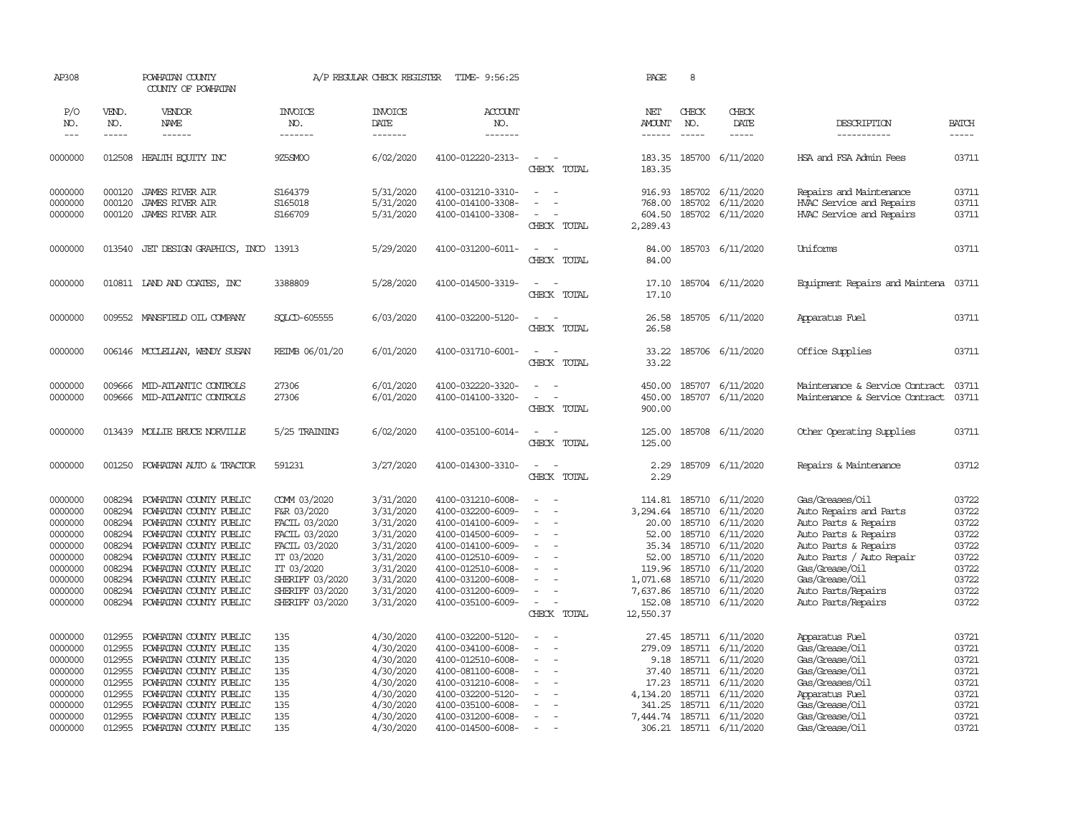| AP308               |                               | POWHATAN COUNTY<br>COUNTY OF POWHATAN            |                                  | A/P REGULAR CHECK REGISTER        | TIME- 9:56:25                          |                                    | PAGE                                  | 8                             |                                      |                                              |                             |
|---------------------|-------------------------------|--------------------------------------------------|----------------------------------|-----------------------------------|----------------------------------------|------------------------------------|---------------------------------------|-------------------------------|--------------------------------------|----------------------------------------------|-----------------------------|
| P/O<br>NO.<br>$---$ | VEND.<br>NO.<br>$\frac{1}{2}$ | VENDOR<br>NAME<br>------                         | <b>INVOICE</b><br>NO.<br>------- | <b>INVOICE</b><br>DATE<br>------- | ACCOUNT<br>NO.<br>--------             |                                    | NET<br><b>AMOUNT</b><br>$- - - - - -$ | CHECK<br>NO.<br>$\frac{1}{2}$ | CHECK<br>DATE<br>-----               | DESCRIPTION<br>-----------                   | <b>BATCH</b><br>$- - - - -$ |
| 0000000             | 012508                        | HEALTH ECUTTY INC                                | 9Z5SM00                          | 6/02/2020                         | 4100-012220-2313-                      | $\overline{\phantom{a}}$           | 183.35                                |                               | 185700 6/11/2020                     | HSA and FSA Admin Fees                       | 03711                       |
|                     |                               |                                                  |                                  |                                   |                                        | CHECK TOTAL                        | 183.35                                |                               |                                      |                                              |                             |
| 0000000             | 000120                        | <b>JAMES RIVER AIR</b>                           | S164379                          | 5/31/2020                         | 4100-031210-3310-                      | $\sim$                             |                                       |                               | 916.93 185702 6/11/2020              | Repairs and Maintenance                      | 03711                       |
| 0000000             | 000120                        | <b>JAMES RIVER AIR</b>                           | S165018                          | 5/31/2020                         | 4100-014100-3308-                      |                                    | 768.00                                | 185702                        | 6/11/2020                            | HVAC Service and Repairs                     | 03711                       |
| 0000000             | 000120                        | <b>JAMES RIVER AIR</b>                           | S166709                          | 5/31/2020                         | 4100-014100-3308-                      | CHECK TOTAL                        | 604.50<br>2,289.43                    |                               | 185702 6/11/2020                     | HVAC Service and Repairs                     | 03711                       |
| 0000000             | 013540                        | JET DESIGN GRAPHICS, INCO                        | 13913                            | 5/29/2020                         | 4100-031200-6011-                      | $\equiv$                           | 84.00                                 |                               | 185703 6/11/2020                     | Uniforms                                     | 03711                       |
|                     |                               |                                                  |                                  |                                   |                                        | CHECK TOTAL                        | 84.00                                 |                               |                                      |                                              |                             |
| 0000000             |                               | 010811 LAND AND COATES, INC                      | 3388809                          | 5/28/2020                         | 4100-014500-3319-                      | $\sim$<br>CHECK TOTAL              | 17.10<br>17.10                        |                               | 185704 6/11/2020                     | Equipment Repairs and Maintena               | 03711                       |
|                     |                               |                                                  |                                  |                                   |                                        |                                    |                                       |                               |                                      |                                              |                             |
| 0000000             |                               | 009552 MANSFIELD OIL COMPANY                     | SOLCD-605555                     | 6/03/2020                         | 4100-032200-5120-                      | $\equiv$                           | 26.58                                 |                               | 185705 6/11/2020                     | Apparatus Fuel                               | 03711                       |
|                     |                               |                                                  |                                  |                                   |                                        | CHECK TOTAL                        | 26.58                                 |                               |                                      |                                              |                             |
| 0000000             |                               | 006146 MCCLELLAN, WENDY SUSAN                    | REIMB 06/01/20                   | 6/01/2020                         | 4100-031710-6001-                      | $\overline{\phantom{a}}$<br>$\sim$ | 33.22                                 |                               | 185706 6/11/2020                     | Office Supplies                              | 03711                       |
|                     |                               |                                                  |                                  |                                   |                                        | CHECK TOTAL                        | 33.22                                 |                               |                                      |                                              |                             |
| 0000000             | 009666                        | MID-ATLANTIC CONTROLS                            | 27306                            | 6/01/2020                         | 4100-032220-3320-                      | $\sim$                             | 450.00                                |                               | 185707 6/11/2020                     | Maintenance & Service Contract               | 03711                       |
| 0000000             | 009666                        | MID-ATLANTIC CONIROLS                            | 27306                            | 6/01/2020                         | 4100-014100-3320-                      | $\sim$                             | 450.00                                | 185707                        | 6/11/2020                            | Maintenance & Service Contract               | 03711                       |
|                     |                               |                                                  |                                  |                                   |                                        | CHECK TOTAL                        | 900.00                                |                               |                                      |                                              |                             |
| 0000000             | 013439                        | MOLLIE BRUCE NORVILLE                            | 5/25 TRAINING                    | 6/02/2020                         | 4100-035100-6014-                      | $\overline{\phantom{a}}$<br>$\sim$ | 125.00                                |                               | 185708 6/11/2020                     | Other Operating Supplies                     | 03711                       |
|                     |                               |                                                  |                                  |                                   |                                        | CHECK TOTAL                        | 125.00                                |                               |                                      |                                              |                             |
| 0000000             |                               | 001250 POWHATAN AUTO & TRACTOR                   | 591231                           | 3/27/2020                         | 4100-014300-3310-                      | $\sim$<br>$\sim$                   | 2.29                                  |                               | 185709 6/11/2020                     | Repairs & Maintenance                        | 03712                       |
|                     |                               |                                                  |                                  |                                   |                                        | CHECK TOTAL                        | 2.29                                  |                               |                                      |                                              |                             |
| 0000000             | 008294                        | POWHATAN COUNTY PUBLIC                           | COMM 03/2020                     | 3/31/2020                         | 4100-031210-6008-                      | $\blacksquare$                     | 114.81                                |                               | 185710 6/11/2020                     | Gas/Greases/Oil                              | 03722                       |
| 0000000             | 008294                        | POWHATAN COUNTY PUBLIC                           | F&R 03/2020                      | 3/31/2020                         | 4100-032200-6009-                      | $\blacksquare$                     | 3,294.64                              | 185710                        | 6/11/2020                            | Auto Repairs and Parts                       | 03722                       |
| 0000000             | 008294                        | POWHATAN COUNTY PUBLIC                           | FACIL 03/2020                    | 3/31/2020                         | 4100-014100-6009-                      | $\sim$                             | 20.00                                 |                               | 185710 6/11/2020                     | Auto Parts & Repairs                         | 03722                       |
| 0000000<br>0000000  | 008294<br>008294              | POWHATAN COUNTY PUBLIC<br>POWHATAN COUNTY PUBLIC | FACIL 03/2020<br>FACIL 03/2020   | 3/31/2020<br>3/31/2020            | 4100-014500-6009-<br>4100-014100-6009- | $\equiv$                           | 52.00<br>35.34                        | 185710                        | 6/11/2020<br>185710 6/11/2020        | Auto Parts & Repairs<br>Auto Parts & Repairs | 03722<br>03722              |
| 0000000             | 008294                        | POWHATAN COUNTY PUBLIC                           | IT 03/2020                       | 3/31/2020                         | 4100-012510-6009-                      | $\sim$                             | 52.00                                 | 185710                        | 6/11/2020                            | Auto Parts / Auto Repair                     | 03722                       |
| 0000000             | 008294                        | POWHATAN COUNTY PUBLIC                           | IT 03/2020                       | 3/31/2020                         | 4100-012510-6008-                      |                                    | 119.96                                | 185710                        | 6/11/2020                            | Gas/Grease/Oil                               | 03722                       |
| 0000000             | 008294                        | POWHATAN COUNTY PUBLIC                           | SHERIFF 03/2020                  | 3/31/2020                         | 4100-031200-6008-                      | $\sim$                             | 1,071.68                              |                               | 185710 6/11/2020                     | Gas/Grease/Oil                               | 03722                       |
| 0000000             | 008294                        | POWHATAN COUNTY PUBLIC                           | SHERIFF 03/2020                  | 3/31/2020                         | 4100-031200-6009-                      | $\equiv$                           | 7,637.86                              | 185710                        | 6/11/2020                            | Auto Parts/Repairs                           | 03722                       |
| 0000000             | 008294                        | POWHATAN COUNTY PUBLIC                           | SHERIFF 03/2020                  | 3/31/2020                         | 4100-035100-6009-                      | $\sim$                             | 152.08                                |                               | 185710 6/11/2020                     | Auto Parts/Repairs                           | 03722                       |
|                     |                               |                                                  |                                  |                                   |                                        | CHECK TOTAL                        | 12,550.37                             |                               |                                      |                                              |                             |
| 0000000             | 012955                        | POWHATAN COUNTY PUBLIC                           | 135                              | 4/30/2020                         | 4100-032200-5120-                      |                                    | 27.45                                 |                               | 185711 6/11/2020                     | Apparatus Fuel                               | 03721                       |
| 0000000             | 012955                        | POWHATAN COUNTY PUBLIC                           | 135                              | 4/30/2020                         | 4100-034100-6008-                      |                                    | 279.09                                | 185711                        | 6/11/2020                            | Gas/Grease/Oil                               | 03721                       |
| 0000000             | 012955                        | POWHATAN COUNTY PUBLIC                           | 135                              | 4/30/2020                         | 4100-012510-6008-                      | $\equiv$                           | 9.18                                  |                               | 185711 6/11/2020                     | Gas/Grease/Oil                               | 03721                       |
| 0000000             | 012955                        | POWHATAN COUNTY PUBLIC                           | 135                              | 4/30/2020                         | 4100-081100-6008-                      | $\equiv$                           | 37.40                                 | 185711                        | 6/11/2020                            | Gas/Grease/Oil                               | 03721                       |
| 0000000<br>0000000  | 012955<br>012955              | POWHATAN COUNTY PUBLIC<br>POWHATAN COUNTY PUBLIC | 135<br>135                       | 4/30/2020<br>4/30/2020            | 4100-031210-6008-<br>4100-032200-5120- |                                    | 17.23<br>4,134.20                     |                               | 185711 6/11/2020<br>185711 6/11/2020 | Gas/Greases/Oil<br>Apparatus Fuel            | 03721<br>03721              |
| 0000000             | 012955                        | POWHATAN COUNTY PUBLIC                           | 135                              | 4/30/2020                         | 4100-035100-6008-                      |                                    | 341.25                                | 185711                        | 6/11/2020                            | Gas/Grease/Oil                               | 03721                       |
| 0000000             | 012955                        | POWHATAN COUNTY PUBLIC                           | 135                              | 4/30/2020                         | 4100-031200-6008-                      | $\sim$                             | 7,444.74                              |                               | 185711 6/11/2020                     | Gas/Grease/Oil                               | 03721                       |
| 0000000             | 012955                        | POWHATAN COUNTY PUBLIC                           | 135                              | 4/30/2020                         | 4100-014500-6008-                      |                                    |                                       |                               | 306.21 185711 6/11/2020              | Gas/Grease/Oil                               | 03721                       |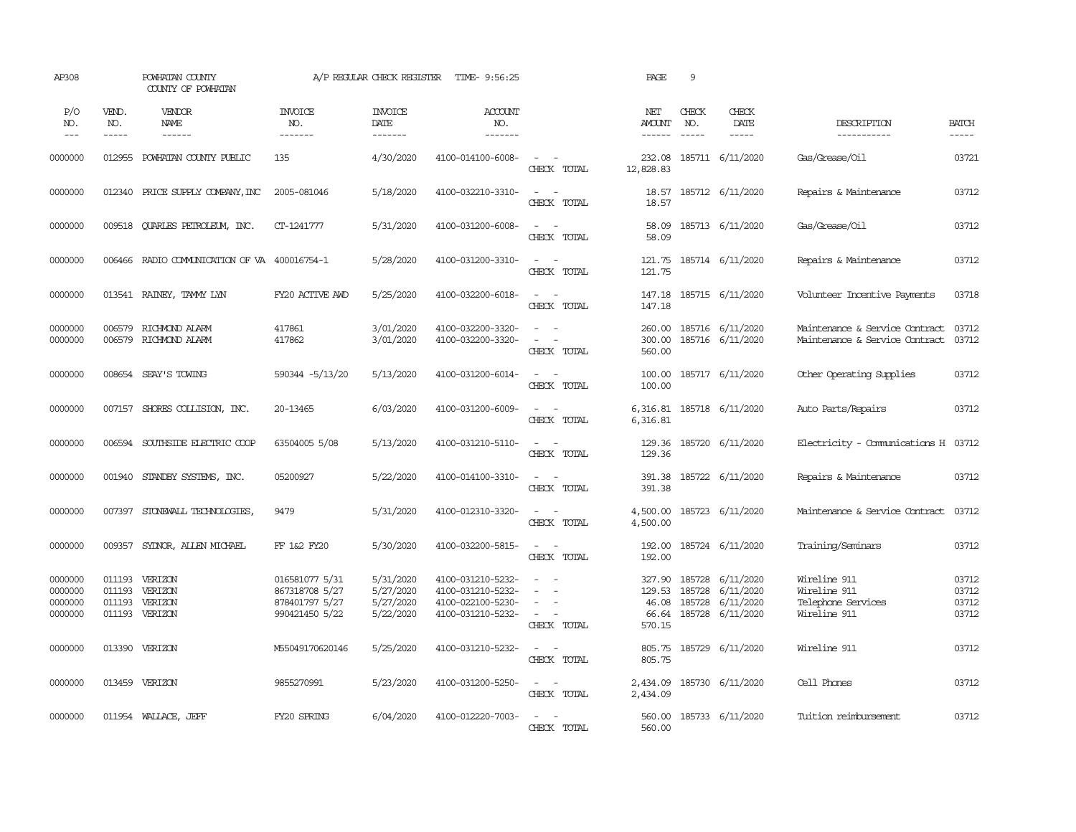| AP308                                    |                             | POWHATAN COUNTY<br>COUNTY OF POWHATAN                  |                                                                      | A/P REGULAR CHECK REGISTER                       | TIME- 9:56:25                                                                    |                                                                                                     | PAGE                                  | 9                             |                                                                             |                                                                    |                                  |
|------------------------------------------|-----------------------------|--------------------------------------------------------|----------------------------------------------------------------------|--------------------------------------------------|----------------------------------------------------------------------------------|-----------------------------------------------------------------------------------------------------|---------------------------------------|-------------------------------|-----------------------------------------------------------------------------|--------------------------------------------------------------------|----------------------------------|
| P/O<br>NO.<br>$---$                      | VEND.<br>NO.<br>$- - - - -$ | VENDOR<br>NAME<br>$- - - - - -$                        | <b>INVOICE</b><br>NO.<br>-------                                     | <b>INVOICE</b><br>DATE<br>-------                | ACCOUNT<br>NO.<br>-------                                                        |                                                                                                     | NET<br><b>AMOUNT</b><br>$- - - - - -$ | CHECK<br>NO.<br>$\frac{1}{2}$ | CHECK<br>DATE<br>$- - - - -$                                                | DESCRIPTION<br>-----------                                         | <b>BATCH</b><br>-----            |
| 0000000                                  | 012955                      | POWHATAN COUNTY PUBLIC                                 | 135                                                                  | 4/30/2020                                        | 4100-014100-6008-                                                                | $\omega_{\rm{max}}$ and $\omega_{\rm{max}}$<br>CHECK TOTAL                                          | 232.08<br>12,828.83                   |                               | 185711 6/11/2020                                                            | Gas/Grease/Oil                                                     | 03721                            |
| 0000000                                  | 012340                      | PRICE SUPPLY COMPANY, INC                              | 2005-081046                                                          | 5/18/2020                                        | 4100-032210-3310-                                                                | $\sim$ $ -$<br>CHECK TOTAL                                                                          | 18.57<br>18.57                        |                               | 185712 6/11/2020                                                            | Repairs & Maintenance                                              | 03712                            |
| 0000000                                  |                             | 009518 QUARLES PETROLEUM, INC.                         | CT-1241777                                                           | 5/31/2020                                        | 4100-031200-6008-                                                                | $\sim$<br>$\sim$ $-$<br>CHECK TOTAL                                                                 | 58.09<br>58.09                        |                               | 185713 6/11/2020                                                            | Gas/Grease/Oil                                                     | 03712                            |
| 0000000                                  | 006466                      | RADIO COMMUNICATION OF VA 400016754-1                  |                                                                      | 5/28/2020                                        | 4100-031200-3310-                                                                | $\sim$ $ -$<br>CHECK TOTAL                                                                          | 121.75<br>121.75                      |                               | 185714 6/11/2020                                                            | Repairs & Maintenance                                              | 03712                            |
| 0000000                                  |                             | 013541 RAINEY, TAMMY LYN                               | FY20 ACTIVE AWD                                                      | 5/25/2020                                        | 4100-032200-6018-                                                                | $\sim$ $\sim$<br>CHECK TOTAL                                                                        | 147.18                                |                               | 147.18 185715 6/11/2020                                                     | Volunteer Incentive Payments                                       | 03718                            |
| 0000000<br>0000000                       | 006579                      | RICHMOND ALARM<br>006579 RICHMOND ALARM                | 417861<br>417862                                                     | 3/01/2020<br>3/01/2020                           | 4100-032200-3320-<br>4100-032200-3320-                                           | $\sim$<br>$\sim$<br>$\sim$<br>$\sim$<br>CHECK TOTAL                                                 | 260.00<br>300.00<br>560.00            |                               | 185716 6/11/2020<br>185716 6/11/2020                                        | Maintenance & Service Contract<br>Maintenance & Service Contract   | 03712<br>03712                   |
| 0000000                                  |                             | 008654 SEAY'S TOWING                                   | 590344 -5/13/20                                                      | 5/13/2020                                        | 4100-031200-6014-                                                                | $\sim$ $ \sim$<br>CHECK TOTAL                                                                       | 100.00<br>100.00                      |                               | 185717 6/11/2020                                                            | Other Operating Supplies                                           | 03712                            |
| 0000000                                  |                             | 007157 SHORES COLLISION, INC.                          | 20-13465                                                             | 6/03/2020                                        | 4100-031200-6009-                                                                | $\sim$ $  -$<br>CHECK TOTAL                                                                         | 6,316.81                              |                               | 6,316.81 185718 6/11/2020                                                   | Auto Parts/Repairs                                                 | 03712                            |
| 0000000                                  | 006594                      | SOUTHSIDE ELECTRIC COOP                                | 63504005 5/08                                                        | 5/13/2020                                        | 4100-031210-5110-                                                                | $\sim$ 100 $\sim$<br>CHECK TOTAL                                                                    | 129.36<br>129.36                      |                               | 185720 6/11/2020                                                            | Electricity - Comunications H 03712                                |                                  |
| 0000000                                  | 001940                      | STANDBY SYSTEMS, INC.                                  | 05200927                                                             | 5/22/2020                                        | 4100-014100-3310-                                                                | $\sim$<br>$\sim$<br>CHECK TOTAL                                                                     | 391.38<br>391.38                      |                               | 185722 6/11/2020                                                            | Repairs & Maintenance                                              | 03712                            |
| 0000000                                  | 007397                      | STONEWALL TECHNOLOGIES,                                | 9479                                                                 | 5/31/2020                                        | 4100-012310-3320-                                                                | $\sim$<br>$\sim$<br>CHECK TOTAL                                                                     | 4,500.00<br>4,500.00                  |                               | 185723 6/11/2020                                                            | Maintenance & Service Contract                                     | 03712                            |
| 0000000                                  | 009357                      | SYDNOR, ALLEN MICHAEL                                  | FF 1&2 FY20                                                          | 5/30/2020                                        | 4100-032200-5815-                                                                | $\sim$ $ \sim$<br>CHECK TOTAL                                                                       | 192.00<br>192.00                      |                               | 185724 6/11/2020                                                            | Training/Seminars                                                  | 03712                            |
| 0000000<br>0000000<br>0000000<br>0000000 | 011193<br>011193            | 011193 VERIZON<br>VERIZON<br>VERIZON<br>011193 VERIZON | 016581077 5/31<br>867318708 5/27<br>878401797 5/27<br>990421450 5/22 | 5/31/2020<br>5/27/2020<br>5/27/2020<br>5/22/2020 | 4100-031210-5232-<br>4100-031210-5232-<br>4100-022100-5230-<br>4100-031210-5232- | $\overline{\phantom{a}}$<br>$\sim$<br>$\sim$<br>$\sim$<br>$\sim$<br>$\sim$<br>$\sim$<br>CHECK TOTAL | 129.53<br>46.08<br>570.15             | 185728<br>185728              | 327.90 185728 6/11/2020<br>6/11/2020<br>6/11/2020<br>66.64 185728 6/11/2020 | Wireline 911<br>Wireline 911<br>Telephone Services<br>Wireline 911 | 03712<br>03712<br>03712<br>03712 |
| 0000000                                  |                             | 013390 VERIZON                                         | M55049170620146                                                      | 5/25/2020                                        | 4100-031210-5232-                                                                | $\sim$<br>$\sim$<br>CHECK TOTAL                                                                     | 805.75<br>805.75                      |                               | 185729 6/11/2020                                                            | Wireline 911                                                       | 03712                            |
| 0000000                                  |                             | 013459 VERIZON                                         | 9855270991                                                           | 5/23/2020                                        | 4100-031200-5250-                                                                | $\omega_{\rm{max}}$ and $\omega_{\rm{max}}$<br>CHECK TOTAL                                          | 2,434.09<br>2,434.09                  |                               | 185730 6/11/2020                                                            | Cell Phones                                                        | 03712                            |
| 0000000                                  |                             | 011954 WALLACE, JEFF                                   | FY20 SPRING                                                          | 6/04/2020                                        | 4100-012220-7003-                                                                | $\sim$<br>$\sim$<br>CHECK TOTAL                                                                     | 560.00                                |                               | 560.00 185733 6/11/2020                                                     | Tuition reimbursement                                              | 03712                            |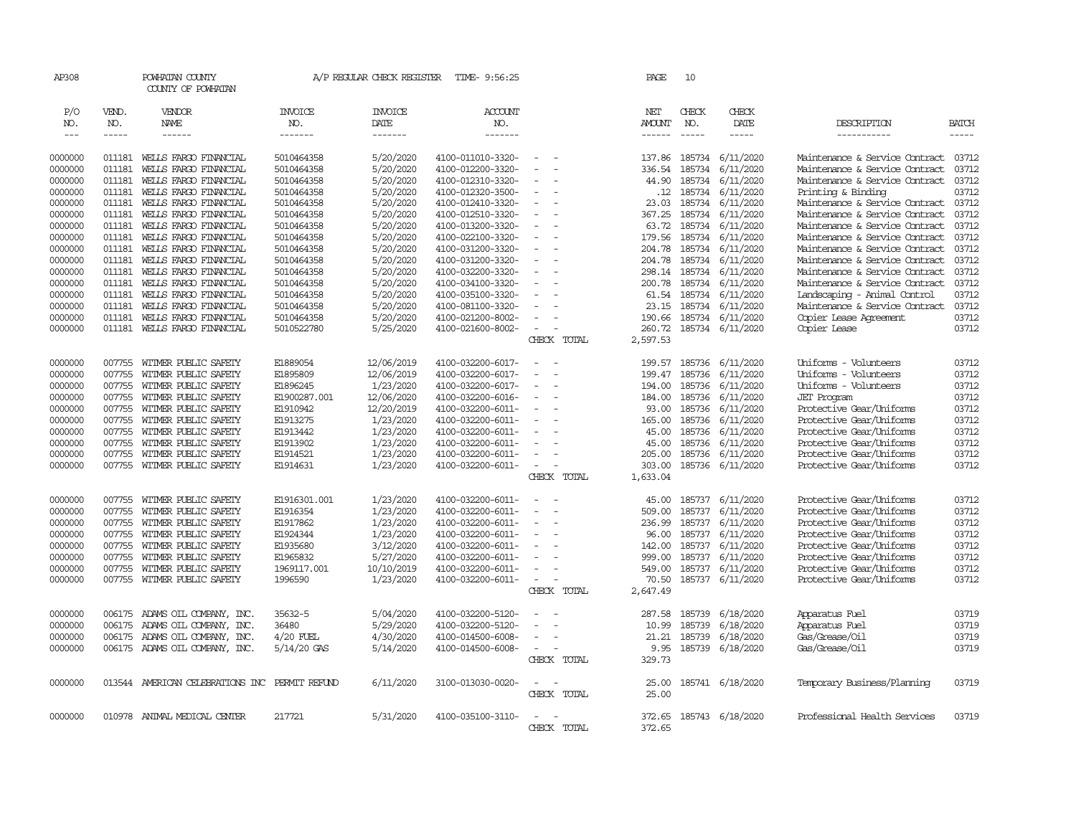| AP308         |              | POWHATAN COUNTY<br>COUNTY OF POWHATAN   |                       | A/P REGULAR CHECK REGISTER | TIME- 9:56:25         |                          |             | PAGE          | 10            |                  |                                |              |
|---------------|--------------|-----------------------------------------|-----------------------|----------------------------|-----------------------|--------------------------|-------------|---------------|---------------|------------------|--------------------------------|--------------|
| P/O<br>NO.    | VEND.<br>NO. | VENDOR<br><b>NAME</b>                   | <b>INVOICE</b><br>NO. | <b>INVOICE</b><br>DATE     | <b>ACCOUNT</b><br>NO. |                          |             | NET<br>AMOUNT | CHECK<br>NO.  | CHECK<br>DATE    | DESCRIPTION                    | <b>BATCH</b> |
| $\frac{1}{2}$ | -----        | ------                                  | -------               | -------                    | -------               |                          |             | ------        | $\frac{1}{2}$ | $- - - - -$      | -----------                    | $- - - - -$  |
| 0000000       |              | 011181 WELLS FARGO FINANCIAL            | 5010464358            | 5/20/2020                  | 4100-011010-3320-     | $\sim$                   |             | 137.86        |               | 185734 6/11/2020 | Maintenance & Service Contract | 03712        |
| 0000000       | 011181       | WELLS FARGO FINANCIAL                   | 5010464358            | 5/20/2020                  | 4100-012200-3320-     | $\equiv$                 |             | 336.54        | 185734        | 6/11/2020        | Maintenance & Service Contract | 03712        |
| 0000000       | 011181       | WELLS FARGO FINANCIAL                   | 5010464358            | 5/20/2020                  | 4100-012310-3320-     |                          |             | 44.90         | 185734        | 6/11/2020        | Maintenance & Service Contract | 03712        |
| 0000000       | 011181       | WELLS FARGO FINANCIAL                   | 5010464358            | 5/20/2020                  | 4100-012320-3500-     | $\equiv$                 |             | .12           | 185734        | 6/11/2020        | Printing & Binding             | 03712        |
| 0000000       | 011181       | WELLS FARGO FINANCIAL                   | 5010464358            | 5/20/2020                  | 4100-012410-3320-     | $\equiv$                 |             | 23.03         | 185734        | 6/11/2020        | Maintenance & Service Contract | 03712        |
| 0000000       | 011181       | WELLS FARGO FINANCIAL                   | 5010464358            | 5/20/2020                  | 4100-012510-3320-     | $\sim$                   |             | 367.25        | 185734        | 6/11/2020        | Maintenance & Service Contract | 03712        |
| 0000000       | 011181       | WELLS FARGO FINANCIAL                   | 5010464358            | 5/20/2020                  | 4100-013200-3320-     |                          |             | 63.72         | 185734        | 6/11/2020        | Maintenance & Service Contract | 03712        |
| 0000000       | 011181       | WELLS FARGO FINANCIAL                   | 5010464358            | 5/20/2020                  | 4100-022100-3320-     | $\sim$                   |             | 179.56        | 185734        | 6/11/2020        | Maintenance & Service Contract | 03712        |
| 0000000       | 011181       | WELLS FARGO FINANCIAL                   | 5010464358            | 5/20/2020                  | 4100-031200-3320-     | $\sim$                   |             | 204.78        | 185734        | 6/11/2020        | Maintenance & Service Contract | 03712        |
| 0000000       | 011181       | WELLS FARGO FINANCIAL                   | 5010464358            | 5/20/2020                  | 4100-031200-3320-     |                          |             | 204.78        | 185734        | 6/11/2020        | Maintenance & Service Contract | 03712        |
| 0000000       | 011181       | WELLS FARGO FINANCIAL                   | 5010464358            | 5/20/2020                  | 4100-032200-3320-     | $\sim$                   |             | 298.14        | 185734        | 6/11/2020        | Maintenance & Service Contract | 03712        |
| 0000000       | 011181       | WELLS FARGO FINANCIAL                   | 5010464358            | 5/20/2020                  | 4100-034100-3320-     |                          |             | 200.78        | 185734        | 6/11/2020        | Maintenance & Service Contract | 03712        |
| 0000000       | 011181       | WEILS FARGO FINANCIAL                   | 5010464358            | 5/20/2020                  | 4100-035100-3320-     |                          |             | 61.54         | 185734        | 6/11/2020        | Landscaping - Animal Control   | 03712        |
| 0000000       | 011181       | WELLS FARGO FINANCIAL                   | 5010464358            | 5/20/2020                  | 4100-081100-3320-     |                          |             | 23.15         | 185734        | 6/11/2020        | Maintenance & Service Contract | 03712        |
| 0000000       | 011181       | WELLS FARGO FINANCIAL                   | 5010464358            | 5/20/2020                  | 4100-021200-8002-     | $\overline{\phantom{a}}$ |             | 190.66        | 185734        | 6/11/2020        | Copier Lease Agreement         | 03712        |
| 0000000       | 011181       | WELLS FARGO FINANCIAL                   | 5010522780            | 5/25/2020                  | 4100-021600-8002-     | $\equiv$                 |             | 260.72        |               | 185734 6/11/2020 | Copier Lease                   | 03712        |
|               |              |                                         |                       |                            |                       |                          | CHECK TOTAL | 2,597.53      |               |                  |                                |              |
| 0000000       | 007755       | WITMER PUBLIC SAFETY                    | E1889054              | 12/06/2019                 | 4100-032200-6017-     | $\equiv$                 |             | 199.57        | 185736        | 6/11/2020        | Uniforms - Volunteers          | 03712        |
| 0000000       | 007755       | WITMER PUBLIC SAFETY                    | E1895809              | 12/06/2019                 | 4100-032200-6017-     |                          |             | 199.47        | 185736        | 6/11/2020        | Uniforms - Volunteers          | 03712        |
| 0000000       | 007755       | WITMER PUBLIC SAFETY                    | E1896245              | 1/23/2020                  | 4100-032200-6017-     | $\sim$                   |             | 194.00        | 185736        | 6/11/2020        | Uniforms - Volunteers          | 03712        |
| 0000000       | 007755       | WITMER PUBLIC SAFETY                    | E1900287.001          | 12/06/2020                 | 4100-032200-6016-     | $\sim$                   |             | 184.00        | 185736        | 6/11/2020        | <b>JET</b> Program             | 03712        |
| 0000000       | 007755       | WITMER PUBLIC SAFETY                    | E1910942              | 12/20/2019                 | 4100-032200-6011-     | $\overline{\phantom{a}}$ |             | 93.00         | 185736        | 6/11/2020        | Protective Gear/Uniforms       | 03712        |
| 0000000       | 007755       | WITMER PUBLIC SAFETY                    | E1913275              | 1/23/2020                  | 4100-032200-6011-     |                          |             | 165.00        | 185736        | 6/11/2020        | Protective Gear/Uniforms       | 03712        |
| 0000000       | 007755       | WITMER PUBLIC SAFETY                    | E1913442              | 1/23/2020                  | 4100-032200-6011-     | $\sim$                   |             | 45.00         | 185736        | 6/11/2020        | Protective Gear/Uniforms       | 03712        |
| 0000000       | 007755       | WITMER PUBLIC SAFETY                    | E1913902              | 1/23/2020                  | 4100-032200-6011-     |                          |             | 45.00         | 185736        | 6/11/2020        | Protective Gear/Uniforms       | 03712        |
| 0000000       | 007755       | WITMER PUBLIC SAFETY                    | E1914521              | 1/23/2020                  | 4100-032200-6011-     |                          |             | 205.00        | 185736        | 6/11/2020        | Protective Gear/Uniforms       | 03712        |
| 0000000       |              | 007755 WITMER PUBLIC SAFETY             | E1914631              | 1/23/2020                  | 4100-032200-6011-     | $\sim$                   |             | 303.00        |               | 185736 6/11/2020 | Protective Gear/Uniforms       | 03712        |
|               |              |                                         |                       |                            |                       |                          | CHECK TOTAL | 1,633.04      |               |                  |                                |              |
| 0000000       | 007755       | WITMER PUBLIC SAFETY                    | E1916301.001          | 1/23/2020                  | 4100-032200-6011-     | $\sim$                   |             | 45.00         |               | 185737 6/11/2020 | Protective Gear/Uniforms       | 03712        |
| 0000000       | 007755       | WITMER PUBLIC SAFETY                    | E1916354              | 1/23/2020                  | 4100-032200-6011-     | $\equiv$                 |             | 509.00        | 185737        | 6/11/2020        | Protective Gear/Uniforms       | 03712        |
| 0000000       | 007755       | WITMER PUBLIC SAFETY                    | E1917862              | 1/23/2020                  | 4100-032200-6011-     | $\equiv$                 |             | 236.99        | 185737        | 6/11/2020        | Protective Gear/Uniforms       | 03712        |
| 0000000       | 007755       | WITMER PUBLIC SAFETY                    | E1924344              | 1/23/2020                  | 4100-032200-6011-     |                          |             | 96.00         | 185737        | 6/11/2020        | Protective Gear/Uniforms       | 03712        |
| 0000000       | 007755       | WITMER PUBLIC SAFETY                    | E1935680              | 3/12/2020                  | 4100-032200-6011-     | $\equiv$                 |             | 142.00        | 185737        | 6/11/2020        | Protective Gear/Uniforms       | 03712        |
| 0000000       | 007755       | WITMER PUBLIC SAFETY                    | E1965832              | 5/27/2020                  | 4100-032200-6011-     |                          |             | 999.00        | 185737        | 6/11/2020        | Protective Gear/Uniforms       | 03712        |
| 0000000       | 007755       | WITMER PUBLIC SAFETY                    | 1969117.001           | 10/10/2019                 | 4100-032200-6011-     |                          |             | 549.00        | 185737        | 6/11/2020        | Protective Gear/Uniforms       | 03712        |
| 0000000       |              | 007755 WITMER PUBLIC SAFETY             | 1996590               | 1/23/2020                  | 4100-032200-6011-     | $\overline{\phantom{a}}$ |             | 70.50         |               | 185737 6/11/2020 | Protective Gear/Uniforms       | 03712        |
|               |              |                                         |                       |                            |                       |                          | CHECK TOTAL | 2,647.49      |               |                  |                                |              |
| 0000000       | 006175       | ADAMS OIL COMPANY, INC.                 | 35632-5               | 5/04/2020                  | 4100-032200-5120-     | $\overline{\phantom{a}}$ |             | 287.58        | 185739        | 6/18/2020        | Apparatus Fuel                 | 03719        |
| 0000000       | 006175       | ADAMS OIL COMPANY, INC.                 | 36480                 | 5/29/2020                  | 4100-032200-5120-     | $\sim$                   |             | 10.99         | 185739        | 6/18/2020        | Apparatus Fuel                 | 03719        |
| 0000000       | 006175       | ADAMS OIL COMPANY, INC.                 | $4/20$ FUEL           | 4/30/2020                  | 4100-014500-6008-     | $\equiv$                 |             | 21.21         | 185739        | 6/18/2020        | Gas/Grease/Oil                 | 03719        |
| 0000000       |              | 006175 ADAMS OIL COMPANY, INC.          | 5/14/20 GAS           | 5/14/2020                  | 4100-014500-6008-     | $\sim$                   |             | 9.95          |               | 185739 6/18/2020 | Gas/Grease/Oil                 | 03719        |
|               |              |                                         |                       |                            |                       |                          | CHECK TOTAL | 329.73        |               |                  |                                |              |
| 0000000       | 013544       | AMERICAN CELEBRATIONS INC PERMIT REFUND |                       | 6/11/2020                  | 3100-013030-0020-     | $\sim$<br>- -            |             | 25.00         |               | 185741 6/18/2020 | Temporary Business/Planning    | 03719        |
|               |              |                                         |                       |                            |                       |                          | CHECK TOTAL | 25.00         |               |                  |                                |              |
| 0000000       |              | 010978 ANIMAL MEDICAL CENTER            | 217721                | 5/31/2020                  | 4100-035100-3110-     | $\equiv$                 |             | 372.65        |               | 185743 6/18/2020 | Professional Health Services   | 03719        |
|               |              |                                         |                       |                            |                       |                          | CHECK TOTAL | 372.65        |               |                  |                                |              |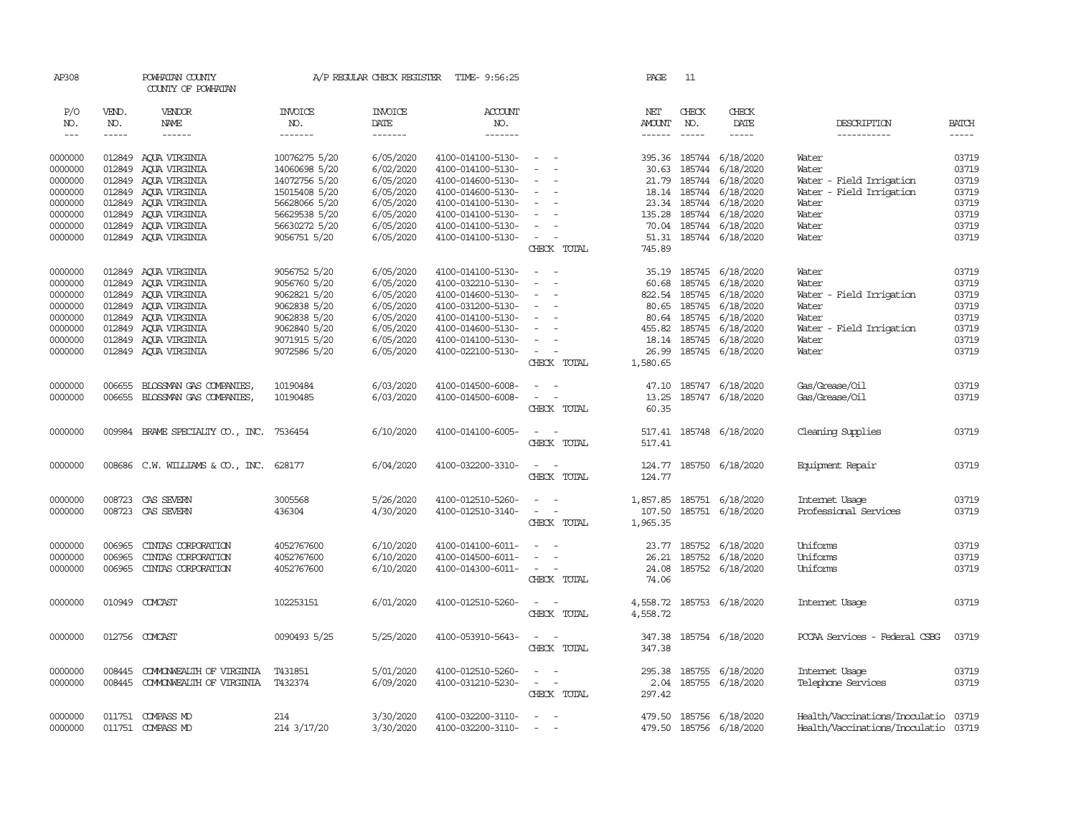| AP308                |              | POWHATAN COUNTY<br>COUNTY OF POWHATAN     |                       | A/P REGULAR CHECK REGISTER | TIME- 9:56:25                          |                                    | PAGE          | 11            |                           |                                |                |
|----------------------|--------------|-------------------------------------------|-----------------------|----------------------------|----------------------------------------|------------------------------------|---------------|---------------|---------------------------|--------------------------------|----------------|
| P/O<br>NO.           | VEND.<br>NO. | VENDOR<br>NAME                            | <b>INVOICE</b><br>NO. | <b>INVOICE</b><br>DATE     | <b>ACCOUNT</b><br>NO.                  |                                    | NET<br>AMOUNT | CHECK<br>NO.  | CHECK<br>DATE             | DESCRIPTION                    | <b>BATCH</b>   |
| $\sim$ $\sim$ $\sim$ | $- - - - -$  | ------                                    | -------               | -------                    | -------                                |                                    | $- - - - - -$ | $\frac{1}{2}$ | $- - - - -$               | ------------                   | $- - - - -$    |
| 0000000              |              | 012849 AQUA VIRGINIA                      | 10076275 5/20         | 6/05/2020                  | 4100-014100-5130-                      | $\sim$ $  -$                       |               |               | 395.36 185744 6/18/2020   | Water                          | 03719          |
| 0000000              |              | 012849 AQUA VIRGINIA                      | 14060698 5/20         | 6/02/2020                  | 4100-014100-5130-                      | $\overline{\phantom{a}}$           | 30.63         | 185744        | 6/18/2020                 | Water                          | 03719          |
| 0000000              |              | 012849 ACUA VIRGINIA                      | 14072756 5/20         | 6/05/2020                  | 4100-014600-5130-                      | $\equiv$                           | 21.79         | 185744        | 6/18/2020                 | Water - Field Irrigation       | 03719          |
| 0000000              |              | 012849 AQUA VIRGINIA                      | 15015408 5/20         | 6/05/2020                  | 4100-014600-5130-                      | $\equiv$                           |               |               | 18.14 185744 6/18/2020    | Water - Field Irrigation       | 03719          |
| 0000000              |              | 012849 AQUA VIRGINIA                      | 56628066 5/20         | 6/05/2020                  | 4100-014100-5130-                      | $\sim$                             |               |               | 23.34 185744 6/18/2020    | Water                          | 03719          |
| 0000000              |              | 012849 ACUA VIRGINIA                      | 56629538 5/20         | 6/05/2020                  | 4100-014100-5130-                      | $\sim$                             | 135.28        |               | 185744 6/18/2020          | Water                          | 03719          |
| 0000000              |              | 012849 AQUA VIRGINIA                      | 56630272 5/20         | 6/05/2020                  | 4100-014100-5130-                      | $\equiv$                           |               |               | 70.04 185744 6/18/2020    | Water                          | 03719          |
| 0000000              |              | 012849 AQUA VIRGINIA                      | 9056751 5/20          | 6/05/2020                  | 4100-014100-5130-                      | $\sim$                             |               |               | 51.31 185744 6/18/2020    | Water                          | 03719          |
|                      |              |                                           |                       |                            |                                        | CHECK TOTAL                        | 745.89        |               |                           |                                |                |
|                      |              |                                           |                       |                            |                                        | $\sim$                             |               |               |                           |                                |                |
| 0000000              |              | 012849 AQUA VIRGINIA                      | 9056752 5/20          | 6/05/2020                  | 4100-014100-5130-<br>4100-032210-5130- | $\sim$                             | 35.19         |               | 185745 6/18/2020          | Water<br>Water                 | 03719<br>03719 |
| 0000000              |              | 012849 AQUA VIRGINIA                      | 9056760 5/20          | 6/05/2020                  |                                        | $\sim$                             | 60.68         | 185745        | 6/18/2020                 |                                |                |
| 0000000              |              | 012849 ACUA VIRGINIA                      | 9062821 5/20          | 6/05/2020                  | 4100-014600-5130-                      |                                    |               |               | 822.54 185745 6/18/2020   | Water - Field Irrigation       | 03719          |
| 0000000              |              | 012849 AQUA VIRGINIA                      | 9062838 5/20          | 6/05/2020                  | 4100-031200-5130-                      | $\overline{\phantom{a}}$           |               | 80.65 185745  | 6/18/2020                 | Water                          | 03719          |
| 0000000              |              | 012849 AQUA VIRGINIA                      | 9062838 5/20          | 6/05/2020                  | 4100-014100-5130-                      | $\sim$                             |               | 80.64 185745  | 6/18/2020                 | Water                          | 03719          |
| 0000000              |              | 012849 AQUA VIRGINIA                      | 9062840 5/20          | 6/05/2020                  | 4100-014600-5130-                      | $\sim$                             | 455.82        | 185745        | 6/18/2020                 | Water - Field Irrigation       | 03719          |
| 0000000              |              | 012849 AQUA VIRGINIA                      | 9071915 5/20          | 6/05/2020                  | 4100-014100-5130-                      | $\equiv$                           |               |               | 18.14 185745 6/18/2020    | Water                          | 03719          |
| 0000000              |              | 012849 AQUA VIRGINIA                      | 9072586 5/20          | 6/05/2020                  | 4100-022100-5130-                      | $\sim$<br>$\sim$                   |               |               | 26.99 185745 6/18/2020    | Water                          | 03719          |
|                      |              |                                           |                       |                            |                                        | CHECK TOTAL                        | 1,580.65      |               |                           |                                |                |
| 0000000              |              | 006655 BLOSSMAN GAS COMPANIES,            | 10190484              | 6/03/2020                  | 4100-014500-6008-                      | $\overline{\phantom{a}}$<br>$\sim$ |               |               | 47.10 185747 6/18/2020    | Gas/Grease/Oil                 | 03719          |
| 0000000              |              | 006655 BLOSSMAN GAS COMPANIES,            | 10190485              | 6/03/2020                  | 4100-014500-6008-                      | $\sim$<br>$\sim$                   | 13.25         |               | 185747 6/18/2020          | Gas/Grease/Oil                 | 03719          |
|                      |              |                                           |                       |                            |                                        | CHECK TOTAL                        | 60.35         |               |                           |                                |                |
| 0000000              |              | 009984 BRAME SPECIALITY CO., INC. 7536454 |                       | 6/10/2020                  | 4100-014100-6005-                      | $\sim$<br>$\sim$                   |               |               | 517.41 185748 6/18/2020   | Cleaning Supplies              | 03719          |
|                      |              |                                           |                       |                            |                                        | CHECK TOTAL                        | 517.41        |               |                           |                                |                |
| 0000000              |              | 008686 C.W. WILLIAMS & CO., INC.          | 628177                | 6/04/2020                  | 4100-032200-3310-                      | $\sim$ $ \sim$                     |               |               | 124.77 185750 6/18/2020   | Equipment Repair               | 03719          |
|                      |              |                                           |                       |                            |                                        | CHECK TOTAL                        | 124.77        |               |                           |                                |                |
| 0000000              |              | 008723 CAS SEVERN                         | 3005568               | 5/26/2020                  | 4100-012510-5260-                      | $\overline{\phantom{a}}$<br>$\sim$ | 1,857.85      |               | 185751 6/18/2020          | Internet Usage                 | 03719          |
| 0000000              |              | 008723 CAS SEVERN                         | 436304                | 4/30/2020                  | 4100-012510-3140-                      | $\sim$<br>$\sim$ $-$               | 107.50        |               | 185751 6/18/2020          | Professional Services          | 03719          |
|                      |              |                                           |                       |                            |                                        | CHECK TOTAL                        | 1,965.35      |               |                           |                                |                |
| 0000000              | 006965       | CINIAS CORPORATION                        |                       | 6/10/2020                  | 4100-014100-6011-                      | $\overline{\phantom{a}}$           |               |               | 23.77 185752 6/18/2020    | Uniforms                       | 03719          |
|                      | 006965       |                                           | 4052767600            | 6/10/2020                  |                                        | $\sim$                             |               |               |                           |                                |                |
| 0000000              |              | CINIAS CORPORATION                        | 4052767600            |                            | 4100-014500-6011-                      | $\sim$ $ \sim$                     | 26.21         |               | 185752 6/18/2020          | Uniforms<br>Uniforms           | 03719          |
| 0000000              | 006965       | CINIAS CORPORATION                        | 4052767600            | 6/10/2020                  | 4100-014300-6011-                      |                                    | 24.08         |               | 185752 6/18/2020          |                                | 03719          |
|                      |              |                                           |                       |                            |                                        | CHECK TOTAL                        | 74.06         |               |                           |                                |                |
| 0000000              |              | 010949 COMCAST                            | 102253151             | 6/01/2020                  | 4100-012510-5260-                      | $\sim$<br>$\sim$                   |               |               | 4,558.72 185753 6/18/2020 | Internet Usage                 | 03719          |
|                      |              |                                           |                       |                            |                                        | CHECK TOTAL                        | 4,558.72      |               |                           |                                |                |
| 0000000              |              | 012756 COMCAST                            | 0090493 5/25          | 5/25/2020                  | 4100-053910-5643-                      | $\overline{\phantom{a}}$<br>$\sim$ | 347.38        |               | 185754 6/18/2020          | PCCAA Services - Federal CSBG  | 03719          |
|                      |              |                                           |                       |                            |                                        | CHECK TOTAL                        | 347.38        |               |                           |                                |                |
| 0000000              | 008445       | COMONWEALTH OF VIRGINIA                   | T431851               | 5/01/2020                  | 4100-012510-5260-                      | $\sim$<br>$\sim$                   | 295.38        |               | 185755 6/18/2020          | Internet Usage                 | 03719          |
| 0000000              |              | 008445 COMONWEALTH OF VIRGINIA            | T432374               | 6/09/2020                  | 4100-031210-5230-                      | $\sim$ $ \sim$                     |               |               | 2.04 185755 6/18/2020     | Telephone Services             | 03719          |
|                      |              |                                           |                       |                            |                                        | CHECK TOTAL                        | 297.42        |               |                           |                                |                |
| 0000000              |              | 011751 COMPASS MD                         | 214                   | 3/30/2020                  | 4100-032200-3110-                      | $\sim$                             | 479.50        |               | 185756 6/18/2020          | Health/Vaccinations/Inoculatio | 03719          |
| 0000000              |              | 011751 COMPASS MD                         | 214 3/17/20           | 3/30/2020                  | 4100-032200-3110-                      | $\equiv$                           |               |               | 479.50 185756 6/18/2020   | Health/Vaccinations/Inoculatio | 03719          |
|                      |              |                                           |                       |                            |                                        |                                    |               |               |                           |                                |                |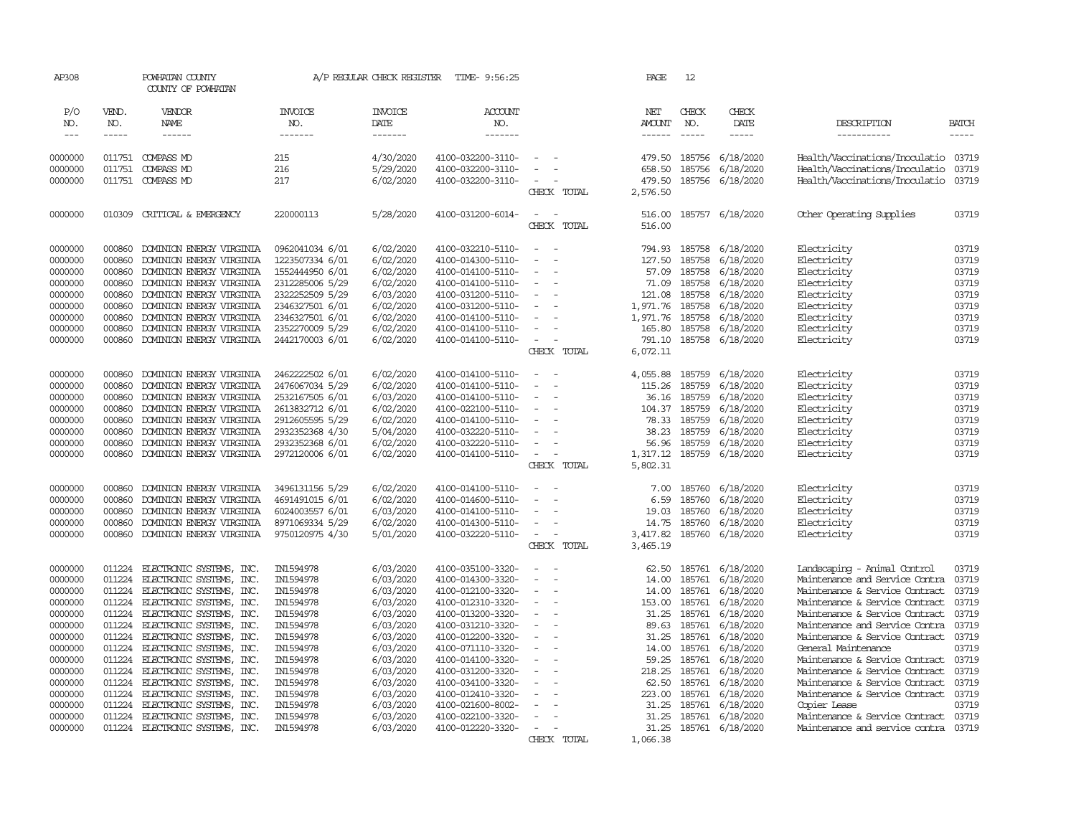| AP308              |              | POWHATAN COUNTY<br>COUNTY OF POWHATAN |                       | A/P REGULAR CHECK REGISTER | TIME- 9:56:25                          |                                      |             | PAGE                 | 12            |                        |                                                                        |              |
|--------------------|--------------|---------------------------------------|-----------------------|----------------------------|----------------------------------------|--------------------------------------|-------------|----------------------|---------------|------------------------|------------------------------------------------------------------------|--------------|
| P/O<br>NO.         | VEND.<br>NO. | VENDOR<br>NAME                        | <b>INVOICE</b><br>NO. | <b>INVOICE</b><br>DATE     | <b>ACCOUNT</b><br>NO.                  |                                      |             | NET<br><b>AMOUNT</b> | CHECK<br>NO.  | CHECK<br>DATE          | DESCRIPTION                                                            | <b>BATCH</b> |
| $\frac{1}{2}$      | $- - - - -$  | ------                                | -------               | -------                    | -------                                |                                      |             | $- - - - - -$        | $\frac{1}{2}$ | $- - - - -$            | -----------                                                            | -----        |
|                    |              | 011751 COMPASS MD                     | 215                   | 4/30/2020                  |                                        |                                      |             |                      | 185756        |                        |                                                                        |              |
| 0000000<br>0000000 | 011751       | COMPASS MD                            | 216                   | 5/29/2020                  | 4100-032200-3110-<br>4100-032200-3110- |                                      |             | 479.50<br>658.50     | 185756        | 6/18/2020<br>6/18/2020 | Health/Vaccinations/Inoculatio 03719<br>Health/Vaccinations/Inoculatio | 03719        |
| 0000000            |              | 011751 COMPASS MD                     | 217                   | 6/02/2020                  | 4100-032200-3110-                      |                                      |             | 479.50               | 185756        | 6/18/2020              | Health/Vaccinations/Inoculatio                                         | 03719        |
|                    |              |                                       |                       |                            |                                        |                                      | CHECK TOTAL | 2,576.50             |               |                        |                                                                        |              |
| 0000000            | 010309       | CRITICAL & EMERGENCY                  | 220000113             | 5/28/2020                  | 4100-031200-6014-                      | $\equiv$                             |             | 516.00               |               | 185757 6/18/2020       | Other Operating Supplies                                               | 03719        |
|                    |              |                                       |                       |                            |                                        |                                      | CHECK TOTAL | 516.00               |               |                        |                                                                        |              |
| 0000000            | 000860       | DOMINION ENERGY VIRGINIA              | 0962041034 6/01       | 6/02/2020                  | 4100-032210-5110-                      | $\sim$<br>$\sim$                     |             | 794.93               | 185758        | 6/18/2020              | Electricity                                                            | 03719        |
| 0000000            | 000860       | DOMINION ENERGY VIRGINIA              | 1223507334 6/01       | 6/02/2020                  | 4100-014300-5110-                      |                                      |             | 127.50               | 185758        | 6/18/2020              | Electricity                                                            | 03719        |
| 0000000            | 000860       | DOMINION ENERGY VIRGINIA              | 1552444950 6/01       | 6/02/2020                  | 4100-014100-5110-                      |                                      |             | 57.09                | 185758        | 6/18/2020              | Electricity                                                            | 03719        |
| 0000000            | 000860       | DOMINION ENERGY VIRGINIA              | 2312285006 5/29       | 6/02/2020                  | 4100-014100-5110-                      | $\blacksquare$<br>÷,                 |             | 71.09                | 185758        | 6/18/2020              | Electricity                                                            | 03719        |
| 0000000            | 000860       | DOMINION ENERGY VIRGINIA              | 2322252509 5/29       | 6/03/2020                  | 4100-031200-5110-                      |                                      |             | 121.08               | 185758        | 6/18/2020              | Electricity                                                            | 03719        |
| 0000000            | 000860       | DOMINION ENERGY VIRGINIA              | 2346327501 6/01       | 6/02/2020                  | 4100-031200-5110-                      | $\sim$                               |             | 1,971.76             | 185758        | 6/18/2020              | Electricity                                                            | 03719        |
| 0000000            | 000860       | DOMINION ENERGY VIRGINIA              | 2346327501 6/01       | 6/02/2020                  | 4100-014100-5110-                      |                                      |             | 1,971.76             | 185758        | 6/18/2020              | Electricity                                                            | 03719        |
| 0000000            | 000860       | DOMINION ENERGY VIRGINIA              | 2352270009 5/29       | 6/02/2020                  | 4100-014100-5110-                      | $\overline{\phantom{a}}$             |             | 165.80               | 185758        | 6/18/2020              | Electricity                                                            | 03719        |
| 0000000            | 000860       | DOMINION ENERGY VIRGINIA              | 2442170003 6/01       | 6/02/2020                  | 4100-014100-5110-                      | $\equiv$                             |             | 791.10               | 185758        | 6/18/2020              | Electricity                                                            | 03719        |
|                    |              |                                       |                       |                            |                                        |                                      | CHECK TOTAL | 6,072.11             |               |                        |                                                                        |              |
| 0000000            | 000860       | DOMINION ENERGY VIRGINIA              | 2462222502 6/01       | 6/02/2020                  | 4100-014100-5110-                      | $\equiv$<br>$\sim$                   |             | 4,055.88             | 185759        | 6/18/2020              | Electricity                                                            | 03719        |
| 0000000            | 000860       | DOMINION ENERGY VIRGINIA              | 2476067034 5/29       | 6/02/2020                  | 4100-014100-5110-                      | $\sim$                               |             | 115.26               | 185759        | 6/18/2020              | Electricity                                                            | 03719        |
| 0000000            | 000860       | DOMINION ENERGY VIRGINIA              | 2532167505 6/01       | 6/03/2020                  | 4100-014100-5110-                      |                                      |             | 36.16                | 185759        | 6/18/2020              | Electricity                                                            | 03719        |
| 0000000            | 000860       | DOMINION ENERGY VIRGINIA              | 2613832712 6/01       | 6/02/2020                  | 4100-022100-5110-                      | $\equiv$                             |             | 104.37               | 185759        | 6/18/2020              | Electricity                                                            | 03719        |
| 0000000            | 000860       | DOMINION ENERGY VIRGINIA              | 2912605595 5/29       | 6/02/2020                  | 4100-014100-5110-                      |                                      |             | 78.33                | 185759        | 6/18/2020              | Electricity                                                            | 03719        |
| 0000000            | 000860       | DOMINION ENERGY VIRGINIA              | 2932352368 4/30       | 5/04/2020                  | 4100-032220-5110-                      |                                      |             | 38.23                | 185759        | 6/18/2020              | Electricity                                                            | 03719        |
| 0000000            | 000860       | DOMINION ENERGY VIRGINIA              | 2932352368 6/01       | 6/02/2020                  | 4100-032220-5110-                      |                                      |             | 56.96                | 185759        | 6/18/2020              | Electricity                                                            | 03719        |
| 0000000            | 000860       | DOMINION ENERGY VIRGINIA              | 2972120006 6/01       | 6/02/2020                  | 4100-014100-5110-                      | $\overline{\phantom{a}}$<br>÷,       |             | 1,317.12             | 185759        | 6/18/2020              | Electricity                                                            | 03719        |
|                    |              |                                       |                       |                            |                                        |                                      | CHECK TOTAL | 5,802.31             |               |                        |                                                                        |              |
| 0000000            | 000860       | DOMINION ENERGY VIRGINIA              | 3496131156 5/29       | 6/02/2020                  | 4100-014100-5110-                      |                                      |             | 7.00                 | 185760        | 6/18/2020              | Electricity                                                            | 03719        |
| 0000000            | 000860       | DOMINION ENERGY VIRGINIA              | 4691491015 6/01       | 6/02/2020                  | 4100-014600-5110-                      | $\sim$<br>$\overline{\phantom{a}}$   |             | 6.59                 | 185760        | 6/18/2020              | Electricity                                                            | 03719        |
| 0000000            | 000860       | DOMINION ENERGY VIRGINIA              | 6024003557 6/01       | 6/03/2020                  | 4100-014100-5110-                      |                                      |             | 19.03                | 185760        | 6/18/2020              | Electricity                                                            | 03719        |
| 0000000            | 000860       | DOMINION ENERGY VIRGINIA              | 8971069334 5/29       | 6/02/2020                  | 4100-014300-5110-                      |                                      |             | 14.75                | 185760        | 6/18/2020              | Electricity                                                            | 03719        |
| 0000000            | 000860       | DOMINION ENERGY VIRGINIA              | 9750120975 4/30       | 5/01/2020                  | 4100-032220-5110-                      | $\equiv$<br>$\overline{\phantom{a}}$ |             | 3,417.82             |               | 185760 6/18/2020       | Electricity                                                            | 03719        |
|                    |              |                                       |                       |                            |                                        | CHECK TOTAL                          |             | 3,465.19             |               |                        |                                                                        |              |
| 0000000            | 011224       | ELECTRONIC SYSTEMS, INC.              | IN1594978             | 6/03/2020                  | 4100-035100-3320-                      |                                      |             | 62.50                | 185761        | 6/18/2020              | Landscaping - Animal Control                                           | 03719        |
| 0000000            | 011224       | ELECTRONIC SYSTEMS, INC.              | IN1594978             | 6/03/2020                  | 4100-014300-3320-                      |                                      |             | 14.00                | 185761        | 6/18/2020              | Maintenance and Service Contra                                         | 03719        |
| 0000000            | 011224       | ELECTRONIC SYSTEMS, INC.              | IN1594978             | 6/03/2020                  | 4100-012100-3320-                      |                                      |             | 14.00                | 185761        | 6/18/2020              | Maintenance & Service Contract                                         | 03719        |
| 0000000            | 011224       | ELECTRONIC SYSTEMS, INC.              | IN1594978             | 6/03/2020                  | 4100-012310-3320-                      | $\equiv$                             |             | 153.00               | 185761        | 6/18/2020              | Maintenance & Service Contract                                         | 03719        |
| 0000000            | 011224       | ELECTRONIC SYSTEMS, INC.              | IN1594978             | 6/03/2020                  | 4100-013200-3320-                      |                                      |             | 31.25                | 185761        | 6/18/2020              | Maintenance & Service Contract                                         | 03719        |
| 0000000            | 011224       | ELECTRONIC SYSTEMS, INC.              | IN1594978             | 6/03/2020                  | 4100-031210-3320-                      | $\equiv$<br>÷,                       |             | 89.63                | 185761        | 6/18/2020              | Maintenance and Service Contra                                         | 03719        |
| 0000000            | 011224       | ELECTRONIC SYSTEMS, INC.              | IN1594978             | 6/03/2020                  | 4100-012200-3320-                      | $\sim$                               |             | 31.25                | 185761        | 6/18/2020              | Maintenance & Service Contract                                         | 03719        |
| 0000000            | 011224       | ELECTRONIC SYSTEMS, INC.              | IN1594978             | 6/03/2020                  | 4100-071110-3320-                      | $\equiv$                             |             | 14.00                | 185761        | 6/18/2020              | General Maintenance                                                    | 03719        |
| 0000000            | 011224       | ELECTRONIC SYSTEMS, INC.              | IN1594978             | 6/03/2020                  | 4100-014100-3320-                      |                                      |             | 59.25                | 185761        | 6/18/2020              | Maintenance & Service Contract                                         | 03719        |
| 0000000            | 011224       | ELECTRONIC SYSTEMS, INC.              | IN1594978             | 6/03/2020                  | 4100-031200-3320-                      | $\overline{\phantom{a}}$             |             | 218.25               | 185761        | 6/18/2020              | Maintenance & Service Contract                                         | 03719        |
| 0000000            | 011224       | ELECTRONIC SYSTEMS, INC.              | IN1594978             | 6/03/2020                  | 4100-034100-3320-                      |                                      |             | 62.50                | 185761        | 6/18/2020              | Maintenance & Service Contract                                         | 03719        |
| 0000000            | 011224       | ELECTRONIC SYSTEMS, INC.              | IN1594978             | 6/03/2020                  | 4100-012410-3320-                      |                                      |             | 223.00               | 185761        | 6/18/2020              | Maintenance & Service Contract                                         | 03719        |
| 0000000            | 011224       | ELECTRONIC SYSTEMS, INC.              | IN1594978             | 6/03/2020                  | 4100-021600-8002-                      |                                      |             | 31.25                | 185761        | 6/18/2020              | Copier Lease                                                           | 03719        |
| 0000000            | 011224       | ELECTRONIC SYSTEMS, INC.              | IN1594978             | 6/03/2020                  | 4100-022100-3320-                      |                                      |             | 31.25                | 185761        | 6/18/2020              | Maintenance & Service Contract                                         | 03719        |
| 0000000            | 011224       | ELECTRONIC SYSTEMS, INC.              | IN1594978             | 6/03/2020                  | 4100-012220-3320-                      | $\sim$                               |             | 31.25                | 185761        | 6/18/2020              | Maintenance and service contra                                         | 03719        |
|                    |              |                                       |                       |                            |                                        | CHECK TOTAL                          |             | 1,066.38             |               |                        |                                                                        |              |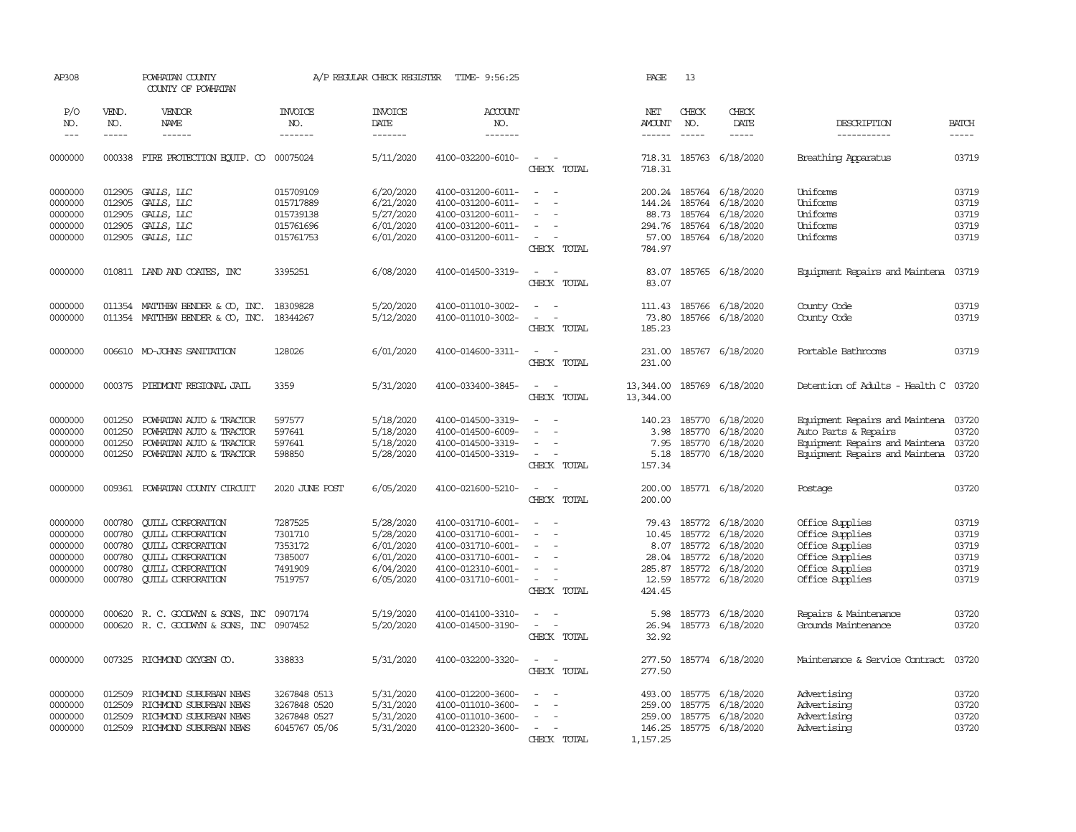| AP308                                                          |                                                          | POWHATAN COUNTY<br>COUNTY OF POWHATAN                                                                                                                                |                                                                | A/P REGULAR CHECK REGISTER                                                 | TIME- 9:56:25                                                                                                              |                                                             | PAGE                                     | 13            |                                                                                                                                              |                                                                                                                            |                                                    |
|----------------------------------------------------------------|----------------------------------------------------------|----------------------------------------------------------------------------------------------------------------------------------------------------------------------|----------------------------------------------------------------|----------------------------------------------------------------------------|----------------------------------------------------------------------------------------------------------------------------|-------------------------------------------------------------|------------------------------------------|---------------|----------------------------------------------------------------------------------------------------------------------------------------------|----------------------------------------------------------------------------------------------------------------------------|----------------------------------------------------|
| P/O<br>NO.                                                     | VEND.<br>NO.                                             | <b>VENDOR</b><br><b>NAME</b>                                                                                                                                         | <b>INVOICE</b><br>NO.                                          | <b>INVOICE</b><br>DATE                                                     | <b>ACCOUNT</b><br>NO.                                                                                                      |                                                             | NET<br>AMOUNT                            | CHECK<br>NO.  | CHECK<br>DATE                                                                                                                                | DESCRIPTION                                                                                                                | <b>BATCH</b>                                       |
| $---$                                                          | $- - - - -$                                              | $- - - - - -$                                                                                                                                                        | -------                                                        | -------                                                                    | -------                                                                                                                    |                                                             | $- - - - - -$                            | $\frac{1}{2}$ | -----                                                                                                                                        | -----------                                                                                                                | $- - - - -$                                        |
| 0000000                                                        |                                                          | 000338 FIRE PROTECTION EQUIP. CO 00075024                                                                                                                            |                                                                | 5/11/2020                                                                  | 4100-032200-6010-                                                                                                          | $\sim$ $\sim$<br>CHECK TOTAL                                | 718.31                                   |               | 718.31 185763 6/18/2020                                                                                                                      | Breathing Apparatus                                                                                                        | 03719                                              |
| 0000000<br>0000000                                             | 012905<br>012905                                         | GALLS, LLC<br>GALLS, LLC                                                                                                                                             | 015709109<br>015717889                                         | 6/20/2020<br>6/21/2020                                                     | 4100-031200-6011-<br>4100-031200-6011-                                                                                     | $\sim$<br>$\sim$<br>$\equiv$<br>$\overline{\phantom{a}}$    |                                          |               | 200.24 185764 6/18/2020<br>144.24 185764 6/18/2020                                                                                           | Uniforms<br>Uniforms                                                                                                       | 03719<br>03719                                     |
| 0000000<br>0000000<br>0000000                                  | 012905<br>012905                                         | GALLS, LLC<br>GALLS, LLC<br>012905 GALLS, LLC                                                                                                                        | 015739138<br>015761696<br>015761753                            | 5/27/2020<br>6/01/2020<br>6/01/2020                                        | 4100-031200-6011-<br>4100-031200-6011-<br>4100-031200-6011-                                                                | $\overline{\phantom{a}}$                                    | 88.73                                    |               | 185764 6/18/2020<br>294.76 185764 6/18/2020<br>57.00 185764 6/18/2020                                                                        | Uniforms<br>Uniforms<br>Uniforms                                                                                           | 03719<br>03719<br>03719                            |
|                                                                |                                                          |                                                                                                                                                                      |                                                                |                                                                            |                                                                                                                            | CHECK TOTAL                                                 | 784.97                                   |               |                                                                                                                                              |                                                                                                                            |                                                    |
| 0000000                                                        |                                                          | 010811 LAND AND COATES, INC                                                                                                                                          | 3395251                                                        | 6/08/2020                                                                  | 4100-014500-3319-                                                                                                          | $\sim$ $\sim$<br>CHECK TOTAL                                | 83.07<br>83.07                           |               | 185765 6/18/2020                                                                                                                             | Equipment Repairs and Maintena                                                                                             | 03719                                              |
| 0000000<br>0000000                                             |                                                          | 011354 MATTHEW BENDER & CO, INC.<br>011354 MATTHEW BENDER & CO, INC.                                                                                                 | 18309828<br>18344267                                           | 5/20/2020<br>5/12/2020                                                     | 4100-011010-3002-<br>4100-011010-3002-                                                                                     | $\overline{a}$<br>$\sim$ $ \sim$<br>CHECK TOTAL             | 111.43<br>73.80<br>185.23                |               | 185766 6/18/2020<br>185766 6/18/2020                                                                                                         | County Code<br>County Code                                                                                                 | 03719<br>03719                                     |
| 0000000                                                        |                                                          | 006610 MO-JOHNS SANITATION                                                                                                                                           | 128026                                                         | 6/01/2020                                                                  | 4100-014600-3311-                                                                                                          | $\overline{\phantom{a}}$<br>$\sim$<br>CHECK TOTAL           | 231.00<br>231.00                         |               | 185767 6/18/2020                                                                                                                             | Portable Bathrooms                                                                                                         | 03719                                              |
| 0000000                                                        |                                                          | 000375 PIEDWONT REGIONAL JAIL                                                                                                                                        | 3359                                                           | 5/31/2020                                                                  | 4100-033400-3845-                                                                                                          | $\overline{\phantom{a}}$<br>$\sim$<br>CHECK TOTAL           | 13,344.00<br>13,344.00                   |               | 185769 6/18/2020                                                                                                                             | Detention of Adults - Health C 03720                                                                                       |                                                    |
| 0000000<br>0000000<br>0000000<br>0000000                       | 001250<br>001250<br>001250<br>001250                     | POWHATAN AUTO & TRACTOR<br>POWHATAN AUTO & TRACTOR<br>POWHATAN AUTO & TRACTOR<br>POWHATAN AUTO & TRACTOR                                                             | 597577<br>597641<br>597641<br>598850                           | 5/18/2020<br>5/18/2020<br>5/18/2020<br>5/28/2020                           | 4100-014500-3319-<br>4100-014500-6009-<br>4100-014500-3319-<br>4100-014500-3319-                                           | $\sim$<br>$\overline{\phantom{a}}$<br>CHECK TOTAL           | 140.23<br>3.98<br>7.95<br>5.18<br>157.34 |               | 185770 6/18/2020<br>185770 6/18/2020<br>185770 6/18/2020<br>185770 6/18/2020                                                                 | Equipment Repairs and Maintena<br>Auto Parts & Repairs<br>Equipment Repairs and Maintena<br>Equipment Repairs and Maintena | 03720<br>03720<br>03720<br>03720                   |
| 0000000                                                        | 009361                                                   | POWHATAN COUNTY CIRCUIT                                                                                                                                              | 2020 JUNE POST                                                 | 6/05/2020                                                                  | 4100-021600-5210-                                                                                                          | $\sim$<br>$\sim$<br>CHECK TOTAL                             | 200.00<br>200.00                         |               | 185771 6/18/2020                                                                                                                             | Postage                                                                                                                    | 03720                                              |
| 0000000<br>0000000<br>0000000<br>0000000<br>0000000<br>0000000 | 000780<br>000780<br>000780<br>000780<br>000780<br>000780 | <b>CUILL CORPORATION</b><br><b>CUILL CORPORATION</b><br><b>QUILL CORPORATION</b><br><b>CUILL CORPORATION</b><br><b>CUILL CORPORATION</b><br><b>CUILL CORPORATION</b> | 7287525<br>7301710<br>7353172<br>7385007<br>7491909<br>7519757 | 5/28/2020<br>5/28/2020<br>6/01/2020<br>6/01/2020<br>6/04/2020<br>6/05/2020 | 4100-031710-6001-<br>4100-031710-6001-<br>4100-031710-6001-<br>4100-031710-6001-<br>4100-012310-6001-<br>4100-031710-6001- | $\sim$<br>$\overline{\phantom{a}}$<br>CHECK TOTAL           | 79.43<br>12.59<br>424.45                 |               | 185772 6/18/2020<br>10.45 185772 6/18/2020<br>8.07 185772 6/18/2020<br>28.04 185772 6/18/2020<br>285.87 185772 6/18/2020<br>185772 6/18/2020 | Office Supplies<br>Office Supplies<br>Office Supplies<br>Office Supplies<br>Office Supplies<br>Office Supplies             | 03719<br>03719<br>03719<br>03719<br>03719<br>03719 |
| 0000000<br>0000000                                             |                                                          | 000620 R. C. GOODWIN & SONS, INC<br>000620 R. C. GOODWIN & SONS, INC                                                                                                 | 0907174<br>0907452                                             | 5/19/2020<br>5/20/2020                                                     | 4100-014100-3310-<br>4100-014500-3190-                                                                                     | $\sim$<br>$\sim$<br>$\sim$<br>CHECK TOTAL                   | 5.98<br>26.94<br>32.92                   |               | 185773 6/18/2020<br>185773 6/18/2020                                                                                                         | Repairs & Maintenance<br>Grounds Maintenance                                                                               | 03720<br>03720                                     |
| 0000000                                                        |                                                          | 007325 RICHMOND OXYGEN CO.                                                                                                                                           | 338833                                                         | 5/31/2020                                                                  | 4100-032200-3320-                                                                                                          | $\sim$<br>$\sim$<br>CHECK TOTAL                             | 277.50                                   |               | 277.50 185774 6/18/2020                                                                                                                      | Maintenance & Service Contract                                                                                             | 03720                                              |
| 0000000<br>0000000<br>0000000<br>0000000                       | 012509<br>012509<br>012509<br>012509                     | RICHMOND SUBURBAN NEWS<br>RICHMOND SUBURBAN NEWS<br>RICHMOND SUBURBAN NEWS<br>RICHMOND SUBURBAN NEWS                                                                 | 3267848 0513<br>3267848 0520<br>3267848 0527<br>6045767 05/06  | 5/31/2020<br>5/31/2020<br>5/31/2020<br>5/31/2020                           | 4100-012200-3600-<br>4100-011010-3600-<br>4100-011010-3600-<br>4100-012320-3600-                                           | $\sim$<br>$\overline{\phantom{a}}$<br>$\sim$<br>CHECK TOTAL | 1,157.25                                 |               | 493.00 185775 6/18/2020<br>259.00 185775 6/18/2020<br>259.00 185775 6/18/2020<br>146.25 185775 6/18/2020                                     | Advertising<br>Advertising<br>Advertising<br>Advertising                                                                   | 03720<br>03720<br>03720<br>03720                   |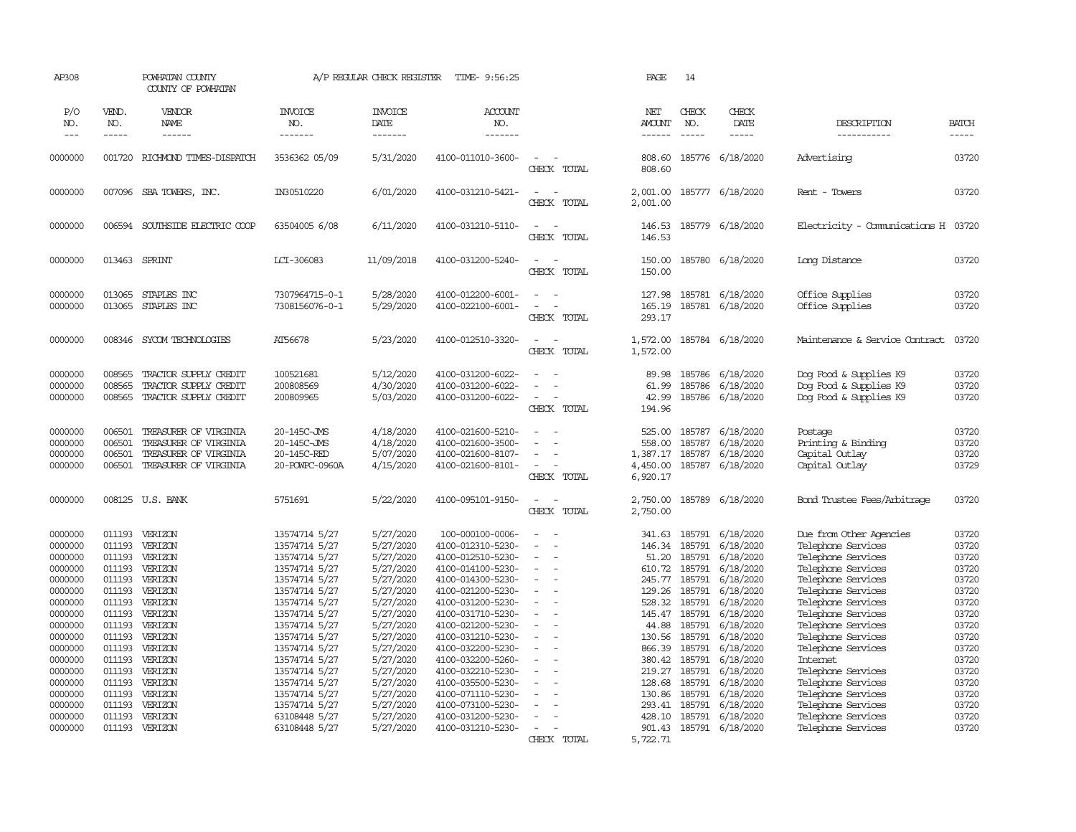| AP308               |                             | POWHATAN COUNTY<br>COUNTY OF POWHATAN          |                                  | A/P REGULAR CHECK REGISTER        | TIME- 9:56:25                          |                                                                     | PAGE                     | 14                            |                               |                                                  |                       |
|---------------------|-----------------------------|------------------------------------------------|----------------------------------|-----------------------------------|----------------------------------------|---------------------------------------------------------------------|--------------------------|-------------------------------|-------------------------------|--------------------------------------------------|-----------------------|
| P/O<br>NO.<br>$---$ | VEND.<br>NO.<br>$- - - - -$ | VENDOR<br>NAME<br>------                       | <b>INVOICE</b><br>NO.<br>------- | <b>INVOICE</b><br>DATE<br>------- | <b>ACCOUNT</b><br>NO.<br>--------      |                                                                     | NET<br><b>AMOUNT</b>     | CHECK<br>NO.<br>$\frac{1}{2}$ | CHECK<br>DATE<br>$- - - - -$  | DESCRIPTION<br>-----------                       | <b>BATCH</b><br>----- |
| 0000000             |                             | 001720 RICHMOND TIMES-DISPATCH                 | 3536362 05/09                    | 5/31/2020                         | 4100-011010-3600-                      | $\overline{\phantom{a}}$<br>CHECK TOTAL                             | 808.60                   |                               | 185776 6/18/2020              | Advertising                                      | 03720                 |
|                     |                             |                                                |                                  |                                   |                                        |                                                                     | 808.60                   |                               |                               |                                                  |                       |
| 0000000             | 007096                      | SBA TOWERS, INC.                               | IN30510220                       | 6/01/2020                         | 4100-031210-5421-                      | $\overline{\phantom{a}}$<br>$\sim$<br>CHECK TOTAL                   | 2,001.00<br>2,001.00     |                               | 185777 6/18/2020              | Rent - Towers                                    | 03720                 |
| 0000000             | 006594                      | SOUTHSIDE ELECTRIC COOP                        | 63504005 6/08                    | 6/11/2020                         | 4100-031210-5110-                      | $\sim$<br>$\sim$<br>CHECK TOTAL                                     | 146.53<br>146.53         |                               | 185779 6/18/2020              | Electricity - Comunications H 03720              |                       |
| 0000000             | 013463                      | SPRINT                                         | LCI-306083                       | 11/09/2018                        | 4100-031200-5240-                      | $\overline{\phantom{a}}$<br>$\overline{\phantom{a}}$<br>CHECK TOTAL | 150.00<br>150.00         |                               | 185780 6/18/2020              | Long Distance                                    | 03720                 |
| 0000000             | 013065                      | STAPLES INC                                    | 7307964715-0-1                   | 5/28/2020                         | 4100-012200-6001-                      | $\sim$                                                              | 127.98                   |                               | 185781 6/18/2020              | Office Supplies                                  | 03720                 |
| 0000000             | 013065                      | STAPLES INC                                    | 7308156076-0-1                   | 5/29/2020                         | 4100-022100-6001-                      | $\sim$<br>$\overline{\phantom{a}}$<br>CHECK TOTAL                   | 165.19<br>293.17         |                               | 185781 6/18/2020              | Office Supplies                                  | 03720                 |
| 0000000             | 008346                      | SYCOM TECHNOLOGIES                             | AT56678                          | 5/23/2020                         | 4100-012510-3320-                      | $\overline{\phantom{a}}$<br>$\overline{\phantom{a}}$<br>CHECK TOTAL | 1,572.00<br>1,572.00     |                               | 185784 6/18/2020              | Maintenance & Service Contract                   | 03720                 |
| 0000000             | 008565                      | TRACTOR SUPPLY CREDIT                          | 100521681                        | 5/12/2020                         | 4100-031200-6022-                      | $\sim$<br>$\sim$                                                    | 89.98                    | 185786                        | 6/18/2020                     | Dog Food & Supplies K9                           | 03720                 |
| 0000000<br>0000000  | 008565<br>008565            | TRACTOR SUPPLY CREDIT<br>TRACTOR SUPPLY CREDIT | 200808569<br>200809965           | 4/30/2020<br>5/03/2020            | 4100-031200-6022-<br>4100-031200-6022- | CHECK TOTAL                                                         | 61.99<br>42.99<br>194.96 | 185786                        | 6/18/2020<br>185786 6/18/2020 | Dog Food & Supplies K9<br>Dog Food & Supplies K9 | 03720<br>03720        |
| 0000000             | 006501                      | TREASURER OF VIRGINIA                          | 20-145C-JMS                      | 4/18/2020                         | 4100-021600-5210-                      |                                                                     | 525.00                   | 185787                        | 6/18/2020                     | Postage                                          | 03720                 |
| 0000000             | 006501                      | TREASURER OF VIRGINIA                          | 20-145C-JMS                      | 4/18/2020                         | 4100-021600-3500-                      |                                                                     | 558.00                   | 185787                        | 6/18/2020                     | Printing & Binding                               | 03720                 |
| 0000000             | 006501                      | TREASURER OF VIRGINIA                          | 20-145C-RED                      | 5/07/2020                         | 4100-021600-8107-                      | $\overline{\phantom{a}}$                                            | 1,387.17                 | 185787                        | 6/18/2020                     | Capital Outlay                                   | 03720                 |
| 0000000             | 006501                      | TREASURER OF VIRGINIA                          | 20-POWPC-0960A                   | 4/15/2020                         | 4100-021600-8101-                      | $\sim$<br>CHECK TOTAL                                               | 4,450.00<br>6,920.17     | 185787                        | 6/18/2020                     | Capital Outlay                                   | 03729                 |
| 0000000             |                             | 008125 U.S. BANK                               | 5751691                          | 5/22/2020                         | 4100-095101-9150-                      | $\sim$<br>$\sim$<br>CHECK TOTAL                                     | 2,750.00<br>2,750.00     |                               | 185789 6/18/2020              | Bond Trustee Fees/Arbitrage                      | 03720                 |
| 0000000             | 011193                      | VERIZON                                        | 13574714 5/27                    | 5/27/2020                         | 100-000100-0006-                       | ÷.                                                                  | 341.63                   |                               | 185791 6/18/2020              | Due from Other Agencies                          | 03720                 |
| 0000000             | 011193                      | VERIZON                                        | 13574714 5/27                    | 5/27/2020                         | 4100-012310-5230-                      | $\overline{\phantom{a}}$<br>$\overline{\phantom{a}}$                | 146.34                   | 185791                        | 6/18/2020                     | Telephone Services                               | 03720                 |
| 0000000             | 011193                      | VERIZON                                        | 13574714 5/27                    | 5/27/2020                         | 4100-012510-5230-                      | $\overline{a}$                                                      | 51.20                    | 185791                        | 6/18/2020                     | Telephone Services                               | 03720                 |
| 0000000             | 011193                      | VERIZON                                        | 13574714 5/27                    | 5/27/2020                         | 4100-014100-5230-                      |                                                                     | 610.72                   | 185791                        | 6/18/2020                     | Telephone Services                               | 03720                 |
| 0000000             | 011193<br>011193            | VERIZON                                        | 13574714 5/27                    | 5/27/2020                         | 4100-014300-5230-                      |                                                                     | 245.77                   | 185791                        | 6/18/2020                     | Telephone Services                               | 03720                 |
| 0000000<br>0000000  | 011193                      | VERIZON<br>VERIZON                             | 13574714 5/27<br>13574714 5/27   | 5/27/2020<br>5/27/2020            | 4100-021200-5230-<br>4100-031200-5230- |                                                                     | 129.26<br>528.32         | 185791<br>185791              | 6/18/2020<br>6/18/2020        | Telephone Services<br>Telephone Services         | 03720<br>03720        |
| 0000000             | 011193                      | VERIZON                                        | 13574714 5/27                    | 5/27/2020                         | 4100-031710-5230-                      |                                                                     | 145.47                   | 185791                        | 6/18/2020                     | Telephone Services                               | 03720                 |
| 0000000             | 011193                      | VERIZON                                        | 13574714 5/27                    | 5/27/2020                         | 4100-021200-5230-                      | $\equiv$                                                            | 44.88                    | 185791                        | 6/18/2020                     | Telephone Services                               | 03720                 |
| 0000000             | 011193                      | VERIZON                                        | 13574714 5/27                    | 5/27/2020                         | 4100-031210-5230-                      |                                                                     | 130.56                   | 185791                        | 6/18/2020                     | Telephone Services                               | 03720                 |
| 0000000             | 011193                      | VERIZON                                        | 13574714 5/27                    | 5/27/2020                         | 4100-032200-5230-                      |                                                                     | 866.39                   | 185791                        | 6/18/2020                     | Telephone Services                               | 03720                 |
| 0000000             | 011193                      | VERIZON                                        | 13574714 5/27                    | 5/27/2020                         | 4100-032200-5260-                      |                                                                     | 380.42                   | 185791                        | 6/18/2020                     | Internet                                         | 03720                 |
| 0000000             | 011193                      | VERIZON                                        | 13574714 5/27                    | 5/27/2020                         | 4100-032210-5230-                      | $\overline{\phantom{a}}$                                            | 219.27                   | 185791                        | 6/18/2020                     | Telephone Services                               | 03720                 |
| 0000000             | 011193                      | VERIZON                                        | 13574714 5/27                    | 5/27/2020                         | 4100-035500-5230-                      |                                                                     | 128.68                   | 185791                        | 6/18/2020                     | Telephone Services                               | 03720                 |
| 0000000             | 011193                      | VERIZON                                        | 13574714 5/27                    | 5/27/2020                         | 4100-071110-5230-                      |                                                                     | 130.86                   | 185791                        | 6/18/2020                     | Telephone Services                               | 03720                 |
| 0000000             | 011193                      | VERIZON                                        | 13574714 5/27                    | 5/27/2020                         | 4100-073100-5230-                      |                                                                     | 293.41                   | 185791                        | 6/18/2020                     | Telephone Services                               | 03720                 |
| 0000000             | 011193                      | VERIZON                                        | 63108448 5/27                    | 5/27/2020                         | 4100-031200-5230-                      |                                                                     |                          | 428.10 185791                 | 6/18/2020                     | Telephone Services                               | 03720                 |
| 0000000             |                             | 011193 VERIZON                                 | 63108448 5/27                    | 5/27/2020                         | 4100-031210-5230-                      | $\sim$                                                              | 901.43                   |                               | 185791 6/18/2020              | Telephone Services                               | 03720                 |
|                     |                             |                                                |                                  |                                   |                                        | CHECK TOTAL                                                         | 5,722.71                 |                               |                               |                                                  |                       |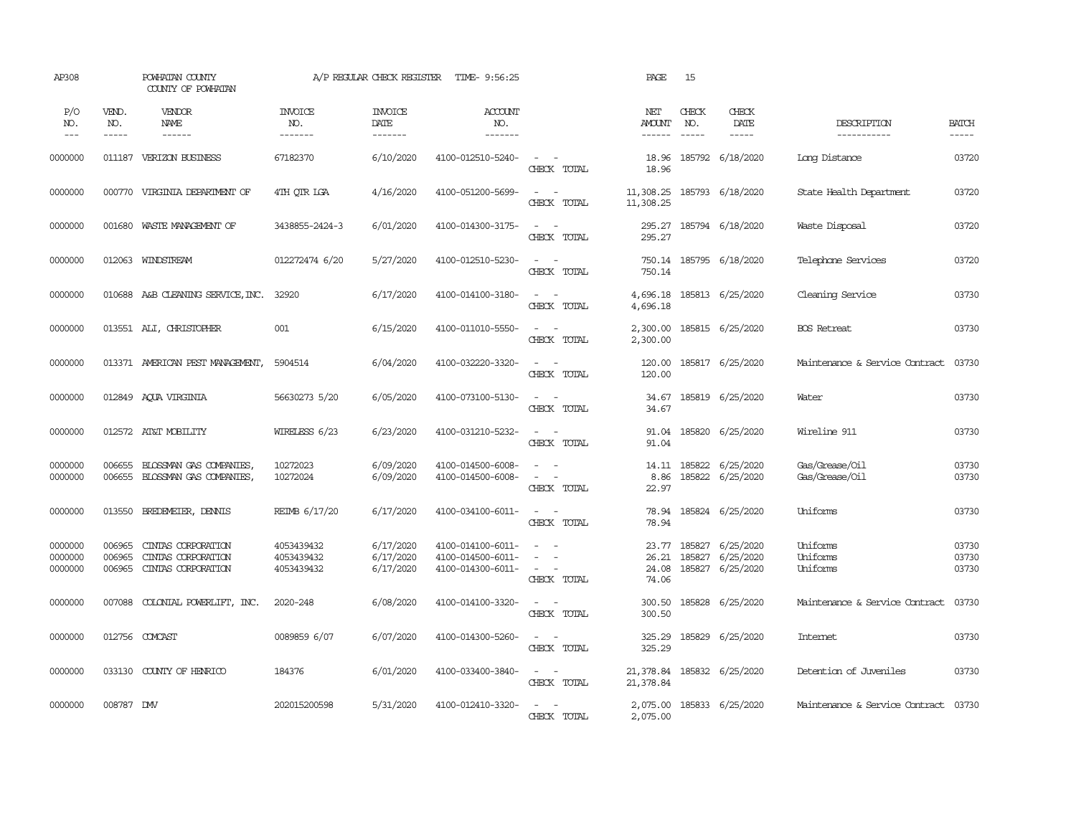| AP308                         |                               | POWHATAN COUNTY<br>COUNTY OF POWHATAN                          |                                        | A/P REGULAR CHECK REGISTER          | TIME- 9:56:25                                               |                                                                       | PAGE                                  | 15                            |                                            |                                      |                         |
|-------------------------------|-------------------------------|----------------------------------------------------------------|----------------------------------------|-------------------------------------|-------------------------------------------------------------|-----------------------------------------------------------------------|---------------------------------------|-------------------------------|--------------------------------------------|--------------------------------------|-------------------------|
| P/O<br>NO.<br>$---$           | VEND.<br>NO.<br>$\frac{1}{2}$ | VENDOR<br>NAME                                                 | <b>INVOICE</b><br>NO.<br>-------       | <b>INVOICE</b><br>DATE<br>-------   | <b>ACCOUNT</b><br>NO.<br>--------                           |                                                                       | NET<br><b>AMOUNT</b><br>$- - - - - -$ | CHECK<br>NO.<br>$\frac{1}{2}$ | CHECK<br>DATE<br>$\frac{1}{2}$             | DESCRIPTION<br>-----------           | <b>BATCH</b><br>-----   |
| 0000000                       | 011187                        | VERIZON BUSINESS                                               | 67182370                               | 6/10/2020                           | 4100-012510-5240-                                           | $\overline{\phantom{a}}$<br>$\sim$<br>CHECK TOTAL                     | 18.96<br>18.96                        |                               | 185792 6/18/2020                           | Long Distance                        | 03720                   |
| 0000000                       |                               | 000770 VIRGINIA DEPARIMENT OF                                  | 4TH OTR LGA                            | 4/16/2020                           | 4100-051200-5699-                                           | $\sim$<br>$\sim$<br>CHECK TOTAL                                       | 11,308.25<br>11,308.25                |                               | 185793 6/18/2020                           | State Health Department              | 03720                   |
| 0000000                       | 001680                        | WASTE MANAGEMENT OF                                            | 3438855-2424-3                         | 6/01/2020                           | 4100-014300-3175-                                           | $\sim$<br>$\sim$<br>CHECK TOTAL                                       | 295.27<br>295.27                      |                               | 185794 6/18/2020                           | Waste Disposal                       | 03720                   |
| 0000000                       |                               | 012063 WINDSTREAM                                              | 012272474 6/20                         | 5/27/2020                           | 4100-012510-5230-                                           | $\sim$<br>$\sim$<br>CHECK TOTAL                                       | 750.14                                |                               | 750.14 185795 6/18/2020                    | Telephone Services                   | 03720                   |
| 0000000                       |                               | 010688 A&B CLEANING SERVICE, INC.                              | 32920                                  | 6/17/2020                           | 4100-014100-3180-                                           | $\sim$ $ \sim$<br>CHECK TOTAL                                         | 4,696.18<br>4,696.18                  |                               | 185813 6/25/2020                           | Cleaning Service                     | 03730                   |
| 0000000                       |                               | 013551 ALI, CHRISTOPHER                                        | 001                                    | 6/15/2020                           | 4100-011010-5550-                                           | $\sim$<br>$\sim$<br>CHECK TOTAL                                       | 2,300.00<br>2,300.00                  |                               | 185815 6/25/2020                           | <b>BOS</b> Retreat                   | 03730                   |
| 0000000                       |                               | 013371 AMERICAN PEST MANAGEMENT,                               | 5904514                                | 6/04/2020                           | 4100-032220-3320-                                           | $\sim$ 100 $\sim$<br>CHECK TOTAL                                      | 120.00<br>120.00                      |                               | 185817 6/25/2020                           | Maintenance & Service Contract       | 03730                   |
| 0000000                       |                               | 012849 AQUA VIRGINIA                                           | 56630273 5/20                          | 6/05/2020                           | 4100-073100-5130-                                           | $\sim$ $\sim$<br>CHECK TOTAL                                          | 34.67<br>34.67                        |                               | 185819 6/25/2020                           | Water                                | 03730                   |
| 0000000                       |                               | 012572 AT&T MOBILITY                                           | WIRELESS 6/23                          | 6/23/2020                           | 4100-031210-5232-                                           | $\sim$ $ \sim$<br>CHECK TOTAL                                         | 91.04<br>91.04                        |                               | 185820 6/25/2020                           | Wireline 911                         | 03730                   |
| 0000000<br>0000000            | 006655<br>006655              | BLOSSMAN GAS COMPANIES<br>BLOSSMAN GAS COMPANIES,              | 10272023<br>10272024                   | 6/09/2020<br>6/09/2020              | 4100-014500-6008-<br>4100-014500-6008-                      | $\sim$<br>$\sim$<br>$\overline{\phantom{a}}$<br>$\sim$<br>CHECK TOTAL | 8.86<br>22.97                         |                               | 14.11 185822 6/25/2020<br>185822 6/25/2020 | Gas/Grease/Oil<br>Gas/Grease/Oil     | 03730<br>03730          |
| 0000000                       | 013550                        | BREDEMEIER, DENNIS                                             | REIMB 6/17/20                          | 6/17/2020                           | 4100-034100-6011-                                           | $\omega_{\rm{max}}$ and $\omega_{\rm{max}}$<br>CHECK TOTAL            | 78.94<br>78.94                        |                               | 185824 6/25/2020                           | Uniforms                             | 03730                   |
| 0000000<br>0000000<br>0000000 | 006965<br>006965<br>006965    | CINTAS CORPORATION<br>CINIAS CORPORATION<br>CINIAS CORPORATION | 4053439432<br>4053439432<br>4053439432 | 6/17/2020<br>6/17/2020<br>6/17/2020 | 4100-014100-6011-<br>4100-014500-6011-<br>4100-014300-6011- | $\sim$<br>$\sim$<br>$\sim$ $ \sim$<br>CHECK TOTAL                     | 23.77<br>26.21<br>24.08<br>74.06      | 185827<br>185827<br>185827    | 6/25/2020<br>6/25/2020<br>6/25/2020        | Uniforms<br>Uniforms<br>Uniforms     | 03730<br>03730<br>03730 |
| 0000000                       | 007088                        | COLONIAL POWERLIFT, INC.                                       | 2020-248                               | 6/08/2020                           | 4100-014100-3320-                                           | $\sim$ $ \sim$<br>CHECK TOTAL                                         | 300.50<br>300.50                      |                               | 185828 6/25/2020                           | Maintenance & Service Contract       | 03730                   |
| 0000000                       |                               | 012756 COMCAST                                                 | 0089859 6/07                           | 6/07/2020                           | 4100-014300-5260-                                           | $\sim$ $ \sim$<br>CHECK TOTAL                                         | 325.29<br>325.29                      | 185829                        | 6/25/2020                                  | Internet                             | 03730                   |
| 0000000                       |                               | 033130 COUNTY OF HENRICO                                       | 184376                                 | 6/01/2020                           | 4100-033400-3840-                                           | $\sim$ $ \sim$<br>CHECK TOTAL                                         | 21,378.84<br>21,378.84                |                               | 185832 6/25/2020                           | Detention of Juveniles               | 03730                   |
| 0000000                       | 008787 DMV                    |                                                                | 202015200598                           | 5/31/2020                           | 4100-012410-3320-                                           | CHECK TOTAL                                                           | 2,075.00<br>2,075.00                  |                               | 185833 6/25/2020                           | Maintenance & Service Contract 03730 |                         |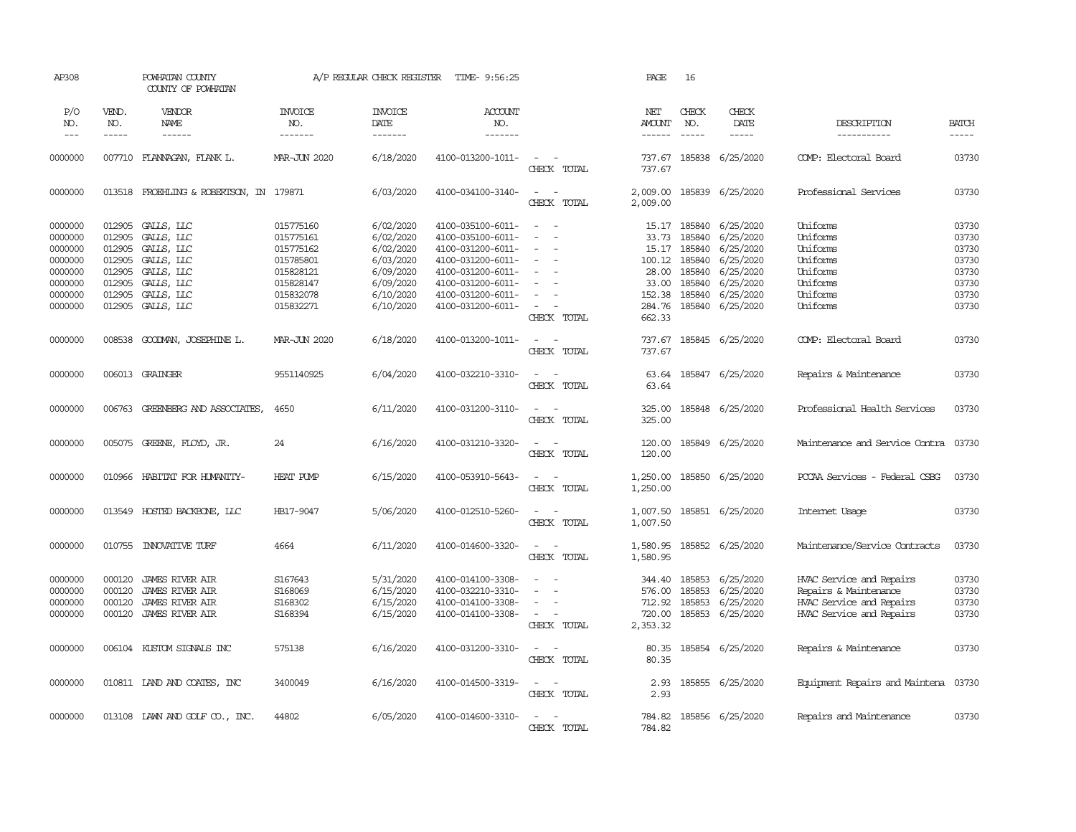| AP308                                                                     |                                                                    | POWHATAN COUNTY<br>COUNTY OF POWHATAN                                                                |                                                                                         | A/P REGULAR CHECK REGISTER                                                              | TIME- 9:56:25                                                                                                                                   |                                                                                                               | PAGE                                                          | 16                                                                 |                                                                                         |                                                                                                           |                                                             |
|---------------------------------------------------------------------------|--------------------------------------------------------------------|------------------------------------------------------------------------------------------------------|-----------------------------------------------------------------------------------------|-----------------------------------------------------------------------------------------|-------------------------------------------------------------------------------------------------------------------------------------------------|---------------------------------------------------------------------------------------------------------------|---------------------------------------------------------------|--------------------------------------------------------------------|-----------------------------------------------------------------------------------------|-----------------------------------------------------------------------------------------------------------|-------------------------------------------------------------|
| P/O<br>NO.<br>$---$                                                       | VEND.<br>NO.<br>$- - - - -$                                        | VENDOR<br>NAME                                                                                       | <b>INVOICE</b><br>NO.<br>-------                                                        | <b>INVOICE</b><br>DATE<br>-------                                                       | ACCOUNT<br>NO.<br>-------                                                                                                                       |                                                                                                               | NET<br>AMOUNT<br>$- - - - - -$                                | CHECK<br>NO.<br>$\frac{1}{2}$                                      | CHECK<br>DATE<br>-----                                                                  | DESCRIPTION<br>-----------                                                                                | <b>BATCH</b><br>$- - - - -$                                 |
| 0000000                                                                   |                                                                    | 007710 FLANNAGAN, FLANK L.                                                                           | MAR-JUN 2020                                                                            | 6/18/2020                                                                               | 4100-013200-1011-                                                                                                                               | $\sim$<br>$\sim$<br>CHECK TOTAL                                                                               | 737.67<br>737.67                                              | 185838                                                             | 6/25/2020                                                                               | COMP: Electoral Board                                                                                     | 03730                                                       |
| 0000000                                                                   |                                                                    | 013518 FROEHLING & ROBERTSON, IN 179871                                                              |                                                                                         | 6/03/2020                                                                               | 4100-034100-3140-                                                                                                                               | $\sim$<br>$\sim$<br>CHECK TOTAL                                                                               | 2,009.00<br>2,009.00                                          |                                                                    | 185839 6/25/2020                                                                        | Professional Services                                                                                     | 03730                                                       |
| 0000000<br>0000000<br>0000000<br>0000000<br>0000000<br>0000000<br>0000000 | 012905<br>012905<br>012905<br>012905<br>012905<br>012905<br>012905 | GALLS, LLC<br>GALLS, LLC<br>GALLS, LLC<br>GALLS, LLC<br>GALLS, LLC<br>GALLS, LLC<br>GALLS, LLC       | 015775160<br>015775161<br>015775162<br>015785801<br>015828121<br>015828147<br>015832078 | 6/02/2020<br>6/02/2020<br>6/02/2020<br>6/03/2020<br>6/09/2020<br>6/09/2020<br>6/10/2020 | 4100-035100-6011-<br>4100-035100-6011-<br>4100-031200-6011-<br>4100-031200-6011-<br>4100-031200-6011-<br>4100-031200-6011-<br>4100-031200-6011- | $\sim$ $ \sim$<br>$\sim$<br>$\equiv$<br>$\equiv$<br>$\sim$                                                    | 15.17<br>33.73<br>15.17<br>100.12<br>28.00<br>33.00<br>152.38 | 185840<br>185840<br>185840<br>185840<br>185840<br>185840<br>185840 | 6/25/2020<br>6/25/2020<br>6/25/2020<br>6/25/2020<br>6/25/2020<br>6/25/2020<br>6/25/2020 | Uniforms<br>Uniforms<br>Uniforms<br>Uniforms<br>Uniforms<br>Uniforms<br>Uniforms                          | 03730<br>03730<br>03730<br>03730<br>03730<br>03730<br>03730 |
| 0000000                                                                   | 012905                                                             | GALLS, LLC                                                                                           | 015832271                                                                               | 6/10/2020                                                                               | 4100-031200-6011-                                                                                                                               | $\overline{\phantom{a}}$<br>CHECK TOTAL                                                                       | 284.76<br>662.33                                              |                                                                    | 185840 6/25/2020                                                                        | Uniforms                                                                                                  | 03730                                                       |
| 0000000                                                                   | 008538                                                             | GOODMAN, JOSEPHINE L.                                                                                | MAR-JUN 2020                                                                            | 6/18/2020                                                                               | 4100-013200-1011-                                                                                                                               | $\overline{\phantom{a}}$<br>$\sim$<br>CHECK TOTAL                                                             | 737.67<br>737.67                                              |                                                                    | 185845 6/25/2020                                                                        | COMP: Electoral Board                                                                                     | 03730                                                       |
| 0000000                                                                   |                                                                    | 006013 GRAINGER                                                                                      | 9551140925                                                                              | 6/04/2020                                                                               | 4100-032210-3310-                                                                                                                               | $\sim$<br>$\overline{\phantom{a}}$<br>CHECK TOTAL                                                             | 63.64<br>63.64                                                |                                                                    | 185847 6/25/2020                                                                        | Repairs & Maintenance                                                                                     | 03730                                                       |
| 0000000                                                                   |                                                                    | 006763 GREENBERG AND ASSOCIATES,                                                                     | 4650                                                                                    | 6/11/2020                                                                               | 4100-031200-3110-                                                                                                                               | $\overline{\phantom{a}}$<br>$\sim$<br>CHECK TOTAL                                                             | 325.00<br>325.00                                              |                                                                    | 185848 6/25/2020                                                                        | Professional Health Services                                                                              | 03730                                                       |
| 0000000                                                                   |                                                                    | 005075 GREENE, FLOYD, JR.                                                                            | 24                                                                                      | 6/16/2020                                                                               | 4100-031210-3320-                                                                                                                               | $\sim$<br>CHECK TOTAL                                                                                         | 120.00<br>120.00                                              |                                                                    | 185849 6/25/2020                                                                        | Maintenance and Service Contra                                                                            | 03730                                                       |
| 0000000                                                                   |                                                                    | 010966 HABITAT FOR HUMANITY-                                                                         | HEAT PUMP                                                                               | 6/15/2020                                                                               | 4100-053910-5643-                                                                                                                               | $\sim$<br>$\sim$<br>CHECK TOTAL                                                                               | 1,250.00<br>1,250.00                                          |                                                                    | 185850 6/25/2020                                                                        | PCCAA Services - Federal CSBG                                                                             | 03730                                                       |
| 0000000                                                                   |                                                                    | 013549 HOSTED BACKBONE, LLC                                                                          | HB17-9047                                                                               | 5/06/2020                                                                               | 4100-012510-5260-                                                                                                                               | $\sim$<br>$\sim$<br>CHECK TOTAL                                                                               | 1,007.50<br>1,007.50                                          |                                                                    | 185851 6/25/2020                                                                        | Internet Usage                                                                                            | 03730                                                       |
| 0000000                                                                   | 010755                                                             | INVOVATIVE TURF                                                                                      | 4664                                                                                    | 6/11/2020                                                                               | 4100-014600-3320-                                                                                                                               | $\frac{1}{2} \left( \frac{1}{2} \right) \left( \frac{1}{2} \right) \left( \frac{1}{2} \right)$<br>CHECK TOTAL | 1,580.95<br>1,580.95                                          |                                                                    | 185852 6/25/2020                                                                        | Maintenance/Service Contracts                                                                             | 03730                                                       |
| 0000000<br>0000000<br>0000000<br>0000000                                  | 000120<br>000120<br>000120<br>000120                               | <b>JAMES RIVER AIR</b><br><b>JAMES RIVER AIR</b><br><b>JAMES RIVER AIR</b><br><b>JAMES RIVER AIR</b> | S167643<br>S168069<br>S168302<br>S168394                                                | 5/31/2020<br>6/15/2020<br>6/15/2020<br>6/15/2020                                        | 4100-014100-3308-<br>4100-032210-3310-<br>4100-014100-3308-<br>4100-014100-3308-                                                                | $\overline{\phantom{a}}$<br>$\sim$<br>$\sim$<br>CHECK TOTAL                                                   | 344.40<br>576.00<br>712.92<br>720.00<br>2,353.32              | 185853<br>185853<br>185853<br>185853                               | 6/25/2020<br>6/25/2020<br>6/25/2020<br>6/25/2020                                        | HVAC Service and Repairs<br>Repairs & Maintenance<br>HVAC Service and Repairs<br>HVAC Service and Repairs | 03730<br>03730<br>03730<br>03730                            |
| 0000000                                                                   |                                                                    | 006104 KUSTOM SIGNALS INC                                                                            | 575138                                                                                  | 6/16/2020                                                                               | 4100-031200-3310-                                                                                                                               | $\sim$<br>$\sim$<br>CHECK TOTAL                                                                               | 80.35<br>80.35                                                |                                                                    | 185854 6/25/2020                                                                        | Repairs & Maintenance                                                                                     | 03730                                                       |
| 0000000                                                                   |                                                                    | 010811 IAND AND COATES, INC                                                                          | 3400049                                                                                 | 6/16/2020                                                                               | 4100-014500-3319-                                                                                                                               | $\sim$ $ -$<br>CHECK TOTAL                                                                                    | 2.93<br>2.93                                                  |                                                                    | 185855 6/25/2020                                                                        | Equipment Repairs and Maintena 03730                                                                      |                                                             |
| 0000000                                                                   |                                                                    | $013108$ LAWN AND GOLF $CD.$ , INC.                                                                  | 44802                                                                                   | 6/05/2020                                                                               | 4100-014600-3310-                                                                                                                               | $\sim$<br>$\sim$<br>CHECK TOTAL                                                                               | 784.82<br>784.82                                              |                                                                    | 185856 6/25/2020                                                                        | Repairs and Maintenance                                                                                   | 03730                                                       |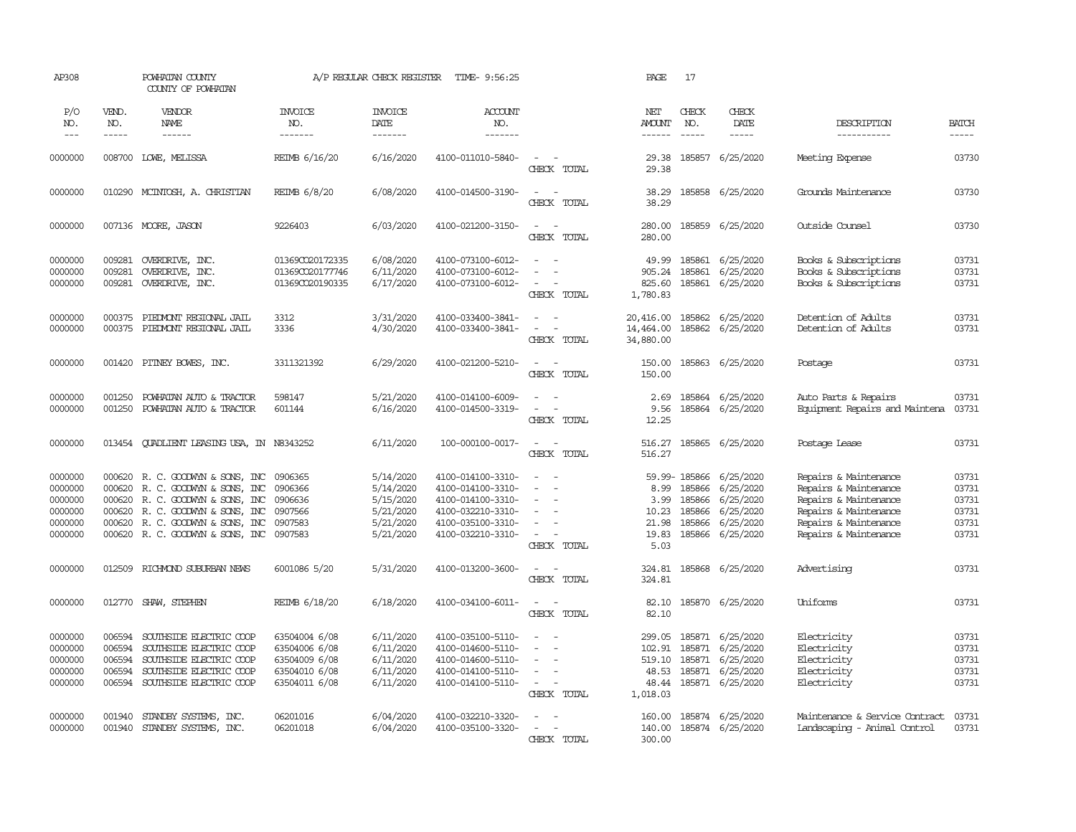| AP308                                                          |                                                | POWHATAN COUNTY<br>COUNTY OF POWHATAN                                                                                                                                                                                                                                                                                                                                                                                                                                                                    |                                                                                   | A/P REGULAR CHECK REGISTER                                                 | TIME- 9:56:25                                                                                                              |                                                                             | PAGE                                                     | 17                                                                  |                                                                                    |                                                                                                                                                    |                                                    |
|----------------------------------------------------------------|------------------------------------------------|----------------------------------------------------------------------------------------------------------------------------------------------------------------------------------------------------------------------------------------------------------------------------------------------------------------------------------------------------------------------------------------------------------------------------------------------------------------------------------------------------------|-----------------------------------------------------------------------------------|----------------------------------------------------------------------------|----------------------------------------------------------------------------------------------------------------------------|-----------------------------------------------------------------------------|----------------------------------------------------------|---------------------------------------------------------------------|------------------------------------------------------------------------------------|----------------------------------------------------------------------------------------------------------------------------------------------------|----------------------------------------------------|
| P/O<br>NO.<br>$---$                                            | VEND.<br>NO.<br>-----                          | VENDOR<br>NAME<br>$\begin{array}{cccccccccc} \multicolumn{2}{c}{} & \multicolumn{2}{c}{} & \multicolumn{2}{c}{} & \multicolumn{2}{c}{} & \multicolumn{2}{c}{} & \multicolumn{2}{c}{} & \multicolumn{2}{c}{} & \multicolumn{2}{c}{} & \multicolumn{2}{c}{} & \multicolumn{2}{c}{} & \multicolumn{2}{c}{} & \multicolumn{2}{c}{} & \multicolumn{2}{c}{} & \multicolumn{2}{c}{} & \multicolumn{2}{c}{} & \multicolumn{2}{c}{} & \multicolumn{2}{c}{} & \multicolumn{2}{c}{} & \multicolumn{2}{c}{} & \mult$ | <b>INVOICE</b><br>NO.<br>-------                                                  | <b>INVOICE</b><br>DATE<br>--------                                         | <b>ACCOUNT</b><br>NO.<br>--------                                                                                          |                                                                             | NET<br>AMOUNT<br>-------                                 | CHECK<br>NO.<br>$\frac{1}{2}$                                       | CHECK<br>DATE<br>-----                                                             | DESCRIPTION<br>-----------                                                                                                                         | <b>BATCH</b><br>$\frac{1}{2}$                      |
| 0000000                                                        | 008700                                         | LOWE, MELISSA                                                                                                                                                                                                                                                                                                                                                                                                                                                                                            | REIMB 6/16/20                                                                     | 6/16/2020                                                                  | 4100-011010-5840-                                                                                                          | $\sim$<br>CHECK TOTAL                                                       | 29.38<br>29.38                                           |                                                                     | 185857 6/25/2020                                                                   | Meeting Expense                                                                                                                                    | 03730                                              |
| 0000000                                                        |                                                | 010290 MCINTOSH, A. CHRISTIAN                                                                                                                                                                                                                                                                                                                                                                                                                                                                            | REIMB 6/8/20                                                                      | 6/08/2020                                                                  | 4100-014500-3190-                                                                                                          | $\equiv$<br>$\sim$<br>CHECK TOTAL                                           | 38.29<br>38.29                                           |                                                                     | 185858 6/25/2020                                                                   | Grounds Maintenance                                                                                                                                | 03730                                              |
| 0000000                                                        |                                                | 007136 MOORE, JASON                                                                                                                                                                                                                                                                                                                                                                                                                                                                                      | 9226403                                                                           | 6/03/2020                                                                  | 4100-021200-3150-                                                                                                          | $\sim$<br>$\sim$<br>CHECK TOTAL                                             | 280.00<br>280.00                                         |                                                                     | 185859 6/25/2020                                                                   | Outside Counsel                                                                                                                                    | 03730                                              |
| 0000000<br>0000000<br>0000000                                  | 009281<br>009281<br>009281                     | OVERDRIVE, INC.<br>OVERDRIVE, INC.<br>OVERDRIVE, INC.                                                                                                                                                                                                                                                                                                                                                                                                                                                    | 01369CO20172335<br>01369CO20177746<br>01369CO20190335                             | 6/08/2020<br>6/11/2020<br>6/17/2020                                        | 4100-073100-6012-<br>4100-073100-6012-<br>4100-073100-6012-                                                                | $\sim$<br>$\equiv$<br>CHECK TOTAL                                           | 49.99<br>905.24<br>825.60<br>1,780.83                    | 185861                                                              | 185861 6/25/2020<br>6/25/2020<br>185861 6/25/2020                                  | Books & Subscriptions<br>Books & Subscriptions<br>Books & Subscriptions                                                                            | 03731<br>03731<br>03731                            |
| 0000000<br>0000000                                             | 000375<br>000375                               | PIEDMONT REGIONAL JAIL<br>PIEDMONT REGIONAL JAIL                                                                                                                                                                                                                                                                                                                                                                                                                                                         | 3312<br>3336                                                                      | 3/31/2020<br>4/30/2020                                                     | 4100-033400-3841-<br>4100-033400-3841-                                                                                     | $\sim$<br>$\overline{\phantom{a}}$<br>CHECK TOTAL                           | 20,416.00<br>14,464.00<br>34,880.00                      |                                                                     | 185862 6/25/2020<br>185862 6/25/2020                                               | Detention of Adults<br>Detention of Adults                                                                                                         | 03731<br>03731                                     |
| 0000000                                                        | 001420                                         | PITNEY BOWES, INC.                                                                                                                                                                                                                                                                                                                                                                                                                                                                                       | 3311321392                                                                        | 6/29/2020                                                                  | 4100-021200-5210-                                                                                                          | $\sim$<br>- -<br>CHECK TOTAL                                                | 150.00<br>150.00                                         |                                                                     | 185863 6/25/2020                                                                   | Postage                                                                                                                                            | 03731                                              |
| 0000000<br>0000000                                             | 001250<br>001250                               | POWHATAN AUTO & TRACTOR<br>POWHATAN AUTO & TRACTOR                                                                                                                                                                                                                                                                                                                                                                                                                                                       | 598147<br>601144                                                                  | 5/21/2020<br>6/16/2020                                                     | 4100-014100-6009-<br>4100-014500-3319-                                                                                     | $\equiv$<br>$\sim$<br>$\sim$<br>CHECK TOTAL                                 | 2.69<br>9.56<br>12.25                                    | 185864                                                              | 185864 6/25/2020<br>6/25/2020                                                      | Auto Parts & Repairs<br>Equipment Repairs and Maintena                                                                                             | 03731<br>03731                                     |
| 0000000                                                        |                                                | 013454 QUADLIENT LEASING USA, IN N8343252                                                                                                                                                                                                                                                                                                                                                                                                                                                                |                                                                                   | 6/11/2020                                                                  | 100-000100-0017-                                                                                                           | $\sim$<br>$\sim$<br>CHECK TOTAL                                             | 516.27                                                   |                                                                     | 516.27 185865 6/25/2020                                                            | Postage Lease                                                                                                                                      | 03731                                              |
| 0000000<br>0000000<br>0000000<br>0000000<br>0000000<br>0000000 | 000620<br>000620<br>000620                     | 000620 R. C. GOODWIN & SONS, INC<br>R. C. GOODWYN & SONS, INC<br>R. C. GOODWYN & SONS, INC<br>000620 R. C. GOODWYN & SONS, INC<br>R. C. GOODWYN & SONS, INC<br>000620 R. C. GOODWYN & SONS, INC 0907583                                                                                                                                                                                                                                                                                                  | 0906365<br>0906366<br>0906636<br>0907566<br>0907583                               | 5/14/2020<br>5/14/2020<br>5/15/2020<br>5/21/2020<br>5/21/2020<br>5/21/2020 | 4100-014100-3310-<br>4100-014100-3310-<br>4100-014100-3310-<br>4100-032210-3310-<br>4100-035100-3310-<br>4100-032210-3310- | $\sim$<br>$\equiv$<br>$\sim$<br>$\sim$<br>$\sim$<br>$\equiv$<br>CHECK TOTAL | 3.99<br>10.23<br>21.98<br>19.83<br>5.03                  | 59.99-185866<br>8.99 185866<br>185866<br>185866<br>185866<br>185866 | 6/25/2020<br>6/25/2020<br>6/25/2020<br>6/25/2020<br>6/25/2020<br>6/25/2020         | Repairs & Maintenance<br>Repairs & Maintenance<br>Repairs & Maintenance<br>Repairs & Maintenance<br>Repairs & Maintenance<br>Repairs & Maintenance | 03731<br>03731<br>03731<br>03731<br>03731<br>03731 |
| 0000000                                                        | 012509                                         | RICHMOND SUBURBAN NEWS                                                                                                                                                                                                                                                                                                                                                                                                                                                                                   | 6001086 5/20                                                                      | 5/31/2020                                                                  | 4100-013200-3600-                                                                                                          | $\equiv$<br>$\sim$<br>CHECK TOTAL                                           | 324.81<br>324.81                                         |                                                                     | 185868 6/25/2020                                                                   | Advertising                                                                                                                                        | 03731                                              |
| 0000000                                                        | 012770                                         | SHAW, STEPHEN                                                                                                                                                                                                                                                                                                                                                                                                                                                                                            | REIMB 6/18/20                                                                     | 6/18/2020                                                                  | 4100-034100-6011-                                                                                                          | $\sim$<br>$\sim$<br>CHECK TOTAL                                             | 82.10<br>82.10                                           |                                                                     | 185870 6/25/2020                                                                   | Uniforms                                                                                                                                           | 03731                                              |
| 0000000<br>0000000<br>0000000<br>0000000<br>0000000            | 006594<br>006594<br>006594<br>006594<br>006594 | SOUTHSIDE ELECTRIC COOP<br>SOUTHSIDE ELECTRIC COOP<br>SOUTHSIDE ELECTRIC COOP<br>SOUTHSIDE ELECTRIC COOP<br>SOUTHSIDE ELECTRIC COOP                                                                                                                                                                                                                                                                                                                                                                      | 63504004 6/08<br>63504006 6/08<br>63504009 6/08<br>63504010 6/08<br>63504011 6/08 | 6/11/2020<br>6/11/2020<br>6/11/2020<br>6/11/2020<br>6/11/2020              | 4100-035100-5110-<br>4100-014600-5110-<br>4100-014600-5110-<br>4100-014100-5110-<br>4100-014100-5110-                      | $\sim$<br>$\sim$<br>$\equiv$<br>CHECK TOTAL                                 | 299.05<br>102.91<br>519.10<br>48.53<br>48.44<br>1,018.03 | 185871<br>185871                                                    | 185871 6/25/2020<br>6/25/2020<br>6/25/2020<br>185871 6/25/2020<br>185871 6/25/2020 | Electricity<br>Electricity<br>Electricity<br>Electricity<br>Electricity                                                                            | 03731<br>03731<br>03731<br>03731<br>03731          |
| 0000000<br>0000000                                             | 001940<br>001940                               | STANDBY SYSTEMS, INC.<br>STANDBY SYSTEMS, INC.                                                                                                                                                                                                                                                                                                                                                                                                                                                           | 06201016<br>06201018                                                              | 6/04/2020<br>6/04/2020                                                     | 4100-032210-3320-<br>4100-035100-3320-                                                                                     | $\sim$<br>CHECK TOTAL                                                       | 160.00<br>140.00<br>300.00                               |                                                                     | 185874 6/25/2020<br>185874 6/25/2020                                               | Maintenance & Service Contract<br>Landscaping - Animal Control                                                                                     | 03731<br>03731                                     |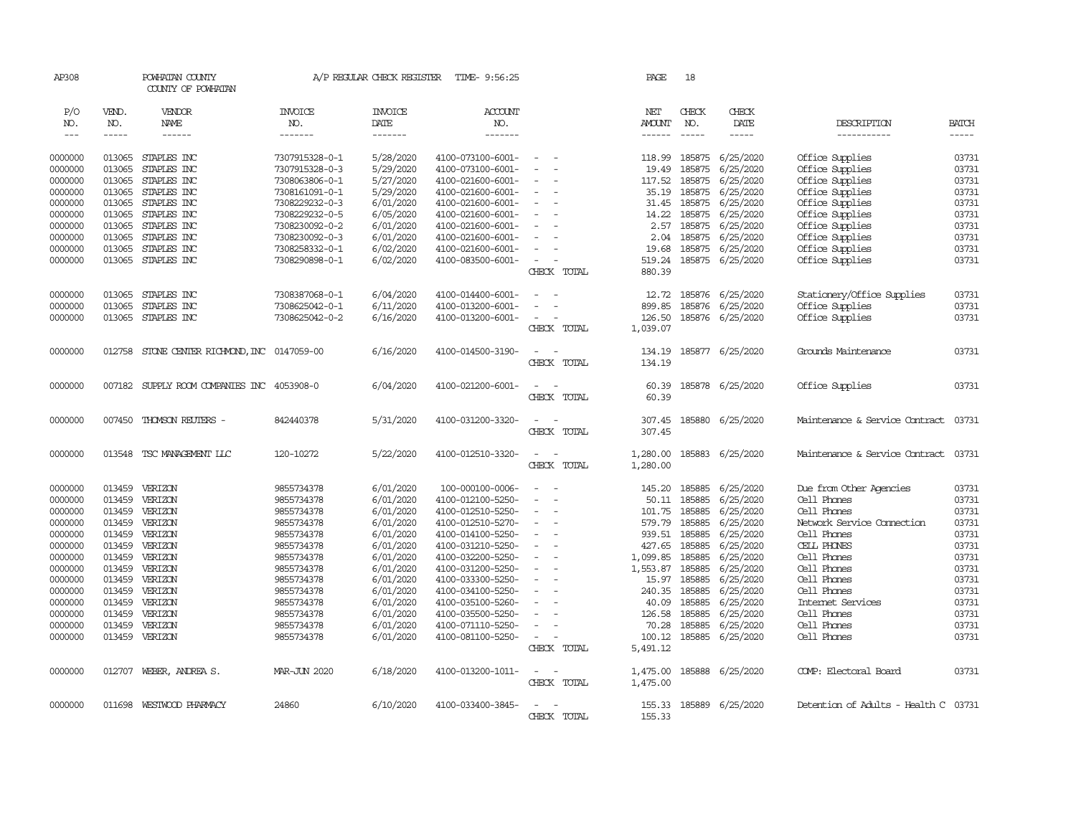| AP308              |                  | POWHATAN COUNTY<br>COUNTY OF POWHATAN |                                  | A/P REGULAR CHECK REGISTER | TIME- 9:56:25                          |                                         | PAGE               | 18            |                        |                                      |                |
|--------------------|------------------|---------------------------------------|----------------------------------|----------------------------|----------------------------------------|-----------------------------------------|--------------------|---------------|------------------------|--------------------------------------|----------------|
| P/O                | VEND.            | VENDOR                                | <b>INVOICE</b>                   | <b>INVOICE</b>             | <b>ACCOUNT</b>                         |                                         | <b>NET</b>         | CHECK         | CHECK                  |                                      |                |
| NO.                | NO.              | NAME                                  | NO.                              | DATE                       | NO.                                    |                                         | <b>AMOUNT</b>      | NO.           | DATE                   | DESCRIPTION                          | <b>BATCH</b>   |
| $---$              | $- - - - -$      | ------                                | -------                          | -------                    | -------                                |                                         | ------             | $\frac{1}{2}$ | -----                  | -----------                          | $- - - - -$    |
| 0000000            | 013065           | STAPLES INC                           | 7307915328-0-1                   | 5/28/2020                  | 4100-073100-6001-                      |                                         | 118.99             | 185875        | 6/25/2020              | Office Supplies                      | 03731          |
| 0000000            | 013065           | STAPLES INC                           | 7307915328-0-3                   | 5/29/2020                  | 4100-073100-6001-                      |                                         | 19.49              | 185875        | 6/25/2020              | Office Supplies                      | 03731          |
| 0000000            | 013065           | STAPLES INC                           | 7308063806-0-1                   | 5/27/2020                  | 4100-021600-6001-                      |                                         | 117.52             | 185875        | 6/25/2020              | Office Supplies                      | 03731          |
| 0000000            | 013065           | STAPLES INC                           | 7308161091-0-1                   | 5/29/2020                  | 4100-021600-6001-                      |                                         | 35.19              | 185875        | 6/25/2020              | Office Supplies                      | 03731          |
| 0000000            | 013065           | STAPLES INC                           | 7308229232-0-3                   | 6/01/2020                  | 4100-021600-6001-                      | $\overline{\phantom{a}}$                | 31.45              | 185875        | 6/25/2020              | Office Supplies                      | 03731          |
| 0000000            | 013065           | STAPLES INC                           | 7308229232-0-5                   | 6/05/2020                  | 4100-021600-6001-                      |                                         | 14.22              | 185875        | 6/25/2020              | Office Supplies                      | 03731          |
| 0000000            | 013065           | STAPLES INC                           | 7308230092-0-2                   | 6/01/2020                  | 4100-021600-6001-                      |                                         | 2.57               | 185875        | 6/25/2020              | Office Supplies                      | 03731          |
| 0000000            | 013065           | STAPLES INC                           | 7308230092-0-3                   | 6/01/2020                  | 4100-021600-6001-                      |                                         | 2.04               | 185875        | 6/25/2020              | Office Supplies                      | 03731          |
| 0000000            | 013065           | STAPLES INC                           | 7308258332-0-1                   | 6/02/2020                  | 4100-021600-6001-                      |                                         | 19.68              | 185875        | 6/25/2020              | Office Supplies                      | 03731          |
| 0000000            |                  | 013065 STAPLES INC                    | 7308290898-0-1                   | 6/02/2020                  | 4100-083500-6001-                      | $\equiv$                                | 519.24             |               | 185875 6/25/2020       | Office Supplies                      | 03731          |
|                    |                  |                                       |                                  |                            |                                        | CHECK TOTAL                             | 880.39             |               |                        |                                      |                |
|                    |                  |                                       |                                  |                            |                                        |                                         |                    |               |                        |                                      |                |
| 0000000            | 013065           | STAPLES INC                           | 7308387068-0-1                   | 6/04/2020                  | 4100-014400-6001-                      | $\overline{\phantom{a}}$                |                    |               | 12.72 185876 6/25/2020 | Stationery/Office Supplies           | 03731<br>03731 |
| 0000000<br>0000000 | 013065<br>013065 | STAPLES INC<br>STAPLES INC            | 7308625042-0-1<br>7308625042-0-2 | 6/11/2020                  | 4100-013200-6001-<br>4100-013200-6001- | $\equiv$                                | 899.85             | 185876        | 6/25/2020              | Office Supplies                      | 03731          |
|                    |                  |                                       |                                  | 6/16/2020                  |                                        |                                         | 126.50             |               | 185876 6/25/2020       | Office Supplies                      |                |
|                    |                  |                                       |                                  |                            |                                        | CHECK TOTAL                             | 1,039.07           |               |                        |                                      |                |
| 0000000            | 012758           | STONE CENTER RICHMOND, INC 0147059-00 |                                  | 6/16/2020                  | 4100-014500-3190-                      | $\sim$                                  | 134.19             |               | 185877 6/25/2020       | Grounds Maintenance                  | 03731          |
|                    |                  |                                       |                                  |                            |                                        | CHECK TOTAL                             | 134.19             |               |                        |                                      |                |
| 0000000            | 007182           | SUPPLY ROOM COMPANIES INC 4053908-0   |                                  | 6/04/2020                  | 4100-021200-6001-                      | $\equiv$                                | 60.39              |               | 185878 6/25/2020       | Office Supplies                      | 03731          |
|                    |                  |                                       |                                  |                            |                                        | CHECK TOTAL                             | 60.39              |               |                        |                                      |                |
| 0000000            | 007450           | THOMSON REUTERS -                     | 842440378                        | 5/31/2020                  | 4100-031200-3320-                      | $\equiv$                                | 307.45             |               | 185880 6/25/2020       | Maintenance & Service Contract       | 03731          |
|                    |                  |                                       |                                  |                            |                                        | CHECK TOTAL                             | 307.45             |               |                        |                                      |                |
| 0000000            |                  | 013548 TSC MANAGEMENT LLC             | 120-10272                        | 5/22/2020                  | 4100-012510-3320-                      | $\sim$                                  | 1,280.00           |               | 185883 6/25/2020       | Maintenance & Service Contract       | 03731          |
|                    |                  |                                       |                                  |                            |                                        | CHECK TOTAL                             | 1,280.00           |               |                        |                                      |                |
|                    |                  |                                       |                                  |                            |                                        |                                         |                    |               |                        |                                      |                |
| 0000000            | 013459           | VERIZON                               | 9855734378                       | 6/01/2020                  | 100-000100-0006-                       | $\sim$<br>$\sim$                        | 145.20             | 185885        | 6/25/2020              | Due from Other Agencies              | 03731          |
| 0000000            | 013459           | VERIZON                               | 9855734378                       | 6/01/2020                  | 4100-012100-5250-                      |                                         | 50.11              | 185885        | 6/25/2020              | Cell Phones                          | 03731          |
| 0000000            | 013459           | VERIZON                               | 9855734378                       | 6/01/2020                  | 4100-012510-5250-                      |                                         | 101.75             | 185885        | 6/25/2020              | Cell Phones                          | 03731          |
| 0000000            | 013459           | VERIZON                               | 9855734378                       | 6/01/2020                  | 4100-012510-5270-                      | $\sim$                                  |                    | 579.79 185885 | 6/25/2020              | Network Service Connection           | 03731          |
| 0000000            | 013459           | VERIZON                               | 9855734378                       | 6/01/2020                  | 4100-014100-5250-                      | $\equiv$                                | 939.51             | 185885        | 6/25/2020              | Cell Phones                          | 03731          |
| 0000000            | 013459           | VERIZON                               | 9855734378                       | 6/01/2020                  | 4100-031210-5250-                      |                                         | 427.65             | 185885        | 6/25/2020              | CELL PHONES                          | 03731          |
| 0000000            | 013459           | VERIZON                               | 9855734378                       | 6/01/2020                  | 4100-032200-5250-                      | $\sim$                                  | 1,099.85           | 185885        | 6/25/2020              | Cell Phones                          | 03731          |
| 0000000            | 013459           | VERIZON                               | 9855734378                       | 6/01/2020                  | 4100-031200-5250-                      |                                         | 1,553.87           | 185885        | 6/25/2020              | Cell Phones                          | 03731          |
| 0000000            | 013459           | VERIZON                               | 9855734378                       | 6/01/2020                  | 4100-033300-5250-                      |                                         | 15.97              | 185885        | 6/25/2020              | Cell Phones                          | 03731          |
| 0000000            | 013459           | VERIZON                               | 9855734378                       | 6/01/2020                  | 4100-034100-5250-                      |                                         | 240.35             | 185885        | 6/25/2020              | Cell Phones                          | 03731          |
| 0000000            | 013459           | VERIZON                               | 9855734378                       | 6/01/2020                  | 4100-035100-5260-                      |                                         | 40.09              | 185885        | 6/25/2020              | Internet Services                    | 03731          |
| 0000000            | 013459           | VERIZON                               | 9855734378                       | 6/01/2020                  | 4100-035500-5250-                      |                                         | 126.58             | 185885        | 6/25/2020              | Cell Phones                          | 03731          |
| 0000000            | 013459           | VERIZON                               | 9855734378                       | 6/01/2020                  | 4100-071110-5250-                      |                                         | 70.28              | 185885        | 6/25/2020              | Cell Phones                          | 03731          |
| 0000000            | 013459           | VERIZON                               | 9855734378                       | 6/01/2020                  | 4100-081100-5250-                      | $\overline{\phantom{a}}$<br>CHECK TOTAL | 100.12<br>5,491.12 | 185885        | 6/25/2020              | Cell Phones                          | 03731          |
|                    |                  |                                       |                                  |                            |                                        |                                         |                    |               |                        |                                      |                |
| 0000000            |                  | 012707 WEBER, ANDREA S.               | MAR-JUN 2020                     | 6/18/2020                  | 4100-013200-1011-                      | $\sim$<br>$\sim$                        | 1,475.00           |               | 185888 6/25/2020       | COMP: Electoral Board                | 03731          |
|                    |                  |                                       |                                  |                            |                                        | CHECK TOTAL                             | 1,475.00           |               |                        |                                      |                |
| 0000000            | 011698           | WESTWOOD PHARMACY                     | 24860                            | 6/10/2020                  | 4100-033400-3845-                      |                                         | 155.33             |               | 185889 6/25/2020       | Detention of Adults - Health C 03731 |                |
|                    |                  |                                       |                                  |                            |                                        | CHECK TOTAL                             | 155.33             |               |                        |                                      |                |
|                    |                  |                                       |                                  |                            |                                        |                                         |                    |               |                        |                                      |                |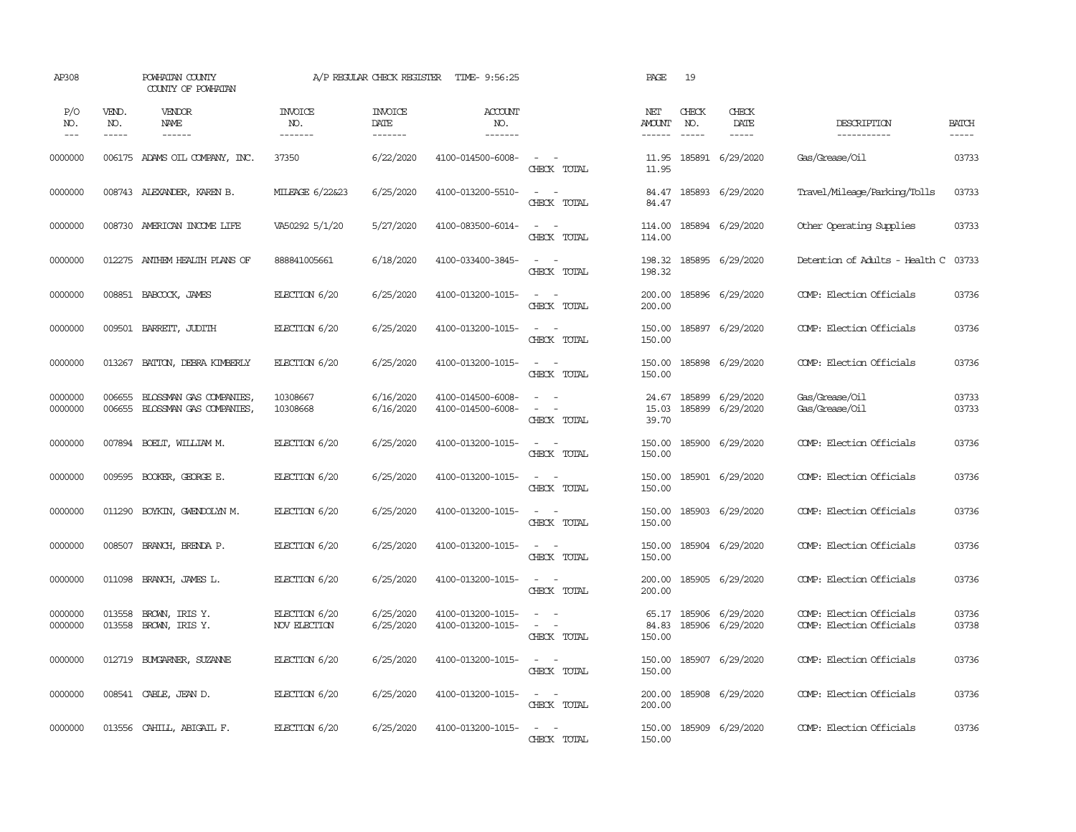| AP308               |                             | POWHATAN COUNTY<br>COUNTY OF POWHATAN              |                                  | A/P REGULAR CHECK REGISTER        | TIME- 9:56:25                          |                                                                                                                             | PAGE                           | 19                          |                               |                                                      |                       |
|---------------------|-----------------------------|----------------------------------------------------|----------------------------------|-----------------------------------|----------------------------------------|-----------------------------------------------------------------------------------------------------------------------------|--------------------------------|-----------------------------|-------------------------------|------------------------------------------------------|-----------------------|
| P/O<br>NO.<br>$---$ | VEND.<br>NO.<br>$- - - - -$ | VENDOR<br>NAME<br>$- - - - - -$                    | <b>INVOICE</b><br>NO.<br>------- | <b>INVOICE</b><br>DATE<br>------- | ACCOUNT<br>NO.<br>-------              |                                                                                                                             | NET<br><b>AMOUNT</b><br>------ | CHECK<br>NO.<br>$- - - - -$ | CHECK<br>DATE<br>$- - - - -$  | DESCRIPTION<br>-----------                           | <b>BATCH</b><br>----- |
| 0000000             |                             | 006175 ADAMS OIL COMPANY, INC.                     | 37350                            | 6/22/2020                         | 4100-014500-6008-                      | $\sim$ $ \sim$<br>CHECK TOTAL                                                                                               | 11.95<br>11.95                 |                             | 185891 6/29/2020              | Gas/Grease/Oil                                       | 03733                 |
| 0000000             |                             | 008743 ALEXANDER, KAREN B.                         | MILEAGE 6/22&23                  | 6/25/2020                         | 4100-013200-5510-                      | $\sim$ $ \sim$<br>CHECK TOTAL                                                                                               | 84.47<br>84.47                 |                             | 185893 6/29/2020              | Travel/Mileage/Parking/Tolls                         | 03733                 |
| 0000000             | 008730                      | AMERICAN INCOME LIFE                               | VA50292 5/1/20                   | 5/27/2020                         | 4100-083500-6014-                      | $\sim$ 100 $\sim$<br>CHECK TOTAL                                                                                            | 114.00<br>114.00               |                             | 185894 6/29/2020              | Other Operating Supplies                             | 03733                 |
| 0000000             | 012275                      | ANTHEM HEALTH PLANS OF                             | 888841005661                     | 6/18/2020                         | 4100-033400-3845-                      | $\overline{\phantom{a}}$<br>$\sim$<br>CHECK TOTAL                                                                           | 198.32<br>198.32               |                             | 185895 6/29/2020              | Detention of Adults - Health C                       | 03733                 |
| 0000000             |                             | 008851 BABCOCK, JAMES                              | ELECTION 6/20                    | 6/25/2020                         | 4100-013200-1015-                      | $\sim$<br>$\sim$<br>CHECK TOTAL                                                                                             | 200.00<br>200.00               |                             | 185896 6/29/2020              | COMP: Election Officials                             | 03736                 |
| 0000000             | 009501                      | BARRETT, JUDITH                                    | ELECTION 6/20                    | 6/25/2020                         | 4100-013200-1015-                      | $\sim$ $ \sim$<br>CHECK TOTAL                                                                                               | 150.00<br>150.00               |                             | 185897 6/29/2020              | COMP: Election Officials                             | 03736                 |
| 0000000             | 013267                      | BATTON, DEBRA KIMBERLY                             | ELECTION 6/20                    | 6/25/2020                         | 4100-013200-1015-                      | $\sim$<br>$\overline{\phantom{a}}$<br>CHECK TOTAL                                                                           | 150.00<br>150.00               |                             | 185898 6/29/2020              | COMP: Election Officials                             | 03736                 |
| 0000000<br>0000000  | 006655<br>006655            | BLOSSMAN GAS COMPANIES,<br>BLOSSMAN GAS COMPANIES, | 10308667<br>10308668             | 6/16/2020<br>6/16/2020            | 4100-014500-6008-<br>4100-014500-6008- | $\equiv$<br>$\sim$ $ \sim$<br>CHECK TOTAL                                                                                   | 24.67<br>15.03<br>39.70        | 185899                      | 6/29/2020<br>185899 6/29/2020 | Gas/Grease/Oil<br>Gas/Grease/Oil                     | 03733<br>03733        |
| 0000000             |                             | 007894 BOELT, WILLIAM M.                           | ELECTION 6/20                    | 6/25/2020                         | 4100-013200-1015-                      | $\sim$ $ -$<br>CHECK TOTAL                                                                                                  | 150.00<br>150.00               |                             | 185900 6/29/2020              | COMP: Election Officials                             | 03736                 |
| 0000000             | 009595                      | BOOKER, GEORGE E.                                  | ELECTION 6/20                    | 6/25/2020                         | 4100-013200-1015-                      | $\sim$<br>$\sim$<br>CHECK TOTAL                                                                                             | 150.00<br>150.00               |                             | 185901 6/29/2020              | COMP: Election Officials                             | 03736                 |
| 0000000             | 011290                      | BOYKIN, GWENDOLYN M.                               | ELECTION 6/20                    | 6/25/2020                         | 4100-013200-1015-                      | $\sim$<br>$\sim$<br>CHECK TOTAL                                                                                             | 150.00<br>150.00               |                             | 185903 6/29/2020              | COMP: Election Officials                             | 03736                 |
| 0000000             | 008507                      | BRANCH, BRENDA P.                                  | ELECTION 6/20                    | 6/25/2020                         | 4100-013200-1015-                      | $\frac{1}{2} \left( \frac{1}{2} \right) \left( \frac{1}{2} \right) = \frac{1}{2} \left( \frac{1}{2} \right)$<br>CHECK TOTAL | 150.00<br>150.00               |                             | 185904 6/29/2020              | COMP: Election Officials                             | 03736                 |
| 0000000             | 011098                      | BRANCH, JAMES L.                                   | ELECTION 6/20                    | 6/25/2020                         | 4100-013200-1015-                      | $\sim$ $ -$<br>CHECK TOTAL                                                                                                  | 200.00<br>200.00               |                             | 185905 6/29/2020              | COMP: Election Officials                             | 03736                 |
| 0000000<br>0000000  | 013558<br>013558            | BROWN, IRIS Y.<br>BROWN, IRIS Y.                   | ELECTION 6/20<br>NOV ELECTION    | 6/25/2020<br>6/25/2020            | 4100-013200-1015-<br>4100-013200-1015- | $\overline{\phantom{a}}$<br>$\sim$<br>$\sim$<br>$\sim$<br>CHECK TOTAL                                                       | 65.17<br>84.83<br>150.00       | 185906                      | 185906 6/29/2020<br>6/29/2020 | COMP: Election Officials<br>COMP: Election Officials | 03736<br>03738        |
| 0000000             |                             | 012719 BUXGARNER, SUZANNE                          | ELECTION 6/20                    | 6/25/2020                         | 4100-013200-1015-                      | $\sim$<br>$\sim$<br>CHECK TOTAL                                                                                             | 150.00<br>150.00               |                             | 185907 6/29/2020              | COMP: Election Officials                             | 03736                 |
| 0000000             |                             | 008541 CABLE, JEAN D.                              | ELECTION 6/20                    | 6/25/2020                         | 4100-013200-1015-                      | $\sim$<br>$\sim$<br>CHECK TOTAL                                                                                             | 200.00<br>200.00               |                             | 185908 6/29/2020              | COMP: Election Officials                             | 03736                 |
| 0000000             | 013556                      | CAHILL, ABIGAIL F.                                 | ELECTION 6/20                    | 6/25/2020                         | 4100-013200-1015-                      | $\sim$<br>$\sim$<br>CHECK TOTAL                                                                                             | 150.00<br>150.00               |                             | 185909 6/29/2020              | COMP: Election Officials                             | 03736                 |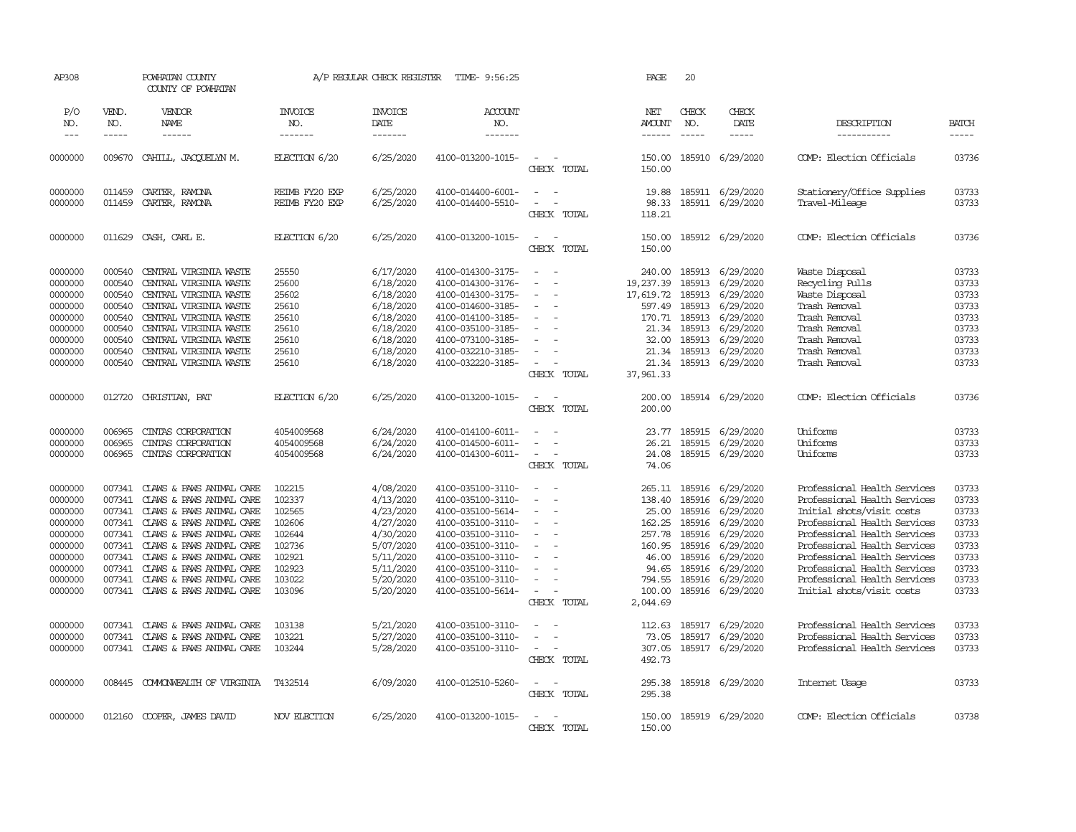| AP308                                                                                                      |                                                                                                  | POWHATAN COUNTY<br>COUNTY OF POWHATAN                                                                                                                                                                                                                                                |                                                                                                  | A/P REGULAR CHECK REGISTER                                                                                                     | TIME- 9:56:25                                                                                                                                                                                                  |                                                                                                                                                                  | PAGE                                                                                                      | 20                                                                                            |                                                                                                                                       |                                                                                                                                                                                                                                                                                                                        |                                                                                        |
|------------------------------------------------------------------------------------------------------------|--------------------------------------------------------------------------------------------------|--------------------------------------------------------------------------------------------------------------------------------------------------------------------------------------------------------------------------------------------------------------------------------------|--------------------------------------------------------------------------------------------------|--------------------------------------------------------------------------------------------------------------------------------|----------------------------------------------------------------------------------------------------------------------------------------------------------------------------------------------------------------|------------------------------------------------------------------------------------------------------------------------------------------------------------------|-----------------------------------------------------------------------------------------------------------|-----------------------------------------------------------------------------------------------|---------------------------------------------------------------------------------------------------------------------------------------|------------------------------------------------------------------------------------------------------------------------------------------------------------------------------------------------------------------------------------------------------------------------------------------------------------------------|----------------------------------------------------------------------------------------|
| P/O<br>NO.<br>$\frac{1}{2}$                                                                                | VEND.<br>NO.<br>-----                                                                            | VENDOR<br>NAME<br>------                                                                                                                                                                                                                                                             | <b>INVOICE</b><br>NO.<br>-------                                                                 | <b>INVOICE</b><br>DATE<br>-------                                                                                              | <b>ACCOUNT</b><br>NO.<br>--------                                                                                                                                                                              |                                                                                                                                                                  | NET<br>AMOUNT<br>------                                                                                   | CHECK<br>NO.<br>$\frac{1}{2}$                                                                 | CHECK<br>DATE<br>-----                                                                                                                | DESCRIPTION<br>-----------                                                                                                                                                                                                                                                                                             | <b>BATCH</b><br>-----                                                                  |
| 0000000                                                                                                    | 009670                                                                                           | CAHILL, JACQUELYN M.                                                                                                                                                                                                                                                                 | ELECTION 6/20                                                                                    | 6/25/2020                                                                                                                      | 4100-013200-1015-                                                                                                                                                                                              | $\sim$<br>- -<br>CHECK TOTAL                                                                                                                                     | 150.00<br>150.00                                                                                          |                                                                                               | 185910 6/29/2020                                                                                                                      | COMP: Election Officials                                                                                                                                                                                                                                                                                               | 03736                                                                                  |
| 0000000<br>0000000                                                                                         | 011459<br>011459                                                                                 | CARTER, RAMONA<br>CARTER, RAMONA                                                                                                                                                                                                                                                     | REIMB FY20 EXP<br>REIMB FY20 EXP                                                                 | 6/25/2020<br>6/25/2020                                                                                                         | 4100-014400-6001-<br>4100-014400-5510-                                                                                                                                                                         | $\sim$ $ \sim$<br>$\blacksquare$<br>CHECK TOTAL                                                                                                                  | 19.88<br>98.33<br>118.21                                                                                  |                                                                                               | 185911 6/29/2020<br>185911 6/29/2020                                                                                                  | Stationery/Office Supplies<br>Travel-Mileage                                                                                                                                                                                                                                                                           | 03733<br>03733                                                                         |
| 0000000                                                                                                    | 011629                                                                                           | CASH, CARL E.                                                                                                                                                                                                                                                                        | ELECTION 6/20                                                                                    | 6/25/2020                                                                                                                      | 4100-013200-1015-                                                                                                                                                                                              | $\sim$<br>CHECK TOTAL                                                                                                                                            | 150.00<br>150.00                                                                                          |                                                                                               | 185912 6/29/2020                                                                                                                      | COMP: Election Officials                                                                                                                                                                                                                                                                                               | 03736                                                                                  |
| 0000000<br>0000000<br>0000000<br>0000000<br>0000000<br>0000000<br>0000000<br>0000000<br>0000000            | 000540<br>000540<br>000540<br>000540<br>000540<br>000540<br>000540<br>000540<br>000540           | CENTRAL VIRGINIA WASTE<br>CENTRAL VIRGINIA WASTE<br>CENTRAL VIRGINIA WASTE<br>CENTRAL VIRGINIA WASTE<br>CENTRAL VIRGINIA WASTE<br>CENTRAL VIRGINIA WASTE<br>CENTRAL VIRGINIA WASTE<br>CENTRAL VIRGINIA WASTE<br>CENTRAL VIRGINIA WASTE                                               | 25550<br>25600<br>25602<br>25610<br>25610<br>25610<br>25610<br>25610<br>25610                    | 6/17/2020<br>6/18/2020<br>6/18/2020<br>6/18/2020<br>6/18/2020<br>6/18/2020<br>6/18/2020<br>6/18/2020<br>6/18/2020              | 4100-014300-3175-<br>4100-014300-3176-<br>4100-014300-3175-<br>4100-014600-3185-<br>4100-014100-3185-<br>4100-035100-3185-<br>4100-073100-3185-<br>4100-032210-3185-<br>4100-032220-3185-                      | $\equiv$<br>$\sim$<br>$\equiv$<br>$\equiv$<br>$\overline{\phantom{a}}$<br>$\overline{\phantom{a}}$<br>$\overline{\phantom{a}}$<br>$\sim$<br>CHECK TOTAL          | 240.00<br>19,237.39<br>17,619.72<br>597.49<br>21.34<br>32.00<br>21.34<br>21.34<br>37,961.33               | 185913<br>185913<br>185913<br>185913<br>170.71 185913<br>185913<br>185913<br>185913<br>185913 | 6/29/2020<br>6/29/2020<br>6/29/2020<br>6/29/2020<br>6/29/2020<br>6/29/2020<br>6/29/2020<br>6/29/2020<br>6/29/2020                     | Waste Disposal<br>Recycling Pulls<br>Waste Disposal<br>Trash Removal<br>Trash Removal<br>Trash Removal<br>Trash Removal<br>Trash Removal<br>Trash Removal                                                                                                                                                              | 03733<br>03733<br>03733<br>03733<br>03733<br>03733<br>03733<br>03733<br>03733          |
| 0000000                                                                                                    | 012720                                                                                           | CHRISTIAN, PAT                                                                                                                                                                                                                                                                       | ELECTION 6/20                                                                                    | 6/25/2020                                                                                                                      | 4100-013200-1015-                                                                                                                                                                                              | $\overline{\phantom{a}}$<br>$\sim$<br>CHECK TOTAL                                                                                                                | 200.00<br>200.00                                                                                          |                                                                                               | 185914 6/29/2020                                                                                                                      | COMP: Election Officials                                                                                                                                                                                                                                                                                               | 03736                                                                                  |
| 0000000<br>0000000<br>0000000                                                                              | 006965<br>006965<br>006965                                                                       | CINIAS CORPORATION<br>CINIAS CORPORATION<br>CINTAS CORPORATION                                                                                                                                                                                                                       | 4054009568<br>4054009568<br>4054009568                                                           | 6/24/2020<br>6/24/2020<br>6/24/2020                                                                                            | 4100-014100-6011-<br>4100-014500-6011-<br>4100-014300-6011-                                                                                                                                                    | $\overline{\phantom{a}}$<br>$\sim$<br>$\sim$<br>$\sim$<br>$\sim$<br>CHECK TOTAL                                                                                  | 23.77<br>26.21<br>24.08<br>74.06                                                                          | 185915                                                                                        | 185915 6/29/2020<br>6/29/2020<br>185915 6/29/2020                                                                                     | Uniforms<br>Uniforms<br>Uniforms                                                                                                                                                                                                                                                                                       | 03733<br>03733<br>03733                                                                |
| 0000000<br>0000000<br>0000000<br>0000000<br>0000000<br>0000000<br>0000000<br>0000000<br>0000000<br>0000000 | 007341<br>007341<br>007341<br>007341<br>007341<br>007341<br>007341<br>007341<br>007341<br>007341 | CLAWS & PAWS ANIMAL CARE<br>CLAWS & PAWS ANIMAL CARE<br>CLAWS & PAWS ANIMAL CARE<br>CLAWS & PAWS ANIMAL CARE<br>CLAWS & PAWS ANIMAL CARE<br>CLAWS & PAWS ANIMAL CARE<br>CLAWS & PAWS ANIMAL CARE<br>CLAWS & PAWS ANIMAL CARE<br>CLAWS & PAWS ANIMAL CARE<br>CLAWS & PAWS ANIMAL CARE | 102215<br>102337<br>102565<br>102606<br>102644<br>102736<br>102921<br>102923<br>103022<br>103096 | 4/08/2020<br>4/13/2020<br>4/23/2020<br>4/27/2020<br>4/30/2020<br>5/07/2020<br>5/11/2020<br>5/11/2020<br>5/20/2020<br>5/20/2020 | 4100-035100-3110-<br>4100-035100-3110-<br>4100-035100-5614-<br>4100-035100-3110-<br>4100-035100-3110-<br>4100-035100-3110-<br>4100-035100-3110-<br>4100-035100-3110-<br>4100-035100-3110-<br>4100-035100-5614- | $\overline{\phantom{a}}$<br>. —<br>$\overline{a}$<br>$\overline{a}$<br>$\overline{\phantom{a}}$<br>$\equiv$<br>$\sim$<br>$\overline{\phantom{a}}$<br>CHECK TOTAL | 265.11<br>138.40<br>25.00<br>162.25<br>257.78<br>160.95<br>46.00<br>94.65<br>794.55<br>100.00<br>2,044.69 | 185916<br>185916<br>185916<br>185916<br>185916<br>185916<br>185916<br>185916<br>185916        | 6/29/2020<br>6/29/2020<br>6/29/2020<br>6/29/2020<br>6/29/2020<br>6/29/2020<br>6/29/2020<br>6/29/2020<br>6/29/2020<br>185916 6/29/2020 | Professional Health Services<br>Professional Health Services<br>Initial shots/visit costs<br>Professional Health Services<br>Professional Health Services<br>Professional Health Services<br>Professional Health Services<br>Professional Health Services<br>Professional Health Services<br>Initial shots/visit costs | 03733<br>03733<br>03733<br>03733<br>03733<br>03733<br>03733<br>03733<br>03733<br>03733 |
| 0000000<br>0000000<br>0000000                                                                              | 007341<br>007341                                                                                 | CLAWS & PAWS ANIMAL CARE<br>CLAWS & PAWS ANIMAL CARE<br>007341 CLAWS & PAWS ANIMAL CARE                                                                                                                                                                                              | 103138<br>103221<br>103244                                                                       | 5/21/2020<br>5/27/2020<br>5/28/2020                                                                                            | 4100-035100-3110-<br>4100-035100-3110-<br>4100-035100-3110-                                                                                                                                                    | $\sim$<br>$\sim$<br>$\sim$<br>- -<br>CHECK TOTAL                                                                                                                 | 112.63<br>73.05<br>307.05<br>492.73                                                                       | 185917<br>185917                                                                              | 6/29/2020<br>6/29/2020<br>185917 6/29/2020                                                                                            | Professional Health Services<br>Professional Health Services<br>Professional Health Services                                                                                                                                                                                                                           | 03733<br>03733<br>03733                                                                |
| 0000000                                                                                                    | 008445                                                                                           | COMONWEALTH OF VIRGINIA                                                                                                                                                                                                                                                              | T432514                                                                                          | 6/09/2020                                                                                                                      | 4100-012510-5260-                                                                                                                                                                                              | $\sim$<br>$\sim$<br>CHECK TOTAL                                                                                                                                  | 295.38<br>295.38                                                                                          |                                                                                               | 185918 6/29/2020                                                                                                                      | Internet Usage                                                                                                                                                                                                                                                                                                         | 03733                                                                                  |
| 0000000                                                                                                    |                                                                                                  | 012160 COOPER, JAMES DAVID                                                                                                                                                                                                                                                           | NOV ELECTION                                                                                     | 6/25/2020                                                                                                                      | 4100-013200-1015-                                                                                                                                                                                              | $\sim$<br>$\sim$<br>CHECK TOTAL                                                                                                                                  | 150.00<br>150.00                                                                                          |                                                                                               | 185919 6/29/2020                                                                                                                      | COMP: Election Officials                                                                                                                                                                                                                                                                                               | 03738                                                                                  |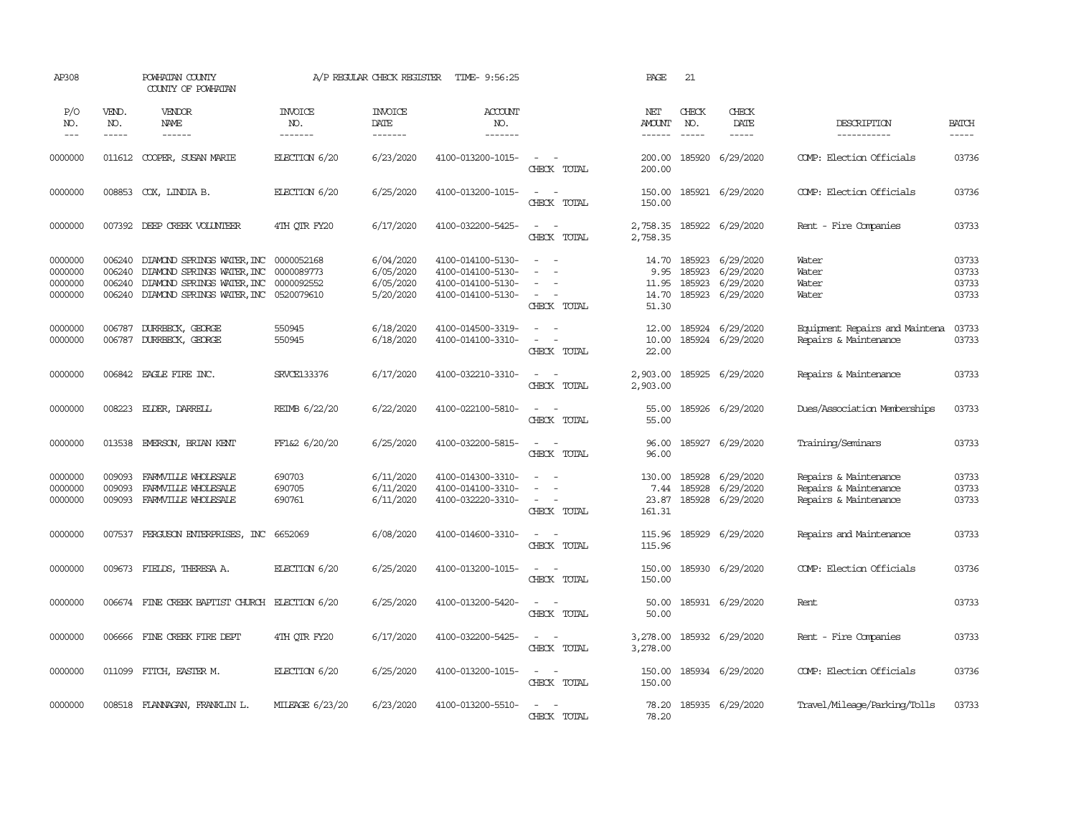| AP308                                    |                             | POWHATAN COUNTY<br>COUNTY OF POWHATAN                                                                                                                        |                                  | A/P REGULAR CHECK REGISTER                       | TIME- 9:56:25                                                                    |                                                              | PAGE                                  | 21                               |                                                         |                                                                         |                                  |
|------------------------------------------|-----------------------------|--------------------------------------------------------------------------------------------------------------------------------------------------------------|----------------------------------|--------------------------------------------------|----------------------------------------------------------------------------------|--------------------------------------------------------------|---------------------------------------|----------------------------------|---------------------------------------------------------|-------------------------------------------------------------------------|----------------------------------|
| P/O<br>NO.<br>$\frac{1}{2}$              | VEND.<br>NO.<br>$- - - - -$ | VENDOR<br>NAME<br>$- - - - - -$                                                                                                                              | <b>INVOICE</b><br>NO.<br>------- | <b>INVOICE</b><br>DATE<br>-------                | ACCOUNT<br>NO.<br>$- - - - - - -$                                                |                                                              | NET<br><b>AMOUNT</b><br>$- - - - - -$ | CHECK<br>NO.<br>$\frac{1}{2}$    | CHECK<br>DATE<br>$\frac{1}{2}$                          | DESCRIPTION<br>-----------                                              | <b>BATCH</b><br>$- - - - -$      |
| 0000000                                  | 011612                      | COOPER, SUSAN MARIE                                                                                                                                          | ELECTION 6/20                    | 6/23/2020                                        | 4100-013200-1015-                                                                | $\overline{\phantom{a}}$<br>CHECK TOTAL                      | 200.00<br>200.00                      |                                  | 185920 6/29/2020                                        | COMP: Election Officials                                                | 03736                            |
| 0000000                                  |                             | 008853 COX, LINDIA B.                                                                                                                                        | ELECTION 6/20                    | 6/25/2020                                        | 4100-013200-1015-                                                                | $\sim$<br>CHECK TOTAL                                        | 150.00<br>150.00                      |                                  | 185921 6/29/2020                                        | COMP: Election Officials                                                | 03736                            |
| 0000000                                  |                             | 007392 DEEP CREEK VOLUNTEER                                                                                                                                  | 4TH QTR FY20                     | 6/17/2020                                        | 4100-032200-5425-                                                                | $\sim$<br>$\sim$<br>CHECK TOTAL                              | 2,758.35<br>2,758.35                  |                                  | 185922 6/29/2020                                        | Rent - Fire Companies                                                   | 03733                            |
| 0000000<br>0000000<br>0000000<br>0000000 | 006240<br>006240<br>006240  | DIAMOND SPRINGS WATER, INC 0000052168<br>DIAMOND SPRINGS WATER, INC<br>DIAMOND SPRINGS WATER, INC 0000092552<br>006240 DIAMOND SPRINGS WATER, INC 0520079610 | 0000089773                       | 6/04/2020<br>6/05/2020<br>6/05/2020<br>5/20/2020 | 4100-014100-5130-<br>4100-014100-5130-<br>4100-014100-5130-<br>4100-014100-5130- | $\sim$ $\sim$<br>$\equiv$<br>$\sim$<br>$\sim$<br>CHECK TOTAL | 9.95<br>11.95<br>14.70<br>51.30       | 14.70 185923<br>185923<br>185923 | 6/29/2020<br>6/29/2020<br>6/29/2020<br>185923 6/29/2020 | Water<br>Water<br>Water<br>Water                                        | 03733<br>03733<br>03733<br>03733 |
| 0000000<br>0000000                       | 006787                      | DURRBECK, GEORGE<br>006787 DURRBECK, GEORGE                                                                                                                  | 550945<br>550945                 | 6/18/2020<br>6/18/2020                           | 4100-014500-3319-<br>4100-014100-3310-                                           | $\sim$ $ \sim$<br>$\sim$<br>CHECK TOTAL                      | 12.00<br>10.00<br>22.00               |                                  | 185924 6/29/2020<br>185924 6/29/2020                    | Equipment Repairs and Maintena<br>Repairs & Maintenance                 | 03733<br>03733                   |
| 0000000                                  | 006842                      | EAGLE FIRE INC.                                                                                                                                              | SRVCE133376                      | 6/17/2020                                        | 4100-032210-3310-                                                                | $\sim$ $ -$<br>CHECK TOTAL                                   | 2,903.00<br>2,903.00                  |                                  | 185925 6/29/2020                                        | Repairs & Maintenance                                                   | 03733                            |
| 0000000                                  |                             | 008223 EIDER, DARREIL                                                                                                                                        | REIMB 6/22/20                    | 6/22/2020                                        | 4100-022100-5810-                                                                | $\omega_{\rm{max}}$ and $\omega_{\rm{max}}$<br>CHECK TOTAL   | 55.00<br>55.00                        |                                  | 185926 6/29/2020                                        | Dues/Association Memberships                                            | 03733                            |
| 0000000                                  | 013538                      | EMERSON, BRIAN KENT                                                                                                                                          | FF1&2 6/20/20                    | 6/25/2020                                        | 4100-032200-5815-                                                                | $\sim$<br>$\sim$ $-$<br>CHECK TOTAL                          | 96.00<br>96.00                        |                                  | 185927 6/29/2020                                        | Training/Seminars                                                       | 03733                            |
| 0000000<br>0000000<br>0000000            | 009093<br>009093<br>009093  | FARMVILLE WHOLESALE<br>FARMVILLE WHOLESALE<br>FARMVILLE WHOLESALE                                                                                            | 690703<br>690705<br>690761       | 6/11/2020<br>6/11/2020<br>6/11/2020              | 4100-014300-3310-<br>4100-014100-3310-<br>4100-032220-3310-                      | $\sim$ $ -$<br>$\sim$<br>CHECK TOTAL                         | 130.00<br>7.44<br>23.87<br>161.31     | 185928<br>185928                 | 6/29/2020<br>6/29/2020<br>185928 6/29/2020              | Repairs & Maintenance<br>Repairs & Maintenance<br>Repairs & Maintenance | 03733<br>03733<br>03733          |
| 0000000                                  | 007537                      | FERGUSON ENTERPRISES, INC                                                                                                                                    | 6652069                          | 6/08/2020                                        | 4100-014600-3310-                                                                | $\sim$ $ \sim$<br>CHECK TOTAL                                | 115.96<br>115.96                      |                                  | 185929 6/29/2020                                        | Repairs and Maintenance                                                 | 03733                            |
| 0000000                                  |                             | 009673 FIELDS, THERESA A.                                                                                                                                    | ELECTION 6/20                    | 6/25/2020                                        | 4100-013200-1015-                                                                | $\sim$<br>$\sim$<br>CHECK TOTAL                              | 150.00<br>150.00                      |                                  | 185930 6/29/2020                                        | COMP: Election Officials                                                | 03736                            |
| 0000000                                  |                             | 006674 FINE CREEK BAPTIST CHURCH ELECTION 6/20                                                                                                               |                                  | 6/25/2020                                        | 4100-013200-5420-                                                                | $\sim$ $ -$<br>CHECK TOTAL                                   | 50.00<br>50.00                        |                                  | 185931 6/29/2020                                        | Rent                                                                    | 03733                            |
| 0000000                                  | 006666                      | FINE CREEK FIRE DEPT                                                                                                                                         | 4TH OTR FY20                     | 6/17/2020                                        | 4100-032200-5425-                                                                | $\sim$ $ -$<br>CHECK TOTAL                                   | 3,278.00<br>3,278.00                  |                                  | 185932 6/29/2020                                        | Rent - Fire Companies                                                   | 03733                            |
| 0000000                                  |                             | 011099 FITCH, EASTER M.                                                                                                                                      | ELECTION 6/20                    | 6/25/2020                                        | 4100-013200-1015-                                                                | $\sim$<br>$\sim$<br>CHECK TOTAL                              | 150.00<br>150.00                      |                                  | 185934 6/29/2020                                        | COMP: Election Officials                                                | 03736                            |
| 0000000                                  |                             | 008518 FLANDAGAN, FRANKLIN L.                                                                                                                                | MILEAGE 6/23/20                  | 6/23/2020                                        | 4100-013200-5510-                                                                | $\sim$ $ \sim$<br>CHECK TOTAL                                | 78.20<br>78.20                        |                                  | 185935 6/29/2020                                        | Travel/Mileage/Parking/Tolls                                            | 03733                            |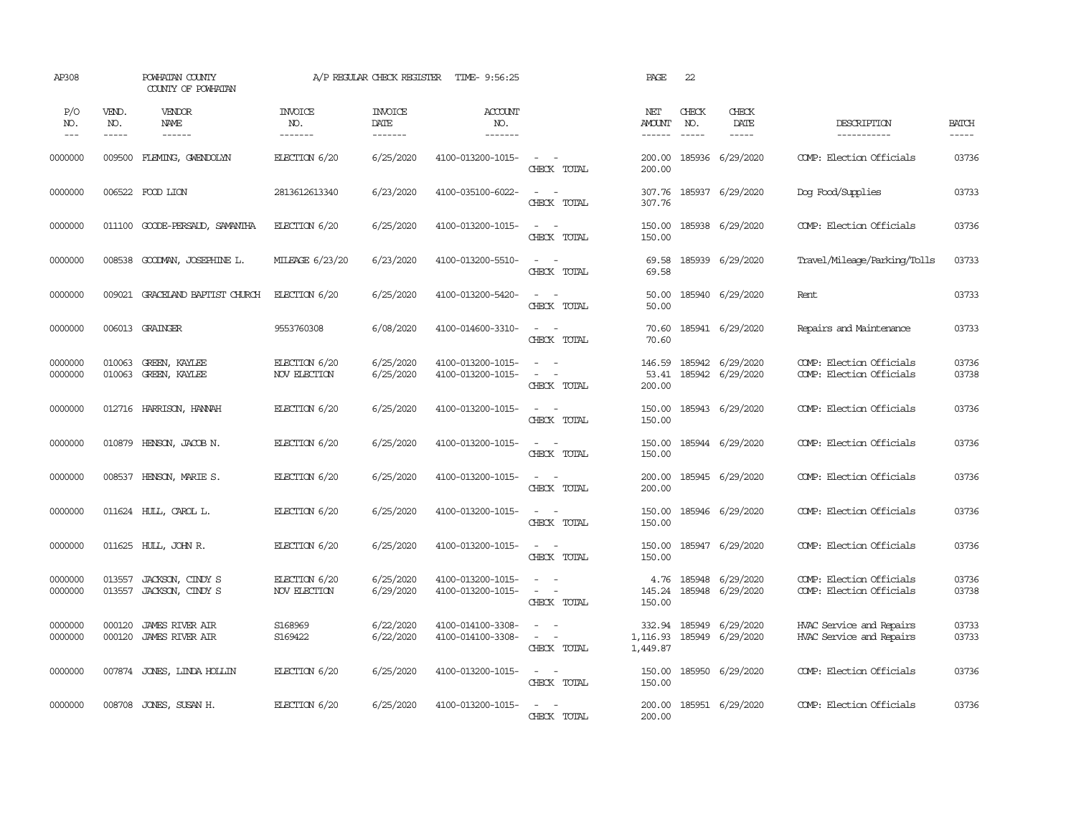| AP308                 |                             | POWHATAN COUNTY<br>COUNTY OF POWHATAN                                                                                                                                                                                                                                                                                                                                                                                                                                                                    |                                  | A/P REGULAR CHECK REGISTER        | TIME- 9:56:25                            |                                                                                | PAGE                                  | 22                            |                                      |                                                      |                       |
|-----------------------|-----------------------------|----------------------------------------------------------------------------------------------------------------------------------------------------------------------------------------------------------------------------------------------------------------------------------------------------------------------------------------------------------------------------------------------------------------------------------------------------------------------------------------------------------|----------------------------------|-----------------------------------|------------------------------------------|--------------------------------------------------------------------------------|---------------------------------------|-------------------------------|--------------------------------------|------------------------------------------------------|-----------------------|
| P/O<br>NO.<br>$- - -$ | VEND.<br>NO.<br>$- - - - -$ | VENDOR<br>NAME<br>$\begin{array}{cccccccccc} \multicolumn{2}{c}{} & \multicolumn{2}{c}{} & \multicolumn{2}{c}{} & \multicolumn{2}{c}{} & \multicolumn{2}{c}{} & \multicolumn{2}{c}{} & \multicolumn{2}{c}{} & \multicolumn{2}{c}{} & \multicolumn{2}{c}{} & \multicolumn{2}{c}{} & \multicolumn{2}{c}{} & \multicolumn{2}{c}{} & \multicolumn{2}{c}{} & \multicolumn{2}{c}{} & \multicolumn{2}{c}{} & \multicolumn{2}{c}{} & \multicolumn{2}{c}{} & \multicolumn{2}{c}{} & \multicolumn{2}{c}{} & \mult$ | <b>INVOICE</b><br>NO.<br>------- | <b>INVOICE</b><br>DATE<br>------- | <b>ACCOUNT</b><br>NO.<br>$- - - - - - -$ |                                                                                | NET<br><b>AMOUNT</b><br>$- - - - - -$ | CHECK<br>NO.<br>$\frac{1}{2}$ | CHECK<br>DATE<br>$- - - - -$         | DESCRIPTION<br>-----------                           | <b>BATCH</b><br>----- |
| 0000000               | 009500                      | FLEMING, GMENDOLYN                                                                                                                                                                                                                                                                                                                                                                                                                                                                                       | ELECTION 6/20                    | 6/25/2020                         | 4100-013200-1015-                        | $\overline{\phantom{a}}$<br>$\sim$<br>CHECK TOTAL                              | 200.00<br>200.00                      |                               | 185936 6/29/2020                     | COMP: Election Officials                             | 03736                 |
| 0000000               | 006522                      | FOOD LION                                                                                                                                                                                                                                                                                                                                                                                                                                                                                                | 2813612613340                    | 6/23/2020                         | 4100-035100-6022-                        | $\sim$<br>$\sim$<br>CHECK TOTAL                                                | 307.76<br>307.76                      |                               | 185937 6/29/2020                     | Dog Food/Supplies                                    | 03733                 |
| 0000000               | 011100                      | GOODE-PERSAUD, SAMANTHA                                                                                                                                                                                                                                                                                                                                                                                                                                                                                  | ELECTION 6/20                    | 6/25/2020                         | 4100-013200-1015-                        | $\sim$<br>$\sim$ $-$<br>CHECK TOTAL                                            | 150.00<br>150.00                      |                               | 185938 6/29/2020                     | COMP: Election Officials                             | 03736                 |
| 0000000               | 008538                      | GOODMAN, JOSEPHINE L.                                                                                                                                                                                                                                                                                                                                                                                                                                                                                    | MILEAGE 6/23/20                  | 6/23/2020                         | 4100-013200-5510-                        | $\sim$<br>$\sim$<br>CHECK TOTAL                                                | 69.58<br>69.58                        |                               | 185939 6/29/2020                     | Travel/Mileage/Parking/Tolls                         | 03733                 |
| 0000000               |                             | 009021 GRACELAND BAPTIST CHURCH                                                                                                                                                                                                                                                                                                                                                                                                                                                                          | ELECTION 6/20                    | 6/25/2020                         | 4100-013200-5420-                        | $\sim$<br>$\sim$<br>CHECK TOTAL                                                | 50.00<br>50.00                        |                               | 185940 6/29/2020                     | Rent                                                 | 03733                 |
| 0000000               |                             | 006013 GRAINGER                                                                                                                                                                                                                                                                                                                                                                                                                                                                                          | 9553760308                       | 6/08/2020                         | 4100-014600-3310-                        | $\sim$<br>$\sim$ $-$<br>CHECK TOTAL                                            | 70.60<br>70.60                        |                               | 185941 6/29/2020                     | Repairs and Maintenance                              | 03733                 |
| 0000000<br>0000000    | 010063<br>010063            | GREEN, KAYLEE<br>GREEN, KAYLEE                                                                                                                                                                                                                                                                                                                                                                                                                                                                           | ELECTION 6/20<br>NOV ELECTION    | 6/25/2020<br>6/25/2020            | 4100-013200-1015-<br>4100-013200-1015-   | $\sim$ $\sim$<br>$\sim$<br>$\equiv$<br>$\overline{\phantom{a}}$<br>CHECK TOTAL | 146.59<br>53.41<br>200.00             |                               | 185942 6/29/2020<br>185942 6/29/2020 | COMP: Election Officials<br>COMP: Election Officials | 03736<br>03738        |
| 0000000               |                             | 012716 HARRISON, HANNAH                                                                                                                                                                                                                                                                                                                                                                                                                                                                                  | ELECTION 6/20                    | 6/25/2020                         | 4100-013200-1015-                        | $\sim$ $ \sim$<br>CHECK TOTAL                                                  | 150.00<br>150.00                      |                               | 185943 6/29/2020                     | COMP: Election Officials                             | 03736                 |
| 0000000               | 010879                      | HENSON, JACOB N.                                                                                                                                                                                                                                                                                                                                                                                                                                                                                         | ELECTION 6/20                    | 6/25/2020                         | 4100-013200-1015-                        | $\sim$<br>$\sim$<br>CHECK TOTAL                                                | 150.00<br>150.00                      |                               | 185944 6/29/2020                     | COMP: Election Officials                             | 03736                 |
| 0000000               | 008537                      | HENSON, MARIE S.                                                                                                                                                                                                                                                                                                                                                                                                                                                                                         | ELECTION 6/20                    | 6/25/2020                         | 4100-013200-1015-                        | $\sim$<br>$\sim$<br>CHECK TOTAL                                                | 200.00<br>200.00                      |                               | 185945 6/29/2020                     | COMP: Election Officials                             | 03736                 |
| 0000000               |                             | 011624 HULL, CAROL L.                                                                                                                                                                                                                                                                                                                                                                                                                                                                                    | ELECTION 6/20                    | 6/25/2020                         | 4100-013200-1015-                        | $\omega_{\rm{max}}$ and $\omega_{\rm{max}}$<br>CHECK TOTAL                     | 150.00<br>150.00                      |                               | 185946 6/29/2020                     | COMP: Election Officials                             | 03736                 |
| 0000000               | 011625                      | HULL, JOHN R.                                                                                                                                                                                                                                                                                                                                                                                                                                                                                            | ELECTION 6/20                    | 6/25/2020                         | 4100-013200-1015-                        | $\omega_{\rm{max}}$ and $\omega_{\rm{max}}$<br>CHECK TOTAL                     | 150.00<br>150.00                      |                               | 185947 6/29/2020                     | COMP: Election Officials                             | 03736                 |
| 0000000<br>0000000    | 013557<br>013557            | JACKSON, CINDY S<br>JACKSON, CINDY S                                                                                                                                                                                                                                                                                                                                                                                                                                                                     | ELECTION 6/20<br>NOV ELECTION    | 6/25/2020<br>6/29/2020            | 4100-013200-1015-<br>4100-013200-1015-   | $\sim$<br>$\sim$<br>$\sim$<br>$\sim$ $-$<br>CHECK TOTAL                        | 4.76<br>145.24<br>150.00              | 185948                        | 6/29/2020<br>185948 6/29/2020        | COMP: Election Officials<br>COMP: Election Officials | 03736<br>03738        |
| 0000000<br>0000000    | 000120<br>000120            | <b>JAMES RIVER AIR</b><br><b>JAMES RIVER AIR</b>                                                                                                                                                                                                                                                                                                                                                                                                                                                         | S168969<br>S169422               | 6/22/2020<br>6/22/2020            | 4100-014100-3308-<br>4100-014100-3308-   | $\sim$<br>$\sim$<br>$\sim$<br>$\sim$<br>CHECK TOTAL                            | 332.94<br>1,116.93<br>1,449.87        | 185949                        | 6/29/2020<br>185949 6/29/2020        | HVAC Service and Repairs<br>HVAC Service and Repairs | 03733<br>03733        |
| 0000000               |                             | 007874 JONES, LINDA HOLLIN                                                                                                                                                                                                                                                                                                                                                                                                                                                                               | ELECTION 6/20                    | 6/25/2020                         | 4100-013200-1015-                        | $\sim$ $ \sim$<br>CHECK TOTAL                                                  | 150.00<br>150.00                      |                               | 185950 6/29/2020                     | COMP: Election Officials                             | 03736                 |
| 0000000               | 008708                      | JONES, SUSAN H.                                                                                                                                                                                                                                                                                                                                                                                                                                                                                          | ELECTION 6/20                    | 6/25/2020                         | 4100-013200-1015-                        | $\sim$<br>$\sim$<br>CHECK TOTAL                                                | 200.00<br>200.00                      |                               | 185951 6/29/2020                     | COMP: Election Officials                             | 03736                 |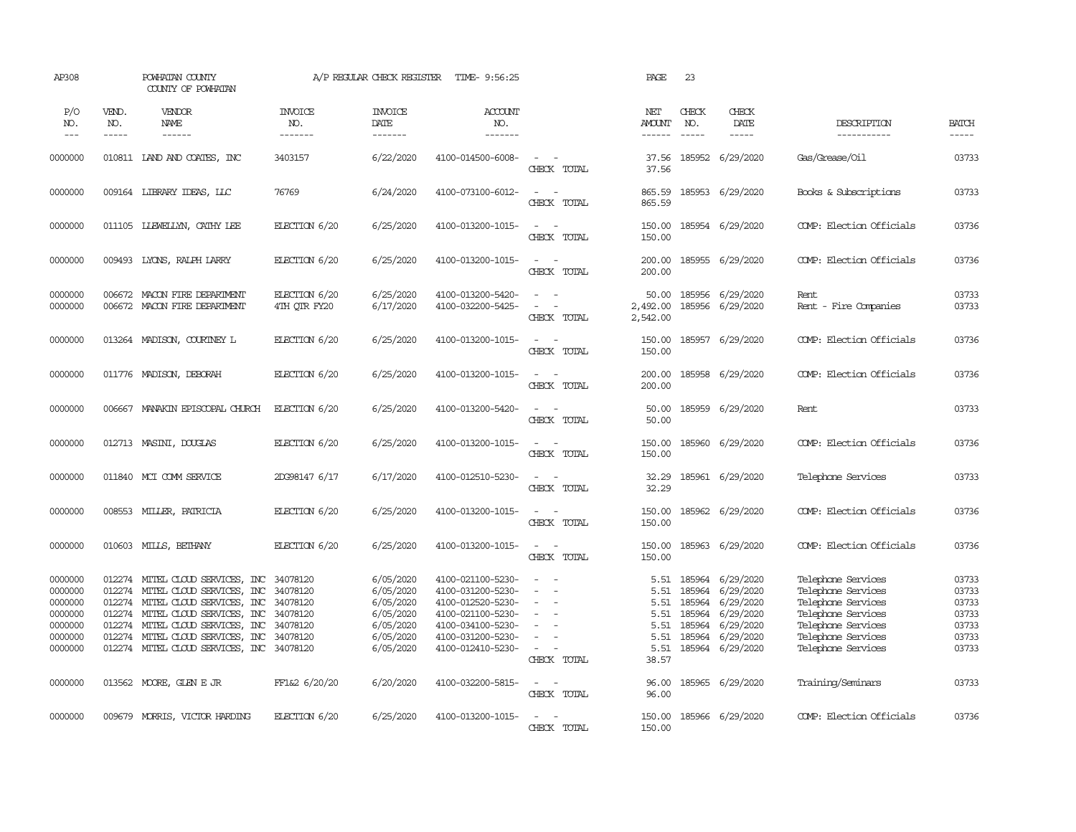| AP308                                                                     |                               | POWHATAN COUNTY<br>COUNTY OF POWHATAN                                                                                                                                                                                                                        |                                                          | A/P REGULAR CHECK REGISTER                                                              | TIME- 9:56:25                                                                                                                                   |                                                                                                         | PAGE                                                          | 23                                                       |                                                                                                |                                                                                                                                                        |                                                             |
|---------------------------------------------------------------------------|-------------------------------|--------------------------------------------------------------------------------------------------------------------------------------------------------------------------------------------------------------------------------------------------------------|----------------------------------------------------------|-----------------------------------------------------------------------------------------|-------------------------------------------------------------------------------------------------------------------------------------------------|---------------------------------------------------------------------------------------------------------|---------------------------------------------------------------|----------------------------------------------------------|------------------------------------------------------------------------------------------------|--------------------------------------------------------------------------------------------------------------------------------------------------------|-------------------------------------------------------------|
| P/O<br>NO.<br>$---$                                                       | VEND.<br>NO.<br>$\frac{1}{2}$ | VENDOR<br>NAME<br>$- - - - - -$                                                                                                                                                                                                                              | <b>INVOICE</b><br>NO.<br>-------                         | <b>INVOICE</b><br>DATE<br>-------                                                       | ACCOUNT<br>NO.<br>$- - - - - - -$                                                                                                               |                                                                                                         | NET<br>AMOUNT<br>$- - - - - -$                                | CHECK<br>NO.<br>$- - - - -$                              | CHECK<br>DATE<br>$- - - - -$                                                                   | DESCRIPTION<br>-----------                                                                                                                             | <b>BATCH</b><br>-----                                       |
| 0000000                                                                   |                               | 010811 IAND AND COATES, INC                                                                                                                                                                                                                                  | 3403157                                                  | 6/22/2020                                                                               | 4100-014500-6008-                                                                                                                               | $\sim$<br>CHECK TOTAL                                                                                   | 37.56<br>37.56                                                |                                                          | 185952 6/29/2020                                                                               | Gas/Grease/Oil                                                                                                                                         | 03733                                                       |
| 0000000                                                                   |                               | 009164 LIBRARY IDEAS, LLC                                                                                                                                                                                                                                    | 76769                                                    | 6/24/2020                                                                               | 4100-073100-6012-                                                                                                                               | $\sim$<br>$\sim$<br>CHECK TOTAL                                                                         | 865.59<br>865.59                                              |                                                          | 185953 6/29/2020                                                                               | Books & Subscriptions                                                                                                                                  | 03733                                                       |
| 0000000                                                                   |                               | 011105 LLEWELLYN, CATHY LEE                                                                                                                                                                                                                                  | ELECTION 6/20                                            | 6/25/2020                                                                               | 4100-013200-1015-                                                                                                                               | $\sim$<br>$\sim$<br>CHECK TOTAL                                                                         | 150.00<br>150.00                                              |                                                          | 185954 6/29/2020                                                                               | COMP: Election Officials                                                                                                                               | 03736                                                       |
| 0000000                                                                   | 009493                        | LYONS, RALPH LARRY                                                                                                                                                                                                                                           | ELECTION 6/20                                            | 6/25/2020                                                                               | 4100-013200-1015-                                                                                                                               | $\overline{a}$<br>$\sim$<br>CHECK TOTAL                                                                 | 200.00<br>200.00                                              |                                                          | 185955 6/29/2020                                                                               | COMP: Election Officials                                                                                                                               | 03736                                                       |
| 0000000<br>0000000                                                        |                               | 006672 MACON FIRE DEPARIMENT<br>006672 MACON FIRE DEPARIMENT                                                                                                                                                                                                 | ELECTION 6/20<br>4TH QTR FY20                            | 6/25/2020<br>6/17/2020                                                                  | 4100-013200-5420-<br>4100-032200-5425-                                                                                                          | $\sim$<br>$\sim$<br>$\sim$<br>$\sim$<br>CHECK TOTAL                                                     | 50.00<br>2,492.00<br>2,542.00                                 | 185956                                                   | 6/29/2020<br>185956 6/29/2020                                                                  | Rent<br>Rent - Fire Companies                                                                                                                          | 03733<br>03733                                              |
| 0000000                                                                   |                               | 013264 MADISON, COURINEY L                                                                                                                                                                                                                                   | ELECTION 6/20                                            | 6/25/2020                                                                               | 4100-013200-1015-                                                                                                                               | $\sim$<br>$\sim$ $-$<br>CHECK TOTAL                                                                     | 150.00<br>150.00                                              |                                                          | 185957 6/29/2020                                                                               | COMP: Election Officials                                                                                                                               | 03736                                                       |
| 0000000                                                                   |                               | 011776 MADISON, DEBORAH                                                                                                                                                                                                                                      | ELECTION 6/20                                            | 6/25/2020                                                                               | 4100-013200-1015-                                                                                                                               | $\sim$ $\sim$<br>CHECK TOTAL                                                                            | 200.00<br>200.00                                              |                                                          | 185958 6/29/2020                                                                               | COMP: Election Officials                                                                                                                               | 03736                                                       |
| 0000000                                                                   | 006667                        | MANAKIN EPISCOPAL CHURCH                                                                                                                                                                                                                                     | ELECTION 6/20                                            | 6/25/2020                                                                               | 4100-013200-5420-                                                                                                                               | $\sim$<br>$\sim$<br>CHECK TOTAL                                                                         | 50.00<br>50.00                                                |                                                          | 185959 6/29/2020                                                                               | Rent.                                                                                                                                                  | 03733                                                       |
| 0000000                                                                   |                               | 012713 MASINI, DOUGLAS                                                                                                                                                                                                                                       | ELECTION 6/20                                            | 6/25/2020                                                                               | 4100-013200-1015-                                                                                                                               | $\sim$<br>$\sim$<br>CHECK TOTAL                                                                         | 150.00<br>150.00                                              |                                                          | 185960 6/29/2020                                                                               | COMP: Election Officials                                                                                                                               | 03736                                                       |
| 0000000                                                                   | 011840                        | MCI COMM SERVICE                                                                                                                                                                                                                                             | 2DG98147 6/17                                            | 6/17/2020                                                                               | 4100-012510-5230-                                                                                                                               | $\sim$<br>CHECK TOTAL                                                                                   | 32.29<br>32.29                                                |                                                          | 185961 6/29/2020                                                                               | Telephone Services                                                                                                                                     | 03733                                                       |
| 0000000                                                                   | 008553                        | MILLER, PATRICIA                                                                                                                                                                                                                                             | ELECTION 6/20                                            | 6/25/2020                                                                               | 4100-013200-1015-                                                                                                                               | $\sim$<br>$\sim$<br>CHECK TOTAL                                                                         | 150.00<br>150.00                                              |                                                          | 185962 6/29/2020                                                                               | COMP: Election Officials                                                                                                                               | 03736                                                       |
| 0000000                                                                   | 010603                        | MILLS, BETHANY                                                                                                                                                                                                                                               | ELECTION 6/20                                            | 6/25/2020                                                                               | 4100-013200-1015-                                                                                                                               | $\sim$<br>CHECK TOTAL                                                                                   | 150.00<br>150.00                                              |                                                          | 185963 6/29/2020                                                                               | COMP: Election Officials                                                                                                                               | 03736                                                       |
| 0000000<br>0000000<br>0000000<br>0000000<br>0000000<br>0000000<br>0000000 | 012274<br>012274              | 012274 MITEL CLOUD SERVICES, INC<br>MITEL CLOUD SERVICES, INC<br>012274 MITEL CLOUD SERVICES, INC<br>012274 MITEL CLOUD SERVICES, INC 34078120<br>012274 MITEL CLOUD SERVICES, INC<br>MITEL CLOUD SERVICES, INC<br>012274 MITEL CLOUD SERVICES, INC 34078120 | 34078120<br>34078120<br>34078120<br>34078120<br>34078120 | 6/05/2020<br>6/05/2020<br>6/05/2020<br>6/05/2020<br>6/05/2020<br>6/05/2020<br>6/05/2020 | 4100-021100-5230-<br>4100-031200-5230-<br>4100-012520-5230-<br>4100-021100-5230-<br>4100-034100-5230-<br>4100-031200-5230-<br>4100-012410-5230- | $\sim$<br>$\sim$<br>$\sim$<br>$\sim$<br>$\sim$<br>$\sim$<br>$\equiv$<br>$\sim$<br>$\sim$<br>CHECK TOTAL | 5.51<br>5.51<br>5.51<br>5.51<br>5.51<br>5.51<br>5.51<br>38.57 | 185964<br>185964<br>185964<br>185964<br>185964<br>185964 | 6/29/2020<br>6/29/2020<br>6/29/2020<br>6/29/2020<br>6/29/2020<br>6/29/2020<br>185964 6/29/2020 | Telephone Services<br>Telephone Services<br>Telephone Services<br>Telephone Services<br>Telephone Services<br>Telephone Services<br>Telephone Services | 03733<br>03733<br>03733<br>03733<br>03733<br>03733<br>03733 |
| 0000000                                                                   |                               | 013562 MOORE, GLEN E JR                                                                                                                                                                                                                                      | FF1&2 6/20/20                                            | 6/20/2020                                                                               | 4100-032200-5815-                                                                                                                               | $\sim$ $ \sim$<br>CHECK TOTAL                                                                           | 96.00<br>96.00                                                |                                                          | 185965 6/29/2020                                                                               | Training/Seminars                                                                                                                                      | 03733                                                       |
| 0000000                                                                   |                               | 009679 MORRIS, VICTOR HARDING                                                                                                                                                                                                                                | ELECTION 6/20                                            | 6/25/2020                                                                               | 4100-013200-1015-                                                                                                                               | $\sim$<br>$\sim$<br>CHECK TOTAL                                                                         | 150.00<br>150.00                                              |                                                          | 185966 6/29/2020                                                                               | COMP: Election Officials                                                                                                                               | 03736                                                       |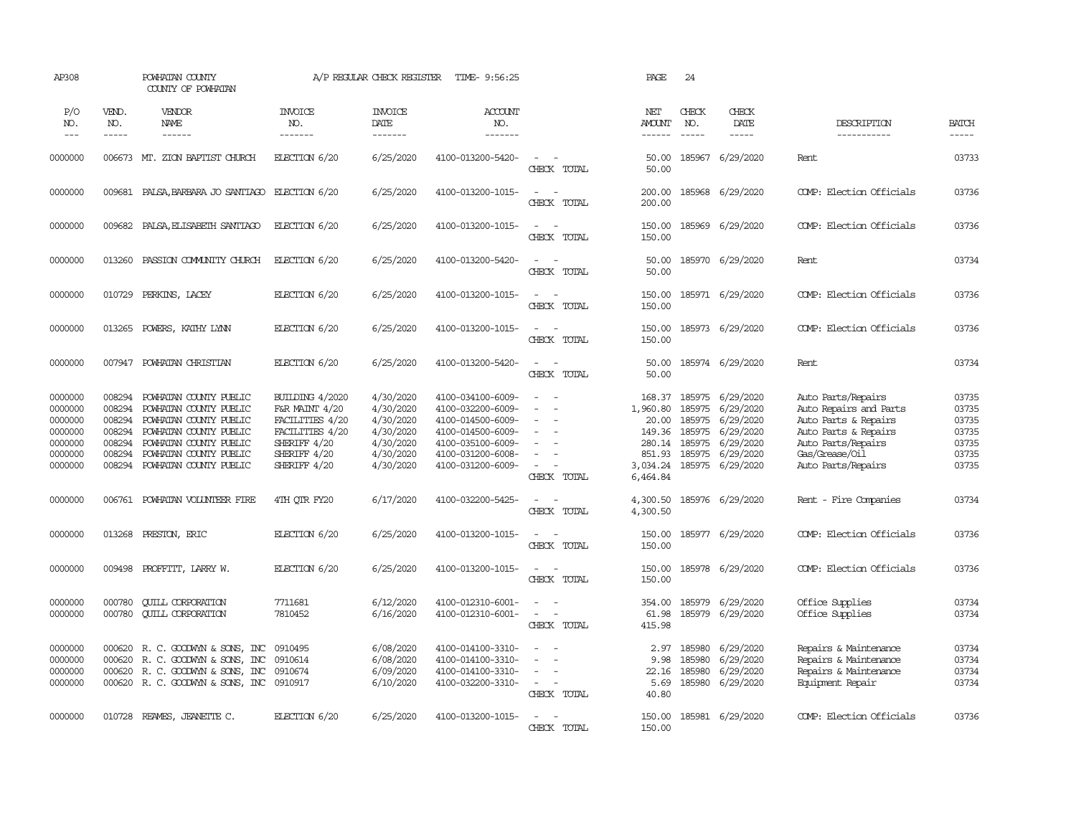| AP308                                                                     |                                                                    | POWHATAN COUNTY<br>COUNTY OF POWHATAN                                                                                                                                              |                                                                                                                                | A/P REGULAR CHECK REGISTER                                                              | TIME- 9:56:25                                                                                                                                   |                                                                                                     | PAGE                                                           | 24                                                                    |                                                                                                |                                                                                                                                                            |                                                             |
|---------------------------------------------------------------------------|--------------------------------------------------------------------|------------------------------------------------------------------------------------------------------------------------------------------------------------------------------------|--------------------------------------------------------------------------------------------------------------------------------|-----------------------------------------------------------------------------------------|-------------------------------------------------------------------------------------------------------------------------------------------------|-----------------------------------------------------------------------------------------------------|----------------------------------------------------------------|-----------------------------------------------------------------------|------------------------------------------------------------------------------------------------|------------------------------------------------------------------------------------------------------------------------------------------------------------|-------------------------------------------------------------|
| P/O<br>NO.<br>$---$                                                       | VEND.<br>NO.<br>-----                                              | VENDOR<br>NAME<br>$- - - - - -$                                                                                                                                                    | <b>INVOICE</b><br>NO.<br>-------                                                                                               | <b>INVOICE</b><br>DATE<br>-------                                                       | <b>ACCOUNT</b><br>NO.<br>--------                                                                                                               |                                                                                                     | NET<br><b>AMOUNT</b><br>$- - - - - -$                          | CHECK<br>NO.<br>$\frac{1}{2}$                                         | CHECK<br>DATE<br>$- - - - -$                                                                   | DESCRIPTION<br>-----------                                                                                                                                 | <b>BATCH</b><br>$- - - - -$                                 |
| 0000000                                                                   |                                                                    | 006673 MT. ZION BAPTIST CHURCH                                                                                                                                                     | ELECTION 6/20                                                                                                                  | 6/25/2020                                                                               | 4100-013200-5420-                                                                                                                               | $\overline{\phantom{a}}$<br>CHECK TOTAL                                                             | 50.00<br>50.00                                                 |                                                                       | 185967 6/29/2020                                                                               | Rent.                                                                                                                                                      | 03733                                                       |
| 0000000                                                                   | 009681                                                             | PALSA, BARBARA JO SANTIAGO ELECTION 6/20                                                                                                                                           |                                                                                                                                | 6/25/2020                                                                               | 4100-013200-1015-                                                                                                                               | $\sim$<br>$\sim$<br>CHECK TOTAL                                                                     | 200.00<br>200.00                                               |                                                                       | 185968 6/29/2020                                                                               | COMP: Election Officials                                                                                                                                   | 03736                                                       |
| 0000000                                                                   | 009682                                                             | PALSA, ELISABETH SANTIAGO                                                                                                                                                          | EECTION 6/20                                                                                                                   | 6/25/2020                                                                               | 4100-013200-1015-                                                                                                                               | $\sim$<br>$\sim$<br>CHECK TOTAL                                                                     | 150.00<br>150.00                                               |                                                                       | 185969 6/29/2020                                                                               | COMP: Election Officials                                                                                                                                   | 03736                                                       |
| 0000000                                                                   | 013260                                                             | PASSION COMUNITY CHURCH                                                                                                                                                            | ELECTION 6/20                                                                                                                  | 6/25/2020                                                                               | 4100-013200-5420-                                                                                                                               | $\sim$<br>$\sim$<br>CHECK TOTAL                                                                     | 50.00<br>50.00                                                 |                                                                       | 185970 6/29/2020                                                                               | Rent                                                                                                                                                       | 03734                                                       |
| 0000000                                                                   | 010729                                                             | PERKINS, LACEY                                                                                                                                                                     | ELECTION 6/20                                                                                                                  | 6/25/2020                                                                               | 4100-013200-1015-                                                                                                                               | $\sim$ $ \sim$<br>CHECK TOTAL                                                                       | 150.00<br>150.00                                               |                                                                       | 185971 6/29/2020                                                                               | COMP: Election Officials                                                                                                                                   | 03736                                                       |
| 0000000                                                                   | 013265                                                             | POWERS, KATHY LYNN                                                                                                                                                                 | ELECTION 6/20                                                                                                                  | 6/25/2020                                                                               | 4100-013200-1015-                                                                                                                               | $\sim$<br>$\sim$<br>CHECK TOTAL                                                                     | 150.00<br>150.00                                               |                                                                       | 185973 6/29/2020                                                                               | COMP: Election Officials                                                                                                                                   | 03736                                                       |
| 0000000                                                                   | 007947                                                             | POWHATAN CHRISTIAN                                                                                                                                                                 | ELECTION 6/20                                                                                                                  | 6/25/2020                                                                               | 4100-013200-5420-                                                                                                                               | $\sim$<br>$\sim$<br>CHECK TOTAL                                                                     | 50.00<br>50.00                                                 |                                                                       | 185974 6/29/2020                                                                               | Rent.                                                                                                                                                      | 03734                                                       |
| 0000000<br>0000000<br>0000000<br>0000000<br>0000000<br>0000000<br>0000000 | 008294<br>008294<br>008294<br>008294<br>008294<br>008294<br>008294 | POWHATAN COUNTY PUBLIC<br>POWHATAN COUNTY PUBLIC<br>POWHATAN COUNTY PUBLIC<br>POWHATAN COUNTY PUBLIC<br>POWHATAN COUNTY PUBLIC<br>POWHATAN COUNTY PUBLIC<br>POWHATAN COUNTY PUBLIC | <b>BUILDING 4/2020</b><br>F&R MAINT 4/20<br>FACILITIES 4/20<br>FACILITIES 4/20<br>SHERIFF 4/20<br>SHERIFF 4/20<br>SHERIFF 4/20 | 4/30/2020<br>4/30/2020<br>4/30/2020<br>4/30/2020<br>4/30/2020<br>4/30/2020<br>4/30/2020 | 4100-034100-6009-<br>4100-032200-6009-<br>4100-014500-6009-<br>4100-014500-6009-<br>4100-035100-6009-<br>4100-031200-6008-<br>4100-031200-6009- | $\sim$<br>$\sim$<br>$\equiv$<br>$\equiv$<br>$\sim$<br>CHECK TOTAL                                   | 168.37<br>1,960.80<br>280.14<br>851.93<br>3,034.24<br>6,464.84 | 185975<br>185975<br>20.00 185975<br>149.36 185975<br>185975<br>185975 | 6/29/2020<br>6/29/2020<br>6/29/2020<br>6/29/2020<br>6/29/2020<br>6/29/2020<br>185975 6/29/2020 | Auto Parts/Repairs<br>Auto Repairs and Parts<br>Auto Parts & Repairs<br>Auto Parts & Repairs<br>Auto Parts/Repairs<br>Gas/Grease/Oil<br>Auto Parts/Repairs | 03735<br>03735<br>03735<br>03735<br>03735<br>03735<br>03735 |
| 0000000                                                                   | 006761                                                             | POWHATAN VOLUNTEER FIRE                                                                                                                                                            | 4TH OTR FY20                                                                                                                   | 6/17/2020                                                                               | 4100-032200-5425-                                                                                                                               | $\sim$<br>$\sim$<br>CHECK TOTAL                                                                     | 4,300.50<br>4,300.50                                           |                                                                       | 185976 6/29/2020                                                                               | Rent - Fire Companies                                                                                                                                      | 03734                                                       |
| 0000000                                                                   | 013268                                                             | PRESTON, ERIC                                                                                                                                                                      | ELECTION 6/20                                                                                                                  | 6/25/2020                                                                               | 4100-013200-1015-                                                                                                                               | $\sim$<br>$\sim$<br>CHECK TOTAL                                                                     | 150.00<br>150.00                                               |                                                                       | 185977 6/29/2020                                                                               | COMP: Election Officials                                                                                                                                   | 03736                                                       |
| 0000000                                                                   | 009498                                                             | PROFFITT, LARRY W.                                                                                                                                                                 | ELECTION 6/20                                                                                                                  | 6/25/2020                                                                               | 4100-013200-1015-                                                                                                                               | $\sim$<br>$\sim$<br>CHECK TOTAL                                                                     | 150.00<br>150.00                                               |                                                                       | 185978 6/29/2020                                                                               | COMP: Election Officials                                                                                                                                   | 03736                                                       |
| 0000000<br>0000000                                                        | 000780<br>000780                                                   | <b>CUILL CORPORATION</b><br><b>CUILL CORPORATION</b>                                                                                                                               | 7711681<br>7810452                                                                                                             | 6/12/2020<br>6/16/2020                                                                  | 4100-012310-6001-<br>4100-012310-6001-                                                                                                          | $\sim$<br>$\omega_{\rm{max}}$<br>CHECK TOTAL                                                        | 354.00<br>61.98<br>415.98                                      |                                                                       | 185979 6/29/2020<br>185979 6/29/2020                                                           | Office Supplies<br>Office Supplies                                                                                                                         | 03734<br>03734                                              |
| 0000000<br>0000000<br>0000000<br>0000000                                  | 000620<br>000620<br>000620                                         | R. C. GOODWYN & SONS, INC<br>R. C. GOODWYN & SONS, INC<br>R. C. GOODWIN & SONS, INC 0910674<br>000620 R. C. GOODWYN & SONS, INC 0910917                                            | 0910495<br>0910614                                                                                                             | 6/08/2020<br>6/08/2020<br>6/09/2020<br>6/10/2020                                        | 4100-014100-3310-<br>4100-014100-3310-<br>4100-014100-3310-<br>4100-032200-3310-                                                                | $\overline{\phantom{a}}$<br>$\equiv$<br>$\sim$<br>$\sim$ 100 $\mu$<br>$\overline{a}$<br>CHECK TOTAL | 2.97<br>9.98<br>22.16<br>5.69<br>40.80                         | 185980<br>185980                                                      | 185980 6/29/2020<br>6/29/2020<br>6/29/2020<br>185980 6/29/2020                                 | Repairs & Maintenance<br>Repairs & Maintenance<br>Repairs & Maintenance<br>Equipment Repair                                                                | 03734<br>03734<br>03734<br>03734                            |
| 0000000                                                                   |                                                                    | 010728 REAMES, JEANETTE C.                                                                                                                                                         | ELECTION 6/20                                                                                                                  | 6/25/2020                                                                               | 4100-013200-1015-                                                                                                                               | $\sim$<br>CHECK TOTAL                                                                               | 150.00<br>150.00                                               |                                                                       | 185981 6/29/2020                                                                               | COMP: Election Officials                                                                                                                                   | 03736                                                       |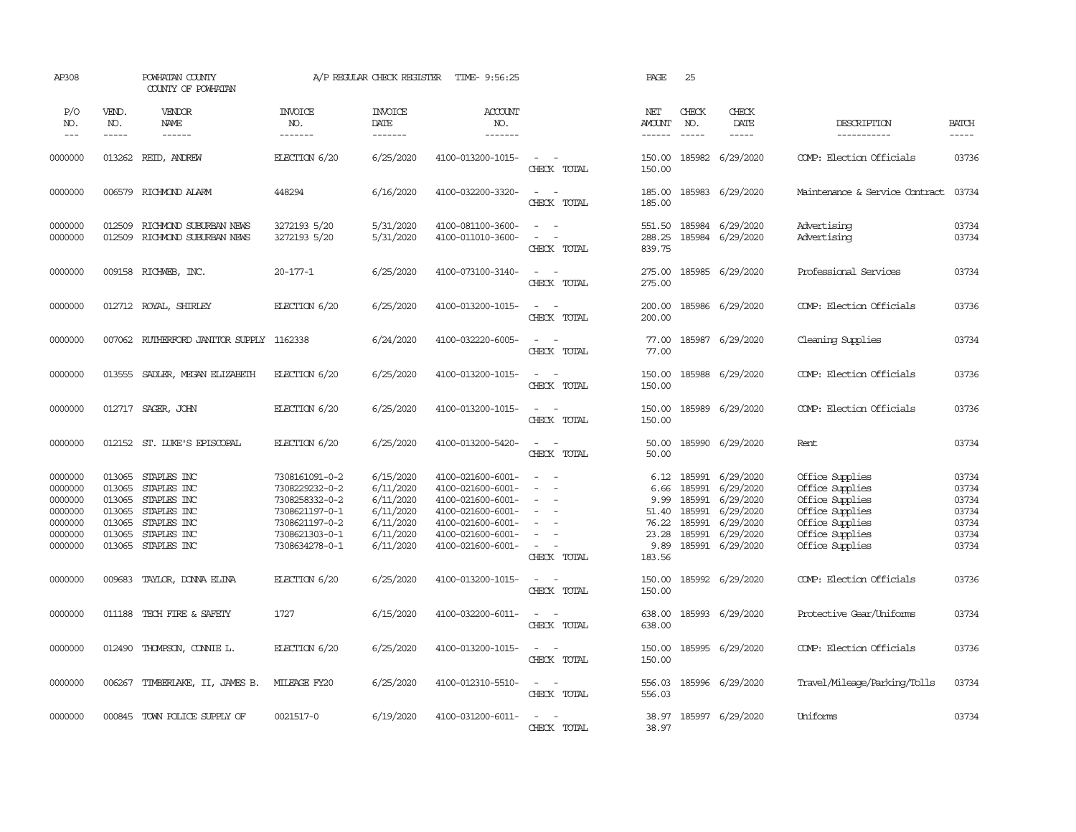| AP308                                                                     |                                                                    | POWHATAN COUNTY<br>COUNTY OF POWHATAN                                                                 |                                                                                                                            | A/P REGULAR CHECK REGISTER                                                              | TIME- 9:56:25                                                                                                                                   |                                                                                                                                      | PAGE                                                              | 25                                                       |                                                                                                |                                                                                                                                   |                                                             |
|---------------------------------------------------------------------------|--------------------------------------------------------------------|-------------------------------------------------------------------------------------------------------|----------------------------------------------------------------------------------------------------------------------------|-----------------------------------------------------------------------------------------|-------------------------------------------------------------------------------------------------------------------------------------------------|--------------------------------------------------------------------------------------------------------------------------------------|-------------------------------------------------------------------|----------------------------------------------------------|------------------------------------------------------------------------------------------------|-----------------------------------------------------------------------------------------------------------------------------------|-------------------------------------------------------------|
| P/O<br>NO.<br>$- - -$                                                     | VEND.<br>NO.<br>-----                                              | VENDOR<br>NAME<br>$- - - - - -$                                                                       | <b>INVOICE</b><br>NO.<br>-------                                                                                           | <b>INVOICE</b><br>DATE<br>-------                                                       | ACCOUNT<br>NO.<br>--------                                                                                                                      |                                                                                                                                      | NET<br><b>AMOUNT</b><br>$- - - - - -$                             | CHECK<br>NO.<br>$\frac{1}{2}$                            | CHECK<br>DATE<br>$- - - - -$                                                                   | DESCRIPTION<br>-----------                                                                                                        | <b>BATCH</b><br>-----                                       |
| 0000000                                                                   | 013262                                                             | REID, ANDREW                                                                                          | ELECTION 6/20                                                                                                              | 6/25/2020                                                                               | 4100-013200-1015-                                                                                                                               | $\overline{\phantom{a}}$<br>$\sim$<br>CHECK TOTAL                                                                                    | 150.00<br>150.00                                                  |                                                          | 185982 6/29/2020                                                                               | COMP: Election Officials                                                                                                          | 03736                                                       |
| 0000000                                                                   |                                                                    | 006579 RICHMOND ALARM                                                                                 | 448294                                                                                                                     | 6/16/2020                                                                               | 4100-032200-3320-                                                                                                                               | $\sim$<br>$\sim$<br>CHECK TOTAL                                                                                                      | 185.00<br>185.00                                                  |                                                          | 185983 6/29/2020                                                                               | Maintenance & Service Contract                                                                                                    | 03734                                                       |
| 0000000<br>0000000                                                        | 012509<br>012509                                                   | RICHMOND SUBURBAN NEWS<br>RICHMOND SUBURBAN NEWS                                                      | 3272193 5/20<br>3272193 5/20                                                                                               | 5/31/2020<br>5/31/2020                                                                  | 4100-081100-3600-<br>4100-011010-3600-                                                                                                          | $\sim$<br>$\sim$<br>$\overline{\phantom{a}}$<br>$\sim$<br>CHECK TOTAL                                                                | 551.50<br>288.25<br>839.75                                        | 185984                                                   | 185984 6/29/2020<br>6/29/2020                                                                  | Advertising<br>Advertising                                                                                                        | 03734<br>03734                                              |
| 0000000                                                                   |                                                                    | 009158 RICHWEB, INC.                                                                                  | $20 - 177 - 1$                                                                                                             | 6/25/2020                                                                               | 4100-073100-3140-                                                                                                                               | $\sim$<br>$\sim$ $-$<br>CHECK TOTAL                                                                                                  | 275.00<br>275.00                                                  |                                                          | 185985 6/29/2020                                                                               | Professional Services                                                                                                             | 03734                                                       |
| 0000000                                                                   |                                                                    | 012712 ROYAL, SHIRLEY                                                                                 | ELECTION 6/20                                                                                                              | 6/25/2020                                                                               | 4100-013200-1015-                                                                                                                               | $\sim$ 100 $\sim$<br>CHECK TOTAL                                                                                                     | 200.00<br>200.00                                                  |                                                          | 185986 6/29/2020                                                                               | COMP: Election Officials                                                                                                          | 03736                                                       |
| 0000000                                                                   | 007062                                                             | RUTHERFORD JANITOR SUPPLY 1162338                                                                     |                                                                                                                            | 6/24/2020                                                                               | 4100-032220-6005-                                                                                                                               | $\sim$<br>$\sim$<br>CHECK TOTAL                                                                                                      | 77.00<br>77.00                                                    |                                                          | 185987 6/29/2020                                                                               | Cleaning Supplies                                                                                                                 | 03734                                                       |
| 0000000                                                                   | 013555                                                             | SADLER, MEGAN ELIZABETH                                                                               | ELECTION 6/20                                                                                                              | 6/25/2020                                                                               | 4100-013200-1015-                                                                                                                               | $\sim$<br>$\sim$<br>CHECK TOTAL                                                                                                      | 150.00<br>150.00                                                  |                                                          | 185988 6/29/2020                                                                               | COMP: Election Officials                                                                                                          | 03736                                                       |
| 0000000                                                                   | 012717                                                             | SAGER, JOHN                                                                                           | ELECTION 6/20                                                                                                              | 6/25/2020                                                                               | 4100-013200-1015-                                                                                                                               | $\overline{\phantom{a}}$<br>$\sim$<br>CHECK TOTAL                                                                                    | 150.00<br>150.00                                                  | 185989                                                   | 6/29/2020                                                                                      | COMP: Election Officials                                                                                                          | 03736                                                       |
| 0000000                                                                   |                                                                    | 012152 ST. LUKE'S EPISCOPAL                                                                           | ELECTION 6/20                                                                                                              | 6/25/2020                                                                               | 4100-013200-5420-                                                                                                                               | $\overline{\phantom{a}}$<br>$\sim$<br>CHECK TOTAL                                                                                    | 50.00<br>50.00                                                    |                                                          | 185990 6/29/2020                                                                               | Rent                                                                                                                              | 03734                                                       |
| 0000000<br>0000000<br>0000000<br>0000000<br>0000000<br>0000000<br>0000000 | 013065<br>013065<br>013065<br>013065<br>013065<br>013065<br>013065 | STAPLES INC<br>STAPLES INC<br>STAPLES INC<br>STAPLES INC<br>STAPLES INC<br>STAPLES INC<br>STAPLES INC | 7308161091-0-2<br>7308229232-0-2<br>7308258332-0-2<br>7308621197-0-1<br>7308621197-0-2<br>7308621303-0-1<br>7308634278-0-1 | 6/15/2020<br>6/11/2020<br>6/11/2020<br>6/11/2020<br>6/11/2020<br>6/11/2020<br>6/11/2020 | 4100-021600-6001-<br>4100-021600-6001-<br>4100-021600-6001-<br>4100-021600-6001-<br>4100-021600-6001-<br>4100-021600-6001-<br>4100-021600-6001- | $\omega_{\rm{max}}$ and $\omega_{\rm{max}}$<br>$\sim$<br>$\sim$<br>$\equiv$<br>$\sim$<br>$\equiv$<br>$\sim$<br>$\sim$<br>CHECK TOTAL | 6.12<br>6.66<br>9.99<br>51.40<br>76.22<br>23.28<br>9.89<br>183.56 | 185991<br>185991<br>185991<br>185991<br>185991<br>185991 | 6/29/2020<br>6/29/2020<br>6/29/2020<br>6/29/2020<br>6/29/2020<br>6/29/2020<br>185991 6/29/2020 | Office Supplies<br>Office Supplies<br>Office Supplies<br>Office Supplies<br>Office Supplies<br>Office Supplies<br>Office Supplies | 03734<br>03734<br>03734<br>03734<br>03734<br>03734<br>03734 |
| 0000000                                                                   | 009683                                                             | TAYLOR, DONNA ELINA                                                                                   | ELECTION 6/20                                                                                                              | 6/25/2020                                                                               | 4100-013200-1015-                                                                                                                               | $\sim$<br>$\sim$<br>CHECK TOTAL                                                                                                      | 150.00<br>150.00                                                  |                                                          | 185992 6/29/2020                                                                               | COMP: Election Officials                                                                                                          | 03736                                                       |
| 0000000                                                                   | 011188                                                             | TECH FIRE & SAFETY                                                                                    | 1727                                                                                                                       | 6/15/2020                                                                               | 4100-032200-6011-                                                                                                                               | $\overline{\phantom{a}}$<br>$\sim$<br>CHECK TOTAL                                                                                    | 638.00<br>638.00                                                  | 185993                                                   | 6/29/2020                                                                                      | Protective Gear/Uniforms                                                                                                          | 03734                                                       |
| 0000000                                                                   | 012490                                                             | THOMPSON, CONNIE L.                                                                                   | ELECTION 6/20                                                                                                              | 6/25/2020                                                                               | 4100-013200-1015-                                                                                                                               | $\sim$<br>$\sim$<br>CHECK TOTAL                                                                                                      | 150.00<br>150.00                                                  |                                                          | 185995 6/29/2020                                                                               | COMP: Election Officials                                                                                                          | 03736                                                       |
| 0000000                                                                   | 006267                                                             | TIMBERLAKE, II, JAMES B.                                                                              | MILEAGE FY20                                                                                                               | 6/25/2020                                                                               | 4100-012310-5510-                                                                                                                               | $\sim$ $ \sim$<br>CHECK TOTAL                                                                                                        | 556.03<br>556.03                                                  |                                                          | 185996 6/29/2020                                                                               | Travel/Mileage/Parking/Tolls                                                                                                      | 03734                                                       |
| 0000000                                                                   | 000845                                                             | TOWN POLICE SUPPLY OF                                                                                 | 0021517-0                                                                                                                  | 6/19/2020                                                                               | 4100-031200-6011-                                                                                                                               | $\sim$ $ \sim$<br>CHECK TOTAL                                                                                                        | 38.97<br>38.97                                                    |                                                          | 185997 6/29/2020                                                                               | Uniforms                                                                                                                          | 03734                                                       |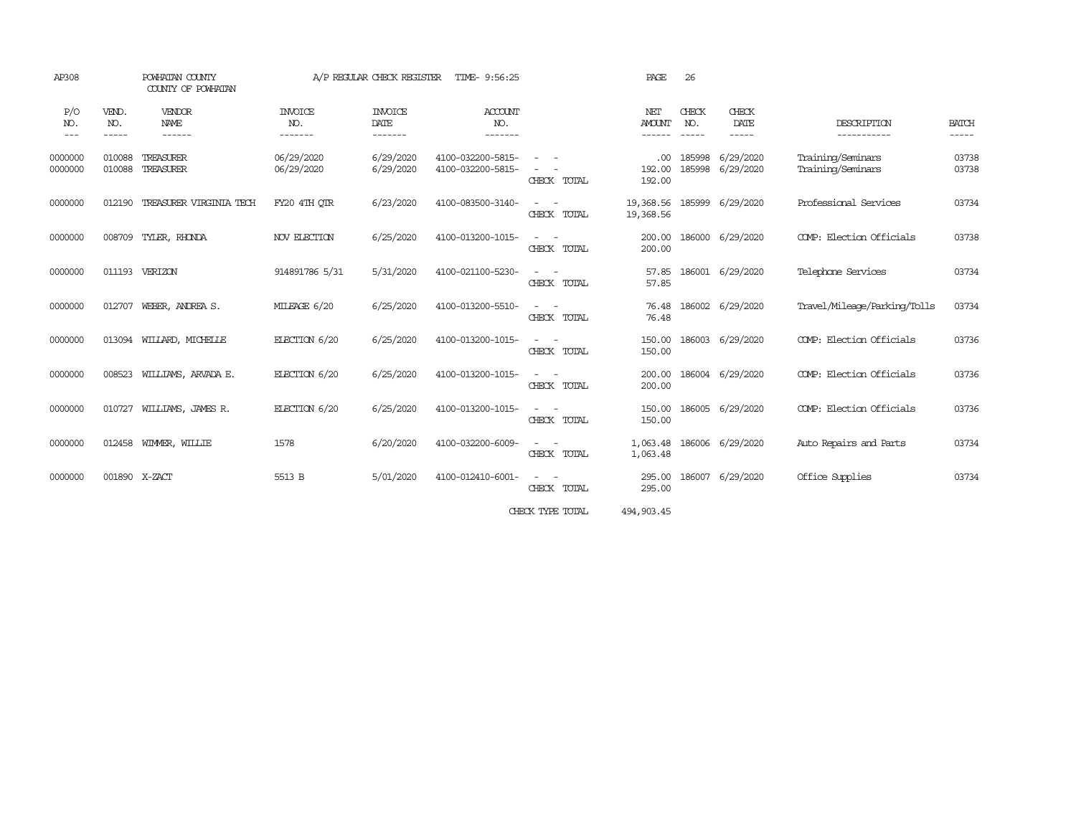| AP308               |                             | POWHATAN COUNTY<br>COUNTY OF POWHATAN  | A/P REGULAR CHECK REGISTER<br>TIME- 9:56:25 |                                           |                                        |                                                                                                                                          | PAGE                           | 26                          |                        |                                        |                       |  |
|---------------------|-----------------------------|----------------------------------------|---------------------------------------------|-------------------------------------------|----------------------------------------|------------------------------------------------------------------------------------------------------------------------------------------|--------------------------------|-----------------------------|------------------------|----------------------------------------|-----------------------|--|
| P/O<br>NO.<br>$---$ | VEND.<br>NO.<br>$- - - - -$ | <b>VENDOR</b><br><b>NAME</b><br>------ | <b>INVOICE</b><br>NO.<br>-------            | <b>INVOICE</b><br><b>DATE</b><br>-------- | <b>ACCOUNT</b><br>NO.<br>-------       |                                                                                                                                          | NET<br><b>AMOUNT</b><br>------ | CHECK<br>NO.<br>$- - - - -$ | CHECK<br>DATE<br>----- | DESCRIPTION<br>-----------             | <b>BATCH</b><br>----- |  |
| 0000000<br>0000000  | 010088<br>010088            | TREASURER<br>TREASURER                 | 06/29/2020<br>06/29/2020                    | 6/29/2020<br>6/29/2020                    | 4100-032200-5815-<br>4100-032200-5815- | $\equiv$<br>CHECK TOTAL                                                                                                                  | .00<br>192.00<br>192.00        | 185998<br>185998            | 6/29/2020<br>6/29/2020 | Training/Seminars<br>Training/Seminars | 03738<br>03738        |  |
| 0000000             | 012190                      | TREASURER VIRGINIA TECH                | FY20 4TH QTR                                | 6/23/2020                                 | 4100-083500-3140-                      | $\sim$ $ \sim$<br>CHECK TOTAL                                                                                                            | 19,368.56<br>19,368.56         |                             | 185999 6/29/2020       | Professional Services                  | 03734                 |  |
| 0000000             | 008709                      | TYLER, RHONDA                          | NOV ELECTION                                | 6/25/2020                                 | 4100-013200-1015-                      | $\sim$<br>$\sim$<br>CHECK TOTAL                                                                                                          | 200.00<br>200.00               |                             | 186000 6/29/2020       | COMP: Election Officials               | 03738                 |  |
| 0000000             |                             | 011193 VERIZON                         | 914891786 5/31                              | 5/31/2020                                 | 4100-021100-5230-                      | $\frac{1}{2} \left( \frac{1}{2} \right) \left( \frac{1}{2} \right) = \frac{1}{2} \left( \frac{1}{2} \right)$<br>CHECK TOTAL              | 57.85<br>57.85                 |                             | 186001 6/29/2020       | Telephone Services                     | 03734                 |  |
| 0000000             | 012707                      | WEBER, ANDREA S.                       | MILEAGE 6/20                                | 6/25/2020                                 | 4100-013200-5510-                      | $\sim$<br>CHECK TOTAL                                                                                                                    | 76.48<br>76.48                 | 186002                      | 6/29/2020              | Travel/Mileage/Parking/Tolls           | 03734                 |  |
| 0000000             |                             | 013094 WILLARD, MICHELLE               | ELECTION 6/20                               | 6/25/2020                                 | 4100-013200-1015-                      | $\sim$<br>$\sim$<br>CHECK TOTAL                                                                                                          | 150.00<br>150.00               | 186003                      | 6/29/2020              | COMP: Election Officials               | 03736                 |  |
| 0000000             | 008523                      | WILLIAMS, ARVADA E.                    | ELECTION 6/20                               | 6/25/2020                                 | 4100-013200-1015-                      | $\frac{1}{2} \left( \frac{1}{2} \right) \left( \frac{1}{2} \right) \left( \frac{1}{2} \right) \left( \frac{1}{2} \right)$<br>CHECK TOTAL | 200.00<br>200.00               |                             | 186004 6/29/2020       | COMP: Election Officials               | 03736                 |  |
| 0000000             | 010727                      | WILLIAMS, JAMES R.                     | ELECTION 6/20                               | 6/25/2020                                 | 4100-013200-1015-                      | $\sim$ 100 $\sim$<br>CHECK TOTAL                                                                                                         | 150.00<br>150.00               |                             | 186005 6/29/2020       | COMP: Election Officials               | 03736                 |  |
| 0000000             | 012458                      | WIMMER, WILLIE                         | 1578                                        | 6/20/2020                                 | 4100-032200-6009-                      | $\sim$<br>$\overline{\phantom{a}}$<br>CHECK TOTAL                                                                                        | 1,063.48<br>1,063.48           |                             | 186006 6/29/2020       | Auto Repairs and Parts                 | 03734                 |  |
| 0000000             | 001890 X-ZACT               |                                        | 5513 B                                      | 5/01/2020                                 | 4100-012410-6001-                      | $\sim$<br>CHECK TOTAL                                                                                                                    | 295.00<br>295.00               | 186007                      | 6/29/2020              | Office Supplies                        | 03734                 |  |
|                     |                             |                                        |                                             |                                           |                                        | CHECK TYPE TOTAL                                                                                                                         | 494, 903.45                    |                             |                        |                                        |                       |  |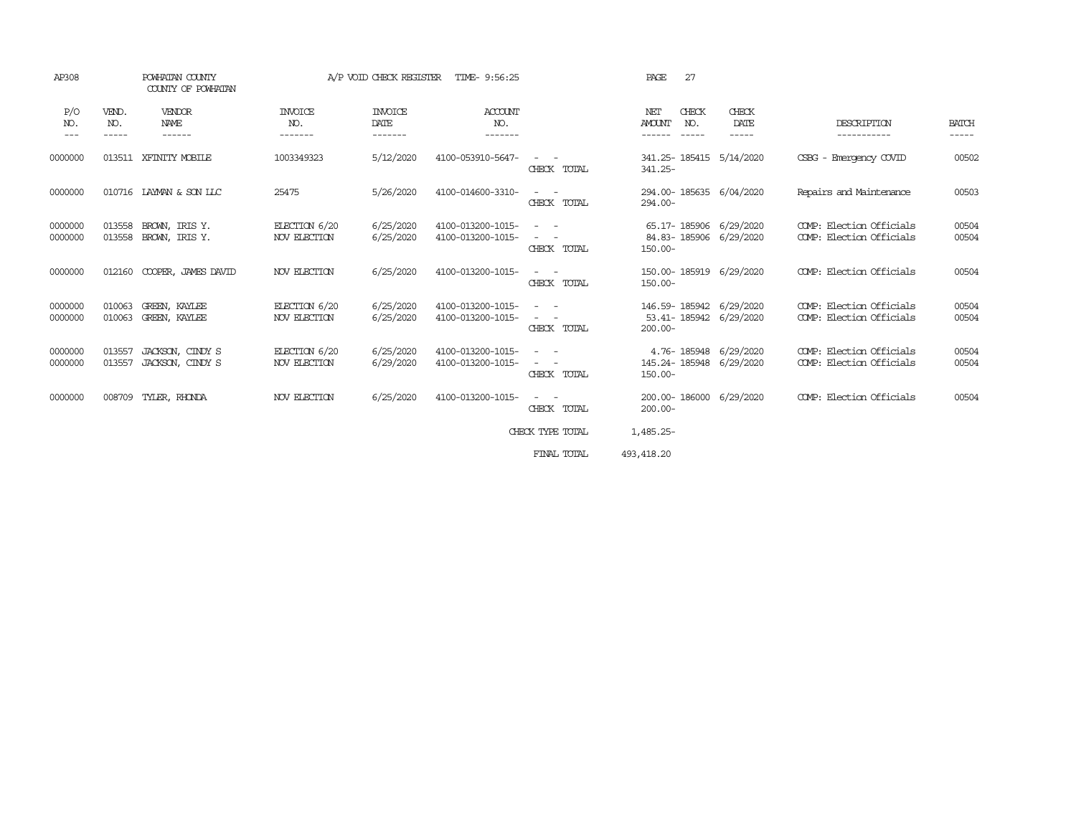| AP308              | POWHATAN COUNTY<br>COUNTY OF POWHATAN |                                      |                                  | A/P VOID CHECK REGISTER           | TIME- 9:56:25                          |                                                                                                                                                                                                                                            | 27<br>PAGE                                                             |                        |                                                      |                       |
|--------------------|---------------------------------------|--------------------------------------|----------------------------------|-----------------------------------|----------------------------------------|--------------------------------------------------------------------------------------------------------------------------------------------------------------------------------------------------------------------------------------------|------------------------------------------------------------------------|------------------------|------------------------------------------------------|-----------------------|
| P/O<br>NO.<br>---  | VEND.<br>NO.<br>-----                 | VENDOR<br>NAME<br>------             | <b>INVOICE</b><br>NO.<br>------- | <b>INVOICE</b><br>DATE<br>------- | ACCOUNT<br>NO.<br>-------              |                                                                                                                                                                                                                                            | CHECK<br>NET<br><b>AMOUNT</b><br>NO.<br>------<br>$\cdots\cdots\cdots$ | CHECK<br>DATE<br>----- | DESCRIPTION<br>-----------                           | <b>BATCH</b><br>----- |
| 0000000            |                                       | 013511 XFINITY MOBILE                | 1003349323                       | 5/12/2020                         | 4100-053910-5647-                      | CHECK TOTAL                                                                                                                                                                                                                                | 341.25-185415<br>341.25-                                               | 5/14/2020              | CSBG - Emergency COVID                               | 00502                 |
| 0000000            | 010716                                | LAYMAN & SON LLC                     | 25475                            | 5/26/2020                         | 4100-014600-3310-                      | $\frac{1}{2} \left( \frac{1}{2} \right) \left( \frac{1}{2} \right) \left( \frac{1}{2} \right) \left( \frac{1}{2} \right)$<br>CHECK TOTAL                                                                                                   | 294.00-185635 6/04/2020<br>$294.00 -$                                  |                        | Repairs and Maintenance                              | 00503                 |
| 0000000<br>0000000 | 013558<br>013558                      | BROWN, IRIS Y.<br>BROWN, IRIS Y.     | ELECTION 6/20<br>NOV ELECTION    | 6/25/2020<br>6/25/2020            | 4100-013200-1015-<br>4100-013200-1015- | $\frac{1}{2} \left( \frac{1}{2} \right) \left( \frac{1}{2} \right) = \frac{1}{2} \left( \frac{1}{2} \right)$<br>$\frac{1}{2} \left( \frac{1}{2} \right) \left( \frac{1}{2} \right) \left( \frac{1}{2} \right)$<br>CHECK TOTAL              | 65.17-185906 6/29/2020<br>84.83-185906 6/29/2020<br>$150.00 -$         |                        | COMP: Election Officials<br>COMP: Election Officials | 00504<br>00504        |
| 0000000            | 012160                                | COOPER, JAMES DAVID                  | NOV ELECTION                     | 6/25/2020                         | 4100-013200-1015-                      | $\frac{1}{2} \left( \frac{1}{2} \right) \left( \frac{1}{2} \right) \left( \frac{1}{2} \right) \left( \frac{1}{2} \right)$<br>CHECK TOTAL                                                                                                   | 150.00-185919 6/29/2020<br>$150.00 -$                                  |                        | COMP: Election Officials                             | 00504                 |
| 0000000<br>0000000 | 010063<br>010063                      | GREEN, KAYLEE<br>GREEN, KAYLEE       | ELECTION 6/20<br>NOV ELECTION    | 6/25/2020<br>6/25/2020            | 4100-013200-1015-<br>4100-013200-1015- | $\frac{1}{2} \left( \frac{1}{2} \right) \left( \frac{1}{2} \right) \left( \frac{1}{2} \right) \left( \frac{1}{2} \right)$<br>CHECK TOTAL                                                                                                   | 146.59-185942 6/29/2020<br>53.41-185942 6/29/2020<br>$200.00 -$        |                        | COMP: Election Officials<br>COMP: Election Officials | 00504<br>00504        |
| 0000000<br>0000000 | 013557<br>013557                      | JACKSON, CINDY S<br>JACKSON, CINDY S | ELECTION 6/20<br>NOV ELECTION    | 6/25/2020<br>6/29/2020            | 4100-013200-1015-<br>4100-013200-1015- | $\frac{1}{2} \left( \frac{1}{2} \right) \left( \frac{1}{2} \right) \left( \frac{1}{2} \right)$<br>$\frac{1}{2} \left( \frac{1}{2} \right) \left( \frac{1}{2} \right) \left( \frac{1}{2} \right) \left( \frac{1}{2} \right)$<br>CHECK TOTAL | 4.76-185948 6/29/2020<br>145.24-185948 6/29/2020<br>$150.00 -$         |                        | COMP: Election Officials<br>COMP: Election Officials | 00504<br>00504        |
| 0000000            | 008709                                | TYLER, RHONDA                        | NOV ELECTION                     | 6/25/2020                         | 4100-013200-1015-                      | $\frac{1}{2} \left( \frac{1}{2} \right) \left( \frac{1}{2} \right) \left( \frac{1}{2} \right) \left( \frac{1}{2} \right)$<br>CHECK TOTAL                                                                                                   | 200.00-186000 6/29/2020<br>$200.00 -$                                  |                        | COMP: Election Officials                             | 00504                 |
|                    |                                       |                                      |                                  |                                   |                                        | CHECK TYPE TOTAL                                                                                                                                                                                                                           | 1,485.25-                                                              |                        |                                                      |                       |
|                    |                                       |                                      |                                  |                                   |                                        | FINAL TOTAL                                                                                                                                                                                                                                | 493, 418.20                                                            |                        |                                                      |                       |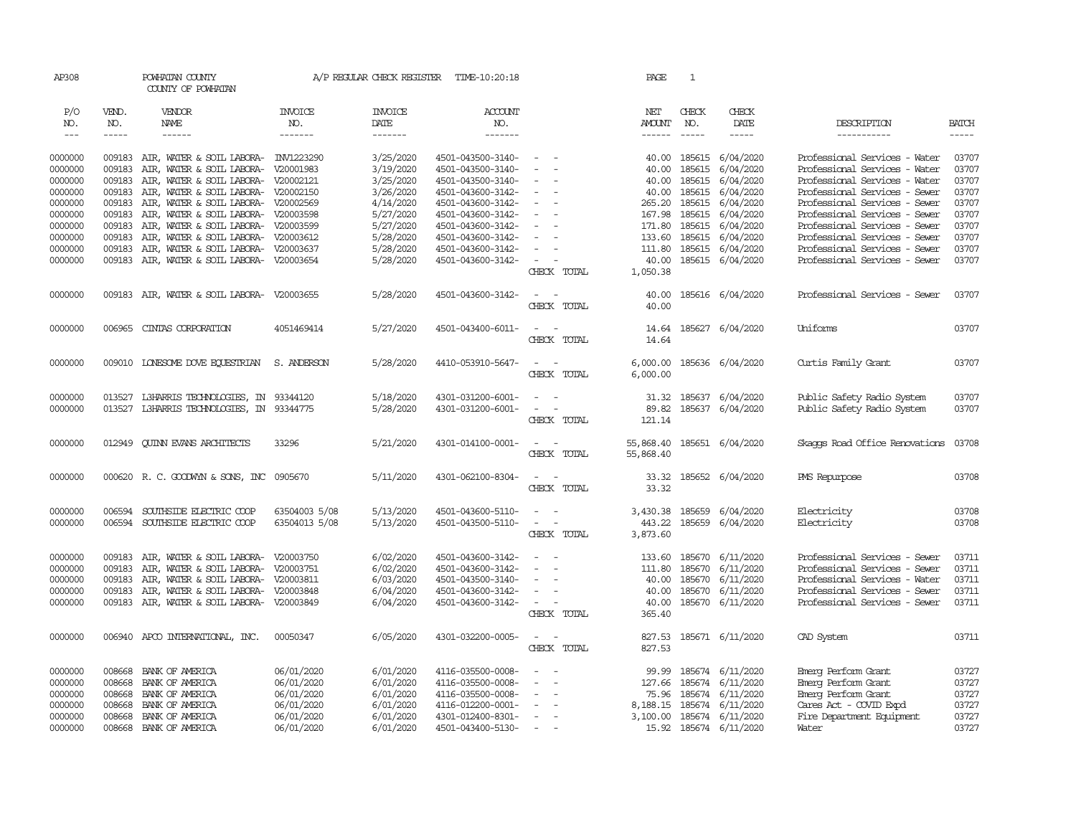| AP308              |              | POWHATAN COUNTY<br>COUNTY OF POWHATAN       |                          | A/P REGULAR CHECK REGISTER | TIME-10:20:18                          |                                    | PAGE                        | <sup>1</sup>  |                        |                                                     |                |
|--------------------|--------------|---------------------------------------------|--------------------------|----------------------------|----------------------------------------|------------------------------------|-----------------------------|---------------|------------------------|-----------------------------------------------------|----------------|
| P/O<br>NO.         | VEND.<br>NO. | VENDOR<br>NAME                              | <b>INVOICE</b><br>NO.    | <b>INVOICE</b><br>DATE     | <b>ACCOUNT</b><br>NO.                  |                                    | NET<br><b>AMOUNT</b>        | CHECK<br>NO.  | CHECK<br>DATE          | DESCRIPTION                                         | <b>BATCH</b>   |
| $\frac{1}{2}$      | -----        | $- - - - - -$                               | -------                  | $- - - - - - -$            | --------                               |                                    |                             | $\frac{1}{2}$ | -----                  | -----------                                         |                |
|                    |              |                                             |                          |                            |                                        |                                    |                             |               |                        |                                                     |                |
| 0000000            |              | 009183 AIR, WATER & SOIL LABORA- INV1223290 |                          | 3/25/2020                  | 4501-043500-3140-                      | $\overline{\phantom{a}}$           | 40.00                       | 185615        | 6/04/2020              | Professional Services - Water                       | 03707          |
| 0000000            | 009183       | AIR, WATER & SOIL LABORA-                   | V20001983                | 3/19/2020                  | 4501-043500-3140-                      |                                    | 40.00                       | 185615        | 6/04/2020              | Professional Services - Water                       | 03707          |
| 0000000            | 009183       | AIR, WATER & SOIL LABORA- V20002121         |                          | 3/25/2020                  | 4501-043500-3140-                      |                                    | 40.00                       | 185615        | 6/04/2020              | Professional Services - Water                       | 03707          |
| 0000000            | 009183       | AIR, WATER & SOIL LABORA- V20002150         |                          | 3/26/2020                  | 4501-043600-3142-                      | $\sim$                             | 40.00                       | 185615        | 6/04/2020              | Professional Services - Sewer                       | 03707          |
| 0000000            | 009183       | AIR, WATER & SOIL LABORA- V20002569         |                          | 4/14/2020                  | 4501-043600-3142-                      | $\equiv$                           | 265.20                      | 185615        | 6/04/2020              | Professional Services - Sewer                       | 03707          |
| 0000000            | 009183       | AIR, WATER & SOIL LABORA- V20003598         |                          | 5/27/2020                  | 4501-043600-3142-                      |                                    | 167.98                      | 185615        | 6/04/2020              | Professional Services - Sewer                       | 03707          |
| 0000000            | 009183       | AIR, WATER & SOIL LABORA- V20003599         |                          | 5/27/2020                  | 4501-043600-3142-                      | $\equiv$                           |                             | 171.80 185615 | 6/04/2020              | Professional Services - Sewer                       | 03707          |
| 0000000            | 009183       | AIR, WATER & SOIL LABORA- V20003612         |                          | 5/28/2020                  | 4501-043600-3142-                      |                                    | 133.60                      | 185615        | 6/04/2020              | Professional Services - Sewer                       | 03707          |
| 0000000            | 009183       | AIR, WATER & SOIL LABORA- V20003637         |                          | 5/28/2020                  | 4501-043600-3142-                      | $\equiv$                           | 111.80                      | 185615        | 6/04/2020              | Professional Services - Sewer                       | 03707          |
| 0000000            |              | 009183 AIR, WATER & SOIL LABORA- V20003654  |                          | 5/28/2020                  | 4501-043600-3142-                      | $\sim$                             | 40.00                       |               | 185615 6/04/2020       | Professional Services - Sewer                       | 03707          |
|                    |              |                                             |                          |                            |                                        | CHECK TOTAL                        | 1,050.38                    |               |                        |                                                     |                |
| 0000000            |              | 009183 AIR, WATER & SOIL LABORA-            | V20003655                | 5/28/2020                  | 4501-043600-3142-                      | $\sim$<br>$\sim$                   | 40.00                       |               | 185616 6/04/2020       | Professional Services - Sewer                       | 03707          |
|                    |              |                                             |                          |                            |                                        | CHECK TOTAL                        | 40.00                       |               |                        |                                                     |                |
| 0000000            | 006965       | CINIAS CORPORATION                          | 4051469414               | 5/27/2020                  | 4501-043400-6011-                      | $\sim$                             | 14.64                       |               | 185627 6/04/2020       | Uniforms                                            | 03707          |
|                    |              |                                             |                          |                            |                                        | CHECK TOTAL                        | 14.64                       |               |                        |                                                     |                |
| 0000000            | 009010       | LONESOME DOVE EQUESTRIAN                    | S. ANDERSON              | 5/28/2020                  | 4410-053910-5647-                      | $\sim$<br>$\sim$                   | 6,000.00                    |               | 185636 6/04/2020       |                                                     | 03707          |
|                    |              |                                             |                          |                            |                                        | CHECK TOTAL                        | 6,000.00                    |               |                        | Curtis Family Grant                                 |                |
|                    |              |                                             |                          |                            |                                        |                                    |                             |               |                        |                                                     |                |
| 0000000            | 013527       | L3HARRIS TECHNOLOGIES, IN                   | 93344120                 | 5/18/2020                  | 4301-031200-6001-                      | $\equiv$<br>$\sim$<br>$\sim$       | 31.32                       |               | 185637 6/04/2020       | Public Safety Radio System                          | 03707          |
| 0000000            | 013527       | L3HARRIS TECHNOLOGIES, IN                   | 93344775                 | 5/28/2020                  | 4301-031200-6001-                      | CHECK TOTAL                        | 89.82<br>121.14             |               | 185637 6/04/2020       | Public Safety Radio System                          | 03707          |
|                    |              |                                             |                          |                            |                                        |                                    |                             |               |                        |                                                     |                |
| 0000000            | 012949       | <b>CUINN EVANS ARCHITECTS</b>               | 33296                    | 5/21/2020                  | 4301-014100-0001-                      | $\overline{\phantom{a}}$           | 55,868.40                   |               | 185651 6/04/2020       | Skaops Road Office Renovations                      | 03708          |
|                    |              |                                             |                          |                            |                                        | CHECK TOTAL                        | 55,868.40                   |               |                        |                                                     |                |
| 0000000            |              | 000620 R. C. GOODWYN & SONS, INC 0905670    |                          | 5/11/2020                  | 4301-062100-8304-                      | $\overline{\phantom{a}}$           | 33.32                       |               | 185652 6/04/2020       | PMS Repurpose                                       | 03708          |
|                    |              |                                             |                          |                            |                                        | CHECK TOTAL                        | 33.32                       |               |                        |                                                     |                |
| 0000000            | 006594       | SOUTHSIDE ELECTRIC COOP                     | 63504003 5/08            | 5/13/2020                  | 4501-043600-5110-                      | $\sim$<br>$\sim$                   | 3,430.38                    | 185659        | 6/04/2020              | Electricity                                         | 03708          |
| 0000000            | 006594       | SOUTHSIDE ELECTRIC COOP                     | 63504013 5/08            | 5/13/2020                  | 4501-043500-5110-                      | $\sim$<br>$\overline{\phantom{a}}$ | 443.22                      |               | 185659 6/04/2020       | Electricity                                         | 03708          |
|                    |              |                                             |                          |                            |                                        | CHECK TOTAL                        | 3,873.60                    |               |                        |                                                     |                |
| 0000000            | 009183       | AIR, WAIER & SOIL LABORA-                   | V20003750                | 6/02/2020                  | 4501-043600-3142-                      | $\equiv$                           | 133.60                      | 185670        | 6/11/2020              | Professional Services - Sewer                       | 03711          |
| 0000000            | 009183       | AIR, WATER & SOIL LABORA- V20003751         |                          | 6/02/2020                  | 4501-043600-3142-                      | $\sim$                             | 111.80                      | 185670        | 6/11/2020              | Professional Services - Sewer                       | 03711          |
| 0000000            | 009183       | AIR, WATER & SOIL LABORA- V20003811         |                          | 6/03/2020                  | 4501-043500-3140-                      | $\equiv$                           | 40.00                       | 185670        | 6/11/2020              | Professional Services - Water                       | 03711          |
| 0000000            | 009183       | AIR, WATER & SOIL LABORA- V20003848         |                          | 6/04/2020                  | 4501-043600-3142-                      | $\sim$                             | 40.00                       | 185670        | 6/11/2020              | Professional Services - Sewer                       | 03711          |
| 0000000            | 009183       | AIR, WATER & SOIL LABORA-                   | V20003849                | 6/04/2020                  | 4501-043600-3142-                      | $\overline{\phantom{a}}$           | 40.00                       | 185670        | 6/11/2020              | Professional Services - Sewer                       | 03711          |
|                    |              |                                             |                          |                            |                                        | CHECK TOTAL                        | 365.40                      |               |                        |                                                     |                |
|                    |              |                                             |                          |                            |                                        | $\overline{a}$                     |                             |               |                        |                                                     |                |
| 0000000            | 006940       | APCO INTERNATIONAL, INC.                    | 00050347                 | 6/05/2020                  | 4301-032200-0005-                      | CHECK TOTAL                        | 827.53<br>827.53            |               | 185671 6/11/2020       | CAD System                                          | 03711          |
|                    |              |                                             |                          |                            |                                        |                                    |                             |               |                        |                                                     |                |
| 0000000            | 008668       | BANK OF AMERICA                             | 06/01/2020               | 6/01/2020                  | 4116-035500-0008-                      | $\equiv$                           | 99.99                       | 185674        | 6/11/2020              | Einerg Perform Grant                                | 03727          |
| 0000000            | 008668       | BANK OF AMERICA                             | 06/01/2020               | 6/01/2020                  | 4116-035500-0008-                      |                                    | 127.66                      | 185674        | 6/11/2020              | Emerg Perform Grant                                 | 03727          |
| 0000000            | 008668       | BANK OF AMERICA                             | 06/01/2020               | 6/01/2020                  | 4116-035500-0008-                      | $\equiv$                           | 75.96                       | 185674        | 6/11/2020              | Emerg Perform Grant                                 | 03727<br>03727 |
| 0000000<br>0000000 | 008668       | BANK OF AMERICA<br>008668 BANK OF AMERICA   | 06/01/2020<br>06/01/2020 | 6/01/2020<br>6/01/2020     | 4116-012200-0001-<br>4301-012400-8301- |                                    | 8,188.15<br>3,100.00 185674 | 185674        | 6/11/2020<br>6/11/2020 | Cares Act - COVID Expd<br>Fire Department Equipment | 03727          |
| 0000000            |              | 008668 BANK OF AMERICA                      | 06/01/2020               | 6/01/2020                  | 4501-043400-5130-                      | $\overline{\phantom{a}}$           |                             |               | 15.92 185674 6/11/2020 | Water                                               | 03727          |
|                    |              |                                             |                          |                            |                                        |                                    |                             |               |                        |                                                     |                |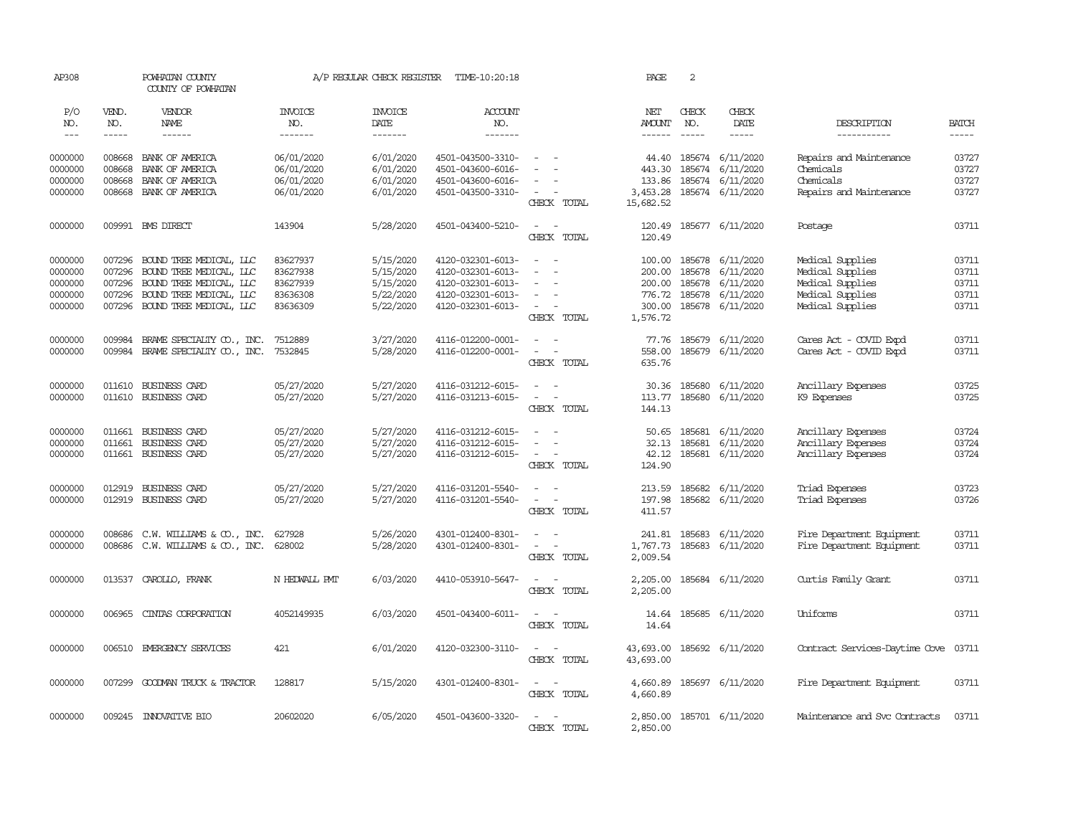| AP308                                               |                                                                                                                                                                                                                                                                                                                                                                                                                                                                         | POWHATAN COUNTY<br>COUNTY OF POWHATAN                                                                                               |                                                          | A/P REGULAR CHECK REGISTER                                    | TIME-10:20:18                                                                                         |                                                                                        | PAGE                                   | 2                                           |                                                                             |                                                                                                  |                                           |
|-----------------------------------------------------|-------------------------------------------------------------------------------------------------------------------------------------------------------------------------------------------------------------------------------------------------------------------------------------------------------------------------------------------------------------------------------------------------------------------------------------------------------------------------|-------------------------------------------------------------------------------------------------------------------------------------|----------------------------------------------------------|---------------------------------------------------------------|-------------------------------------------------------------------------------------------------------|----------------------------------------------------------------------------------------|----------------------------------------|---------------------------------------------|-----------------------------------------------------------------------------|--------------------------------------------------------------------------------------------------|-------------------------------------------|
| P/O<br>NO.<br>$\frac{1}{2}$                         | VEND.<br>NO.<br>$\begin{tabular}{ccccc} \multicolumn{2}{c }{\multicolumn{2}{c }{\multicolumn{2}{c }{\multicolumn{2}{c}}{\hspace{-2.2cm}}}} \multicolumn{2}{c }{\multicolumn{2}{c }{\hspace{-2.2cm}}\hline} \multicolumn{2}{c }{\hspace{-2.2cm}}\hline \multicolumn{2}{c }{\hspace{-2.2cm}}\hline \multicolumn{2}{c }{\hspace{-2.2cm}}\hline \multicolumn{2}{c }{\hspace{-2.2cm}}\hline \multicolumn{2}{c }{\hspace{-2.2cm}}\hline \multicolumn{2}{c }{\hspace{-2.2cm}}$ | VENDOR<br>NAME                                                                                                                      | <b>INVOICE</b><br>NO.<br>-------                         | <b>INVOICE</b><br>DATE<br>-------                             | <b>ACCOUNT</b><br>NO.<br>-------                                                                      |                                                                                        | NET<br><b>AMOUNT</b><br>------         | CHECK<br>NO.                                | CHECK<br>DATE<br>-----                                                      | DESCRIPTION<br>-----------                                                                       | <b>BATCH</b>                              |
| 0000000<br>0000000                                  | 008668                                                                                                                                                                                                                                                                                                                                                                                                                                                                  | 008668 BANK OF AMERICA<br>BANK OF AMERICA                                                                                           | 06/01/2020<br>06/01/2020                                 | 6/01/2020<br>6/01/2020                                        | 4501-043500-3310-<br>4501-043600-6016-                                                                |                                                                                        | 44.40<br>443.30                        | 185674<br>185674                            | 6/11/2020<br>6/11/2020                                                      | Repairs and Maintenance<br>Chemicals                                                             | 03727<br>03727                            |
| 0000000<br>0000000                                  | 008668<br>008668                                                                                                                                                                                                                                                                                                                                                                                                                                                        | BANK OF AMERICA<br>BANK OF AMERICA                                                                                                  | 06/01/2020<br>06/01/2020                                 | 6/01/2020<br>6/01/2020                                        | 4501-043600-6016-<br>4501-043500-3310-                                                                | $\sim$<br>CHECK TOTAL                                                                  | 133.86<br>3,453.28<br>15,682.52        | 185674                                      | 6/11/2020<br>185674 6/11/2020                                               | Chemicals<br>Repairs and Maintenance                                                             | 03727<br>03727                            |
| 0000000                                             |                                                                                                                                                                                                                                                                                                                                                                                                                                                                         | 009991 BMS DIRECT                                                                                                                   | 143904                                                   | 5/28/2020                                                     | 4501-043400-5210-                                                                                     | $\sim$<br>$\sim$<br>CHECK TOTAL                                                        | 120.49<br>120.49                       |                                             | 185677 6/11/2020                                                            | Postage                                                                                          | 03711                                     |
| 0000000<br>0000000<br>0000000<br>0000000<br>0000000 | 007296<br>007296<br>007296<br>007296<br>007296                                                                                                                                                                                                                                                                                                                                                                                                                          | BOUND TREE MEDICAL, LLC<br>BOUND TREE MEDICAL, LLC<br>BOUND TREE MEDICAL, LLC<br>BOUND TREE MEDICAL, LLC<br>BOUND TREE MEDICAL, LLC | 83627937<br>83627938<br>83627939<br>83636308<br>83636309 | 5/15/2020<br>5/15/2020<br>5/15/2020<br>5/22/2020<br>5/22/2020 | 4120-032301-6013-<br>4120-032301-6013-<br>4120-032301-6013-<br>4120-032301-6013-<br>4120-032301-6013- | $\equiv$<br>$\sim$<br>$\overline{\phantom{a}}$<br>CHECK TOTAL                          | 100.00<br>200.00<br>200.00<br>1,576.72 | 185678<br>185678<br>185678<br>776.72 185678 | 6/11/2020<br>6/11/2020<br>6/11/2020<br>6/11/2020<br>300.00 185678 6/11/2020 | Medical Supplies<br>Medical Supplies<br>Medical Supplies<br>Medical Supplies<br>Medical Supplies | 03711<br>03711<br>03711<br>03711<br>03711 |
| 0000000<br>0000000                                  | 009984<br>009984                                                                                                                                                                                                                                                                                                                                                                                                                                                        | BRAME SPECIALITY CO., INC.<br>BRAME SPECIALITY CO., INC.                                                                            | 7512889<br>7532845                                       | 3/27/2020<br>5/28/2020                                        | 4116-012200-0001-<br>4116-012200-0001-                                                                | $\omega_{\rm{max}}$ and $\omega_{\rm{max}}$<br>CHECK TOTAL                             | 77.76<br>558.00<br>635.76              |                                             | 185679 6/11/2020<br>185679 6/11/2020                                        | Cares Act - COVID Expd<br>Cares Act - COVID Expd                                                 | 03711<br>03711                            |
| 0000000<br>0000000                                  | 011610                                                                                                                                                                                                                                                                                                                                                                                                                                                                  | BUSINESS CARD<br>011610 BUSINESS CARD                                                                                               | 05/27/2020<br>05/27/2020                                 | 5/27/2020<br>5/27/2020                                        | 4116-031212-6015-<br>4116-031213-6015-                                                                | $\sim$<br>$\sim$<br>$\overline{\phantom{a}}$<br>$\sim$<br>CHECK TOTAL                  | 113.77<br>144.13                       | 185680                                      | 30.36 185680 6/11/2020<br>6/11/2020                                         | Ancillary Expenses<br>K9 Expenses                                                                | 03725<br>03725                            |
| 0000000<br>0000000<br>0000000                       | 011661<br>011661                                                                                                                                                                                                                                                                                                                                                                                                                                                        | <b>BUSINESS CARD</b><br><b>BUSINESS CARD</b><br>011661 BUSINESS CARD                                                                | 05/27/2020<br>05/27/2020<br>05/27/2020                   | 5/27/2020<br>5/27/2020<br>5/27/2020                           | 4116-031212-6015-<br>4116-031212-6015-<br>4116-031212-6015-                                           | $\sim$<br>$\overline{\phantom{0}}$<br>$\sim$ $ \sim$<br>CHECK TOTAL                    | 50.65<br>32.13<br>42.12<br>124.90      | 185681<br>185681                            | 6/11/2020<br>6/11/2020<br>185681 6/11/2020                                  | Ancillary Expenses<br>Ancillary Expenses<br>Ancillary Expenses                                   | 03724<br>03724<br>03724                   |
| 0000000<br>0000000                                  | 012919<br>012919                                                                                                                                                                                                                                                                                                                                                                                                                                                        | BUSINESS CARD<br>BUSINESS CARD                                                                                                      | 05/27/2020<br>05/27/2020                                 | 5/27/2020<br>5/27/2020                                        | 4116-031201-5540-<br>4116-031201-5540-                                                                | $\overline{\phantom{a}}$<br>$\equiv$<br>$\sim$<br>CHECK TOTAL                          | 213.59<br>197.98<br>411.57             | 185682                                      | 6/11/2020<br>185682 6/11/2020                                               | Triad Expenses<br>Triad Expenses                                                                 | 03723<br>03726                            |
| 0000000<br>0000000                                  | 008686                                                                                                                                                                                                                                                                                                                                                                                                                                                                  | C.W. WILLIAMS & CO., INC.<br>008686 C.W. WILLIAMS & CO., INC.                                                                       | 627928<br>628002                                         | 5/26/2020<br>5/28/2020                                        | 4301-012400-8301-<br>4301-012400-8301-                                                                | $\overline{\phantom{a}}$<br>$\omega_{\rm{max}}$ and $\omega_{\rm{max}}$<br>CHECK TOTAL | 241.81<br>1,767.73<br>2,009.54         |                                             | 185683 6/11/2020<br>185683 6/11/2020                                        | Fire Department Equipment<br>Fire Department Equipment                                           | 03711<br>03711                            |
| 0000000                                             |                                                                                                                                                                                                                                                                                                                                                                                                                                                                         | 013537 CAROLLO, FRANK                                                                                                               | N HEDWALL PMT                                            | 6/03/2020                                                     | 4410-053910-5647-                                                                                     | $\sim$ $ \sim$<br>CHECK TOTAL                                                          | 2,205.00<br>2,205.00                   |                                             | 185684 6/11/2020                                                            | Curtis Family Grant                                                                              | 03711                                     |
| 0000000                                             | 006965                                                                                                                                                                                                                                                                                                                                                                                                                                                                  | CINIAS CORPORATION                                                                                                                  | 4052149935                                               | 6/03/2020                                                     | 4501-043400-6011-                                                                                     | $\sim$<br>CHECK TOTAL                                                                  | 14.64<br>14.64                         |                                             | 185685 6/11/2020                                                            | Uniforms                                                                                         | 03711                                     |
| 0000000                                             |                                                                                                                                                                                                                                                                                                                                                                                                                                                                         | 006510 EMERGENCY SERVICES                                                                                                           | 421                                                      | 6/01/2020                                                     | 4120-032300-3110-                                                                                     | $\overline{\phantom{a}}$<br>$\sim$<br>CHECK TOTAL                                      | 43,693.00<br>43,693.00                 |                                             | 185692 6/11/2020                                                            | Contract Services-Daytime Cove 03711                                                             |                                           |
| 0000000                                             | 007299                                                                                                                                                                                                                                                                                                                                                                                                                                                                  | GOODMAN TRUCK & TRACTOR                                                                                                             | 128817                                                   | 5/15/2020                                                     | 4301-012400-8301-                                                                                     | $\sim$<br>$\sim$<br>CHECK TOTAL                                                        | 4,660.89<br>4,660.89                   |                                             | 185697 6/11/2020                                                            | Fire Department Equipment                                                                        | 03711                                     |
| 0000000                                             |                                                                                                                                                                                                                                                                                                                                                                                                                                                                         | 009245 INNOVATIVE BIO                                                                                                               | 20602020                                                 | 6/05/2020                                                     | 4501-043600-3320-                                                                                     | $\sim$<br>$\sim$<br>CHECK TOTAL                                                        | 2,850.00<br>2,850.00                   |                                             | 185701 6/11/2020                                                            | Maintenance and Svc Contracts                                                                    | 03711                                     |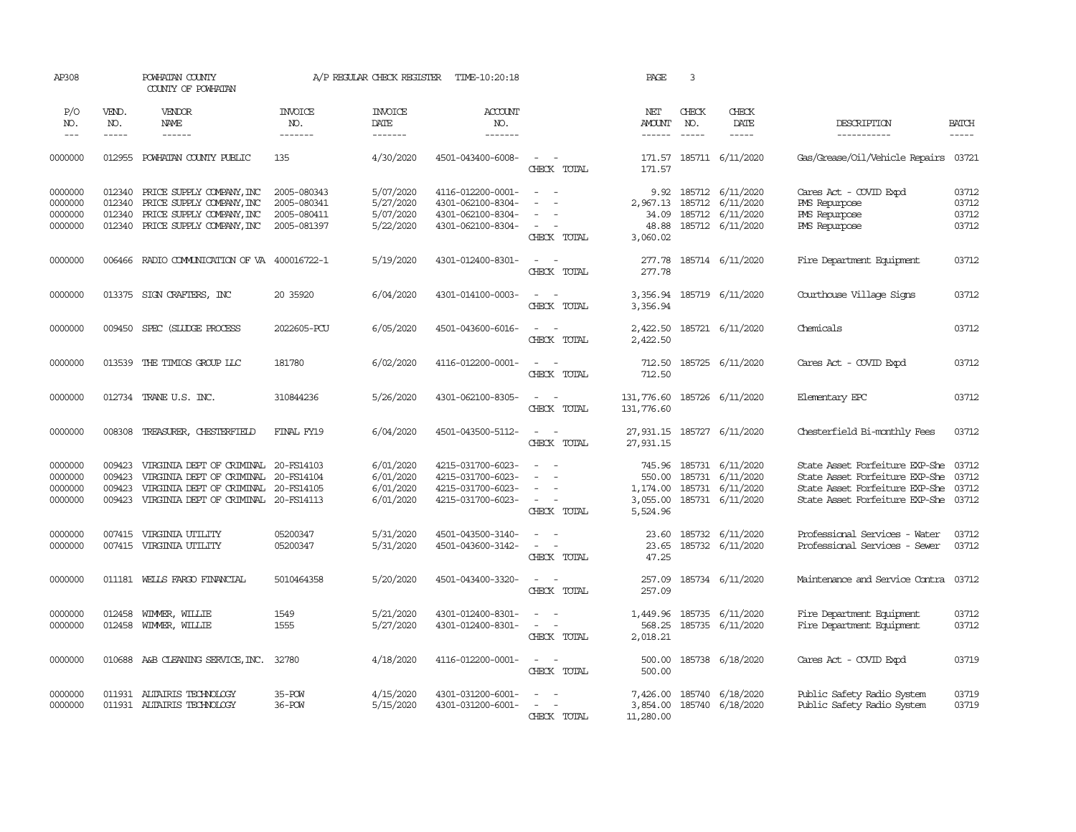| AP308                                    |                                      | POWHATAN COUNTY<br>COUNTY OF POWHATAN                                                                                                             |                                                          | A/P REGULAR CHECK REGISTER                       | TIME-10:20:18                                                                    |                                                                                        | PAGE                                      | 3                                                                                                                                                                                                                                                                                                                                                                                                            |                                                                                              |                                                                                                                                            |                                  |
|------------------------------------------|--------------------------------------|---------------------------------------------------------------------------------------------------------------------------------------------------|----------------------------------------------------------|--------------------------------------------------|----------------------------------------------------------------------------------|----------------------------------------------------------------------------------------|-------------------------------------------|--------------------------------------------------------------------------------------------------------------------------------------------------------------------------------------------------------------------------------------------------------------------------------------------------------------------------------------------------------------------------------------------------------------|----------------------------------------------------------------------------------------------|--------------------------------------------------------------------------------------------------------------------------------------------|----------------------------------|
| P/O<br>NO.<br>$---$                      | VEND.<br>NO.<br>-----                | <b>VENDOR</b><br>NAME<br>$- - - - - -$                                                                                                            | <b>INVOICE</b><br>NO.<br>-------                         | <b>INVOICE</b><br>DATE<br>-------                | <b>ACCOUNT</b><br>NO.<br>-------                                                 |                                                                                        | NET<br>AMOUNT<br>------                   | CHECK<br>NO.<br>$\frac{1}{2} \frac{1}{2} \frac{1}{2} \frac{1}{2} \frac{1}{2} \frac{1}{2} \frac{1}{2} \frac{1}{2} \frac{1}{2} \frac{1}{2} \frac{1}{2} \frac{1}{2} \frac{1}{2} \frac{1}{2} \frac{1}{2} \frac{1}{2} \frac{1}{2} \frac{1}{2} \frac{1}{2} \frac{1}{2} \frac{1}{2} \frac{1}{2} \frac{1}{2} \frac{1}{2} \frac{1}{2} \frac{1}{2} \frac{1}{2} \frac{1}{2} \frac{1}{2} \frac{1}{2} \frac{1}{2} \frac{$ | CHECK<br>DATE<br>-----                                                                       | DESCRIPTION<br>-----------                                                                                                                 | <b>BATCH</b><br>$- - - - -$      |
| 0000000                                  | 012955                               | POWHATAN COUNTY PUBLIC                                                                                                                            | 135                                                      | 4/30/2020                                        | 4501-043400-6008-                                                                | $\sim$<br>$\sim$<br>CHECK TOTAL                                                        | 171.57<br>171.57                          |                                                                                                                                                                                                                                                                                                                                                                                                              | 185711 6/11/2020                                                                             | Gas/Grease/Oil/Vehicle Repairs                                                                                                             | 03721                            |
| 0000000<br>0000000<br>0000000<br>0000000 | 012340<br>012340<br>012340<br>012340 | PRICE SUPPLY COMPANY, INC<br>PRICE SUPPLY COMPANY, INC<br>PRICE SUPPLY COMPANY, INC<br>PRICE SUPPLY COMPANY, INC                                  | 2005-080343<br>2005-080341<br>2005-080411<br>2005-081397 | 5/07/2020<br>5/27/2020<br>5/07/2020<br>5/22/2020 | 4116-012200-0001-<br>4301-062100-8304-<br>4301-062100-8304-<br>4301-062100-8304- | $\sim$<br>$\sim$<br>$\overline{\phantom{a}}$<br>CHECK TOTAL                            | 9.92<br>34.09<br>48.88<br>3,060.02        |                                                                                                                                                                                                                                                                                                                                                                                                              | 185712 6/11/2020<br>2,967.13 185712 6/11/2020<br>185712 6/11/2020<br>185712 6/11/2020        | Cares Act - COVID Expd<br><b>PMS</b> Repurpose<br><b>PMS</b> Repurpose<br>PMS Repurpose                                                    | 03712<br>03712<br>03712<br>03712 |
| 0000000                                  |                                      | 006466 RADIO COMMUNICATION OF VA 400016722-1                                                                                                      |                                                          | 5/19/2020                                        | 4301-012400-8301-                                                                | $\sim$ $ \sim$<br>CHECK TOTAL                                                          | 277.78                                    |                                                                                                                                                                                                                                                                                                                                                                                                              | 277.78 185714 6/11/2020                                                                      | Fire Department Equipment                                                                                                                  | 03712                            |
| 0000000                                  |                                      | 013375 SIGN CRAFTERS, INC                                                                                                                         | 20 35920                                                 | 6/04/2020                                        | 4301-014100-0003-                                                                | $\sim$ $\sim$<br>CHECK TOTAL                                                           | 3,356.94                                  |                                                                                                                                                                                                                                                                                                                                                                                                              | 3,356.94 185719 6/11/2020                                                                    | Courthouse Village Signs                                                                                                                   | 03712                            |
| 0000000                                  | 009450                               | SPEC (SLUDGE PROCESS                                                                                                                              | 2022605-PCU                                              | 6/05/2020                                        | 4501-043600-6016-                                                                | $\sim$<br>$\sim$<br>CHECK TOTAL                                                        | 2,422.50                                  |                                                                                                                                                                                                                                                                                                                                                                                                              | 2,422.50 185721 6/11/2020                                                                    | Chemicals                                                                                                                                  | 03712                            |
| 0000000                                  |                                      | 013539 THE TIMIOS GROUP LLC                                                                                                                       | 181780                                                   | 6/02/2020                                        | 4116-012200-0001-                                                                | $\sim$ $\sim$<br>CHECK TOTAL                                                           | 712.50<br>712.50                          |                                                                                                                                                                                                                                                                                                                                                                                                              | 185725 6/11/2020                                                                             | Cares Act - COVID Expd                                                                                                                     | 03712                            |
| 0000000                                  |                                      | 012734 TRANE U.S. INC.                                                                                                                            | 310844236                                                | 5/26/2020                                        | 4301-062100-8305-                                                                | $\sim$ $ \sim$<br>CHECK TOTAL                                                          | 131,776.60 185726 6/11/2020<br>131,776.60 |                                                                                                                                                                                                                                                                                                                                                                                                              |                                                                                              | Elementary EPC                                                                                                                             | 03712                            |
| 0000000                                  | 008308                               | TREASURER, CHESTERFIELD                                                                                                                           | FINAL FY19                                               | 6/04/2020                                        | 4501-043500-5112-                                                                | $\sim$ $\sim$<br>CHECK TOTAL                                                           | 27,931.15 185727 6/11/2020<br>27,931.15   |                                                                                                                                                                                                                                                                                                                                                                                                              |                                                                                              | Chesterfield Bi-monthly Fees                                                                                                               | 03712                            |
| 0000000<br>0000000<br>0000000<br>0000000 | 009423<br>009423<br>009423<br>009423 | VIRGINIA DEPT OF CRIMINAL 20-FS14103<br>VIRGINIA DEPT OF CRIMINAL<br>VIRGINIA DEPT OF CRIMINAL 20-FS14105<br>VIRGINIA DEPT OF CRIMINAL 20-FS14113 | 20-FS14104                                               | 6/01/2020<br>6/01/2020<br>6/01/2020<br>6/01/2020 | 4215-031700-6023-<br>4215-031700-6023-<br>4215-031700-6023-<br>4215-031700-6023- | $\sim$<br>$\sim$<br>CHECK TOTAL                                                        | 550.00<br>3,055.00<br>5,524.96            |                                                                                                                                                                                                                                                                                                                                                                                                              | 745.96 185731 6/11/2020<br>185731 6/11/2020<br>1,174.00 185731 6/11/2020<br>185731 6/11/2020 | State Asset Forfeiture EXP-She<br>State Asset Forfeiture EXP-She<br>State Asset Forfeiture EXP-She<br>State Asset Forfeiture EXP-She 03712 | 03712<br>03712<br>03712          |
| 0000000<br>0000000                       | 007415<br>007415                     | VIRGINIA UTILITY<br>VIRGINIA UTILITY                                                                                                              | 05200347<br>05200347                                     | 5/31/2020<br>5/31/2020                           | 4501-043500-3140-<br>4501-043600-3142-                                           | $\sim$<br>$\overline{\phantom{a}}$<br>$\sim$<br>CHECK TOTAL                            | 23.60<br>23.65<br>47.25                   |                                                                                                                                                                                                                                                                                                                                                                                                              | 185732 6/11/2020<br>185732 6/11/2020                                                         | Professional Services - Water<br>Professional Services - Sewer                                                                             | 03712<br>03712                   |
| 0000000                                  |                                      | 011181 WELLS FARGO FINANCIAL                                                                                                                      | 5010464358                                               | 5/20/2020                                        | 4501-043400-3320-                                                                | $\sim$<br>$\sim$<br>CHECK TOTAL                                                        | 257.09<br>257.09                          |                                                                                                                                                                                                                                                                                                                                                                                                              | 185734 6/11/2020                                                                             | Maintenance and Service Contra                                                                                                             | 03712                            |
| 0000000<br>0000000                       | 012458<br>012458                     | WIMMER, WILLIE<br>WIMMER, WILLIE                                                                                                                  | 1549<br>1555                                             | 5/21/2020<br>5/27/2020                           | 4301-012400-8301-<br>4301-012400-8301-                                           | $\overline{\phantom{a}}$<br>$\omega_{\rm{max}}$ and $\omega_{\rm{max}}$<br>CHECK TOTAL | 1,449.96<br>568.25<br>2,018.21            |                                                                                                                                                                                                                                                                                                                                                                                                              | 185735 6/11/2020<br>185735 6/11/2020                                                         | Fire Department Equipment<br>Fire Department Equipment                                                                                     | 03712<br>03712                   |
| 0000000                                  |                                      | 010688 A&B CLEANING SERVICE, INC. 32780                                                                                                           |                                                          | 4/18/2020                                        | 4116-012200-0001-                                                                | $\sim$ $ \sim$<br>CHECK TOTAL                                                          | 500.00                                    |                                                                                                                                                                                                                                                                                                                                                                                                              | 500.00 185738 6/18/2020                                                                      | Cares Act - COVID Expd                                                                                                                     | 03719                            |
| 0000000<br>0000000                       | 011931                               | ALTAIRIS TECHNOLOGY<br>011931 ALTAIRIS TECHNOLOGY                                                                                                 | 35-POW<br>36-POW                                         | 4/15/2020<br>5/15/2020                           | 4301-031200-6001-<br>4301-031200-6001-                                           | CHECK TOTAL                                                                            | 11,280.00                                 |                                                                                                                                                                                                                                                                                                                                                                                                              | 7,426.00 185740 6/18/2020<br>3,854.00 185740 6/18/2020                                       | Public Safety Radio System<br>Public Safety Radio System                                                                                   | 03719<br>03719                   |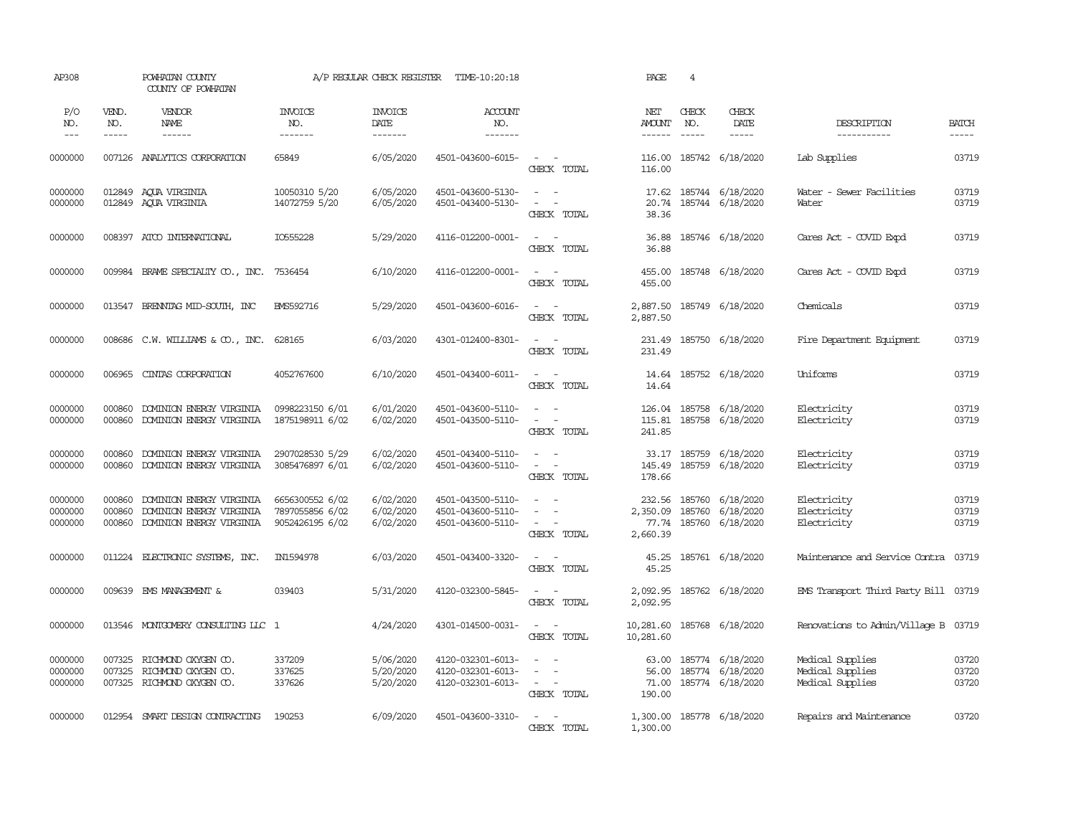| AP308                         |                               | POWHATAN COUNTY<br>COUNTY OF POWHATAN                                            |                                                       | A/P REGULAR CHECK REGISTER          | TIME-10:20:18                                               |                                                                                                                                                      | PAGE                           | 4                             |                                                                |                                                          |                             |
|-------------------------------|-------------------------------|----------------------------------------------------------------------------------|-------------------------------------------------------|-------------------------------------|-------------------------------------------------------------|------------------------------------------------------------------------------------------------------------------------------------------------------|--------------------------------|-------------------------------|----------------------------------------------------------------|----------------------------------------------------------|-----------------------------|
| P/O<br>NO.<br>$---$           | VEND.<br>NO.<br>$\frac{1}{2}$ | VENDOR<br>NAME<br>$- - - - - -$                                                  | <b>INVOICE</b><br>NO.<br>-------                      | <b>INVOICE</b><br>DATE<br>-------   | <b>ACCOUNT</b><br>NO.<br>--------                           |                                                                                                                                                      | NET<br>AMOUNT<br>$- - - - - -$ | CHECK<br>NO.<br>$\frac{1}{2}$ | CHECK<br>DATE<br>$- - - - -$                                   | DESCRIPTION<br>-----------                               | <b>BATCH</b><br>$- - - - -$ |
| 0000000                       |                               | 007126 ANALYTICS CORPORATION                                                     | 65849                                                 | 6/05/2020                           | 4501-043600-6015-                                           | $\sim$ $ -$<br>CHECK TOTAL                                                                                                                           | 116.00                         |                               | 116.00 185742 6/18/2020                                        | Lab Supplies                                             | 03719                       |
| 0000000<br>0000000            |                               | 012849 ACUA VIRGINIA<br>012849 AQUA VIRGINIA                                     | 10050310 5/20<br>14072759 5/20                        | 6/05/2020<br>6/05/2020              | 4501-043600-5130-<br>4501-043400-5130-                      | $\sim 100$ km s $^{-1}$<br>$\omega_{\rm{max}}$ and $\omega_{\rm{max}}$<br>CHECK TOTAL                                                                | 20.74<br>38.36                 |                               | 17.62 185744 6/18/2020<br>185744 6/18/2020                     | Water - Sewer Facilities<br>Water                        | 03719<br>03719              |
| 0000000                       |                               | 008397 ATCO INTERNATIONAL                                                        | IO555228                                              | 5/29/2020                           | 4116-012200-0001-                                           | $\sim$ $\sim$<br>CHECK TOTAL                                                                                                                         | 36.88<br>36.88                 |                               | 185746 6/18/2020                                               | Cares Act - COVID Expd                                   | 03719                       |
| 0000000                       | 009984                        | BRAME SPECIALITY CO., INC.                                                       | 7536454                                               | 6/10/2020                           | 4116-012200-0001-                                           | $\sim$ $ \sim$<br>CHECK TOTAL                                                                                                                        | 455.00<br>455.00               |                               | 185748 6/18/2020                                               | Cares Act - COVID Expd                                   | 03719                       |
| 0000000                       |                               | 013547 BRENNIAG MID-SOUTH, INC                                                   | <b>BMS592716</b>                                      | 5/29/2020                           | 4501-043600-6016-                                           | $\sim$ $ -$<br>CHECK TOTAL                                                                                                                           | 2,887.50                       |                               | 2,887.50 185749 6/18/2020                                      | Chemicals                                                | 03719                       |
| 0000000                       |                               | 008686 C.W. WILLIAMS & CO., INC.                                                 | 628165                                                | 6/03/2020                           | 4301-012400-8301-                                           | $\sim$ $ \sim$<br>CHECK TOTAL                                                                                                                        | 231.49<br>231.49               |                               | 185750 6/18/2020                                               | Fire Department Equipment                                | 03719                       |
| 0000000                       | 006965                        | CINIAS CORPORATION                                                               | 4052767600                                            | 6/10/2020                           | 4501-043400-6011-                                           | $\sim$ $ \sim$<br>CHECK TOTAL                                                                                                                        | 14.64                          |                               | 14.64 185752 6/18/2020                                         | Uniforms                                                 | 03719                       |
| 0000000<br>0000000            | 000860<br>000860              | DOMINION ENERGY VIRGINIA<br>DOMINION ENERGY VIRGINIA                             | 0998223150 6/01<br>1875198911 6/02                    | 6/01/2020<br>6/02/2020              | 4501-043600-5110-<br>4501-043500-5110-                      | $\sim$ $ \sim$<br>$\sim$<br>$\sim$ $-$<br>CHECK TOTAL                                                                                                | 241.85                         |                               | 126.04 185758 6/18/2020<br>115.81 185758 6/18/2020             | Electricity<br>Electricity                               | 03719<br>03719              |
| 0000000<br>0000000            | 000860<br>000860              | DOMINION ENERGY VIRGINIA<br>DOMINION ENERGY VIRGINIA                             | 2907028530 5/29<br>3085476897 6/01                    | 6/02/2020<br>6/02/2020              | 4501-043400-5110-<br>4501-043600-5110-                      | $\sim$ $ \sim$<br>$\sim$<br>$\sim$ $-$<br>CHECK TOTAL                                                                                                | 145.49<br>178.66               |                               | 33.17 185759 6/18/2020<br>185759 6/18/2020                     | Electricity<br>Electricity                               | 03719<br>03719              |
| 0000000<br>0000000<br>0000000 | 000860<br>000860<br>000860    | DOMINION ENERGY VIRGINIA<br>DOMINION ENERGY VIRGINIA<br>DOMINION ENERGY VIRGINIA | 6656300552 6/02<br>7897055856 6/02<br>9052426195 6/02 | 6/02/2020<br>6/02/2020<br>6/02/2020 | 4501-043500-5110-<br>4501-043600-5110-<br>4501-043600-5110- | $\frac{1}{2} \left( \frac{1}{2} \right) \left( \frac{1}{2} \right) \left( \frac{1}{2} \right)$<br>$\sim$ 100 $\sim$<br>$\sim$ $ \sim$<br>CHECK TOTAL | 232.56<br>2,350.09<br>2,660.39 |                               | 185760 6/18/2020<br>185760 6/18/2020<br>77.74 185760 6/18/2020 | Electricity<br>Electricity<br>Electricity                | 03719<br>03719<br>03719     |
| 0000000                       |                               | 011224 ELECTRONIC SYSTEMS, INC.                                                  | IN1594978                                             | 6/03/2020                           | 4501-043400-3320-                                           | $\sim$ $\sim$<br>CHECK TOTAL                                                                                                                         | 45.25<br>45.25                 |                               | 185761 6/18/2020                                               | Maintenance and Service Contra                           | 03719                       |
| 0000000                       | 009639                        | EMS MANAGEMENT &                                                                 | 039403                                                | 5/31/2020                           | 4120-032300-5845-                                           | $\sim$<br>$\sim$<br>CHECK TOTAL                                                                                                                      | 2,092.95<br>2,092.95           |                               | 185762 6/18/2020                                               | EMS Transport Third Party Bill 03719                     |                             |
| 0000000                       |                               | 013546 MONTGOMERY CONSULTING LLC 1                                               |                                                       | 4/24/2020                           | 4301-014500-0031-                                           | $\sim$ $ \sim$<br>CHECK TOTAL                                                                                                                        | 10,281.60<br>10,281.60         |                               | 185768 6/18/2020                                               | Renovations to Admin/Village B                           | 03719                       |
| 0000000<br>0000000<br>0000000 | 007325<br>007325              | RICHMOND OXYGEN CO.<br>RICHMOND OXYGEN CO.<br>007325 RICHMOND OXYGEN CO.         | 337209<br>337625<br>337626                            | 5/06/2020<br>5/20/2020<br>5/20/2020 | 4120-032301-6013-<br>4120-032301-6013-<br>4120-032301-6013- | $\sim$ $ \sim$<br>$\sim$<br>$\sim$ $  -$<br>CHECK TOTAL                                                                                              | 63.00<br>56.00<br>190.00       |                               | 185774 6/18/2020<br>185774 6/18/2020<br>71.00 185774 6/18/2020 | Medical Supplies<br>Medical Supplies<br>Medical Supplies | 03720<br>03720<br>03720     |
| 0000000                       |                               | 012954 SMART DESIGN CONTRACTING                                                  | 190253                                                | 6/09/2020                           | 4501-043600-3310-                                           | CHECK TOTAL                                                                                                                                          | 1,300.00                       |                               | 1,300.00 185778 6/18/2020                                      | Repairs and Maintenance                                  | 03720                       |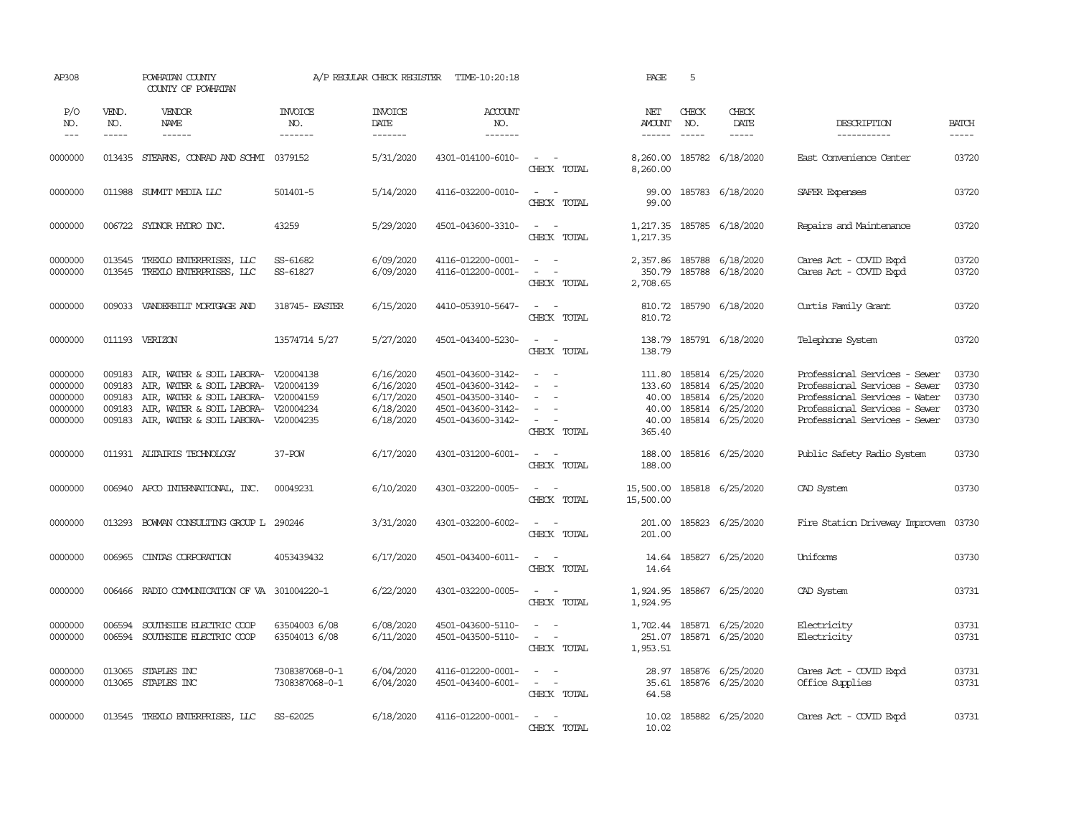| AP308                                               |                                                | POWHATAN COUNTY<br>COUNTY OF POWHATAN                                                                                                                                                           |                                  | A/P REGULAR CHECK REGISTER                                    | TIME-10:20:18                                                                                         |                                                                              | PAGE                                        | 5            |                                                                                                         |                                                                                                                                                                   |                                           |
|-----------------------------------------------------|------------------------------------------------|-------------------------------------------------------------------------------------------------------------------------------------------------------------------------------------------------|----------------------------------|---------------------------------------------------------------|-------------------------------------------------------------------------------------------------------|------------------------------------------------------------------------------|---------------------------------------------|--------------|---------------------------------------------------------------------------------------------------------|-------------------------------------------------------------------------------------------------------------------------------------------------------------------|-------------------------------------------|
| P/O<br>NO.<br>$---$                                 | VEND.<br>NO.<br>$- - - - -$                    | VENDOR<br>NAME<br>$- - - - - -$                                                                                                                                                                 | <b>INVOICE</b><br>NO.<br>------- | <b>INVOICE</b><br>DATE<br>-------                             | <b>ACCOUNT</b><br>NO.<br>-------                                                                      |                                                                              | NET<br><b>AMOUNT</b><br>$- - - - - -$       | CHECK<br>NO. | CHECK<br>DATE<br>$- - - - -$                                                                            | DESCRIPTION<br>-----------                                                                                                                                        | <b>BATCH</b><br>$- - - - -$               |
| 0000000                                             | 013435                                         | STEARNS, CONRAD AND SCHMI 0379152                                                                                                                                                               |                                  | 5/31/2020                                                     | 4301-014100-6010-                                                                                     | $\sim$ $ -$<br>CHECK TOTAL                                                   | 8,260.00<br>8,260.00                        |              | 185782 6/18/2020                                                                                        | East Convenience Center                                                                                                                                           | 03720                                     |
| 0000000                                             | 011988                                         | SUMIT MEDIA LLC                                                                                                                                                                                 | 501401-5                         | 5/14/2020                                                     | 4116-032200-0010-                                                                                     | $\sim$ $ \sim$<br>CHECK TOTAL                                                | 99.00<br>99.00                              |              | 185783 6/18/2020                                                                                        | SAFER Expenses                                                                                                                                                    | 03720                                     |
| 0000000                                             |                                                | 006722 SYLNOR HYDRO INC.                                                                                                                                                                        | 43259                            | 5/29/2020                                                     | 4501-043600-3310-                                                                                     | $\sim$ $ -$<br>CHECK TOTAL                                                   | 1,217.35                                    |              | 1,217.35 185785 6/18/2020                                                                               | Repairs and Maintenance                                                                                                                                           | 03720                                     |
| 0000000<br>0000000                                  | 013545<br>013545                               | TREXLO ENTERPRISES, LLC<br>TREXLO ENTERPRISES, LLC                                                                                                                                              | SS-61682<br>SS-61827             | 6/09/2020<br>6/09/2020                                        | 4116-012200-0001-<br>4116-012200-0001-                                                                | $\sim$ $\sim$<br>$\sim$<br>$\sim$ $-$<br>CHECK TOTAL                         | 350.79<br>2,708.65                          |              | 2,357.86 185788 6/18/2020<br>185788 6/18/2020                                                           | Cares Act - COVID Expd<br>Cares Act - COVID Expd                                                                                                                  | 03720<br>03720                            |
| 0000000                                             |                                                | 009033 VANDERBILT MORTGAGE AND                                                                                                                                                                  | 318745- EASTER                   | 6/15/2020                                                     | 4410-053910-5647-                                                                                     | $\sim$ $ \sim$<br>CHECK TOTAL                                                | 810.72<br>810.72                            |              | 185790 6/18/2020                                                                                        | Curtis Family Grant                                                                                                                                               | 03720                                     |
| 0000000                                             |                                                | 011193 VERIZON                                                                                                                                                                                  | 13574714 5/27                    | 5/27/2020                                                     | 4501-043400-5230-                                                                                     | $\sim$<br>$\sim$<br>CHECK TOTAL                                              | 138.79                                      |              | 138.79 185791 6/18/2020                                                                                 | Telephone System                                                                                                                                                  | 03720                                     |
| 0000000<br>0000000<br>0000000<br>0000000<br>0000000 | 009183<br>009183<br>009183<br>009183<br>009183 | AIR, WATER & SOIL LABORA- V20004138<br>AIR, WATER & SOIL LABORA- V20004139<br>AIR, WATER & SOIL LABORA- V20004159<br>AIR, WATER & SOIL LABORA- V20004234<br>AIR, WATER & SOIL LABORA- V20004235 |                                  | 6/16/2020<br>6/16/2020<br>6/17/2020<br>6/18/2020<br>6/18/2020 | 4501-043600-3142-<br>4501-043600-3142-<br>4501-043500-3140-<br>4501-043600-3142-<br>4501-043600-3142- | $\sim$<br>$\sim$<br>$\sim$<br>$\sim$<br>$\sim$<br>$\sim$ $ -$<br>CHECK TOTAL | 133.60<br>40.00<br>40.00<br>40.00<br>365.40 |              | 111.80 185814 6/25/2020<br>185814 6/25/2020<br>185814 6/25/2020<br>185814 6/25/2020<br>185814 6/25/2020 | Professional Services - Sewer<br>Professional Services - Sewer<br>Professional Services - Water<br>Professional Services - Sewer<br>Professional Services - Sewer | 03730<br>03730<br>03730<br>03730<br>03730 |
| 0000000                                             |                                                | 011931 ALTAIRIS TECHNOLOGY                                                                                                                                                                      | 37-POW                           | 6/17/2020                                                     | 4301-031200-6001-                                                                                     | $\sim$ $ \sim$<br>CHECK TOTAL                                                | 188.00<br>188.00                            |              | 185816 6/25/2020                                                                                        | Public Safety Radio System                                                                                                                                        | 03730                                     |
| 0000000                                             |                                                | 006940 APCO INTERNATIONAL, INC.                                                                                                                                                                 | 00049231                         | 6/10/2020                                                     | 4301-032200-0005-                                                                                     | $\sim$ $ \sim$<br>CHECK TOTAL                                                | 15,500.00 185818 6/25/2020<br>15,500.00     |              |                                                                                                         | CAD System                                                                                                                                                        | 03730                                     |
| 0000000                                             | 013293                                         | BOWAN CONSULTING GROUP L 290246                                                                                                                                                                 |                                  | 3/31/2020                                                     | 4301-032200-6002-                                                                                     | $\sim$ $ \sim$<br>CHECK TOTAL                                                | 201.00<br>201.00                            |              | 185823 6/25/2020                                                                                        | Fire Station Driveway Improvem                                                                                                                                    | 03730                                     |
| 0000000                                             | 006965                                         | CINIAS CORPORATION                                                                                                                                                                              | 4053439432                       | 6/17/2020                                                     | 4501-043400-6011-                                                                                     | $\sim$ $  -$<br>CHECK TOTAL                                                  | 14.64                                       |              | 14.64 185827 6/25/2020                                                                                  | Uniforms                                                                                                                                                          | 03730                                     |
| 0000000                                             | 006466                                         | RADIO COMMUNICATION OF VA 301004220-1                                                                                                                                                           |                                  | 6/22/2020                                                     | 4301-032200-0005-                                                                                     | $\sim$<br>$\sim$<br>CHECK TOTAL                                              | 1,924.95<br>1,924.95                        |              | 185867 6/25/2020                                                                                        | CAD System                                                                                                                                                        | 03731                                     |
| 0000000<br>0000000                                  | 006594<br>006594                               | SOUTHSIDE ELECTRIC COOP<br>SOUTHSIDE ELECTRIC COOP                                                                                                                                              | 63504003 6/08<br>63504013 6/08   | 6/08/2020<br>6/11/2020                                        | 4501-043600-5110-<br>4501-043500-5110-                                                                | $\sim$ $\sim$<br>$\sim$<br>$\sim$<br>CHECK TOTAL                             | 1,953.51                                    |              | 1,702.44 185871 6/25/2020<br>251.07 185871 6/25/2020                                                    | Electricity<br>Electricity                                                                                                                                        | 03731<br>03731                            |
| 0000000<br>0000000                                  | 013065                                         | STAPLES INC<br>013065 STAPLES INC                                                                                                                                                               | 7308387068-0-1<br>7308387068-0-1 | 6/04/2020<br>6/04/2020                                        | 4116-012200-0001-<br>4501-043400-6001-                                                                | $\sim$ 100 $\mu$<br>$\sim$ $ -$<br>CHECK TOTAL                               | 28.97<br>64.58                              |              | 185876 6/25/2020<br>35.61 185876 6/25/2020                                                              | Cares Act - COVID Expd<br>Office Supplies                                                                                                                         | 03731<br>03731                            |
| 0000000                                             |                                                | 013545 TREXLO ENTERPRISES, LLC                                                                                                                                                                  | SS-62025                         | 6/18/2020                                                     | 4116-012200-0001-                                                                                     | $\sim$ $  -$<br>CHECK TOTAL                                                  | 10.02<br>10.02                              |              | 185882 6/25/2020                                                                                        | Cares Act - COVID Expd                                                                                                                                            | 03731                                     |